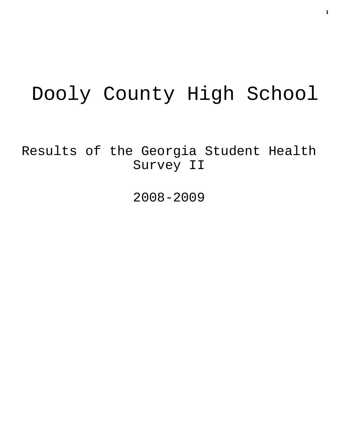# Dooly County High School

Results of the Georgia Student Health Survey II

2008-2009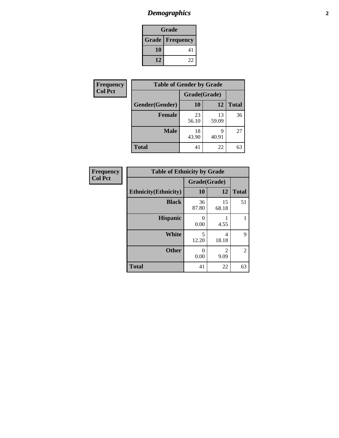## *Demographics* **2**

| <b>Grade</b>           |    |  |  |  |
|------------------------|----|--|--|--|
| <b>Grade Frequency</b> |    |  |  |  |
| 10                     | 41 |  |  |  |
| 12                     | 22 |  |  |  |

| <b>Frequency</b> | <b>Table of Gender by Grade</b> |              |             |              |
|------------------|---------------------------------|--------------|-------------|--------------|
| <b>Col Pct</b>   |                                 | Grade(Grade) |             |              |
|                  | Gender(Gender)                  | 10           | 12          | <b>Total</b> |
|                  | <b>Female</b>                   | 23<br>56.10  | 13<br>59.09 | 36           |
|                  | <b>Male</b>                     | 18<br>43.90  | q<br>40.91  | 27           |
|                  | <b>Total</b>                    | 41           | 22          | 63           |

| <b>Frequency</b><br>Col Pct |
|-----------------------------|

| <b>Table of Ethnicity by Grade</b> |              |                        |              |  |  |  |
|------------------------------------|--------------|------------------------|--------------|--|--|--|
|                                    | Grade(Grade) |                        |              |  |  |  |
| <b>Ethnicity</b> (Ethnicity)       | 10           | 12                     | <b>Total</b> |  |  |  |
| <b>Black</b>                       | 36<br>87.80  | 15<br>68.18            | 51           |  |  |  |
| <b>Hispanic</b>                    | 0<br>0.00    | 4.55                   |              |  |  |  |
| <b>White</b>                       | 5<br>12.20   | 4<br>18.18             | 9            |  |  |  |
| <b>Other</b>                       | 0<br>0.00    | $\mathfrak{D}$<br>9.09 | 2            |  |  |  |
| <b>Total</b>                       | 41           | 22                     | 63           |  |  |  |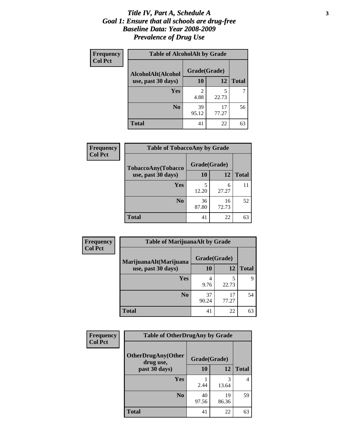#### *Title IV, Part A, Schedule A* **3** *Goal 1: Ensure that all schools are drug-free Baseline Data: Year 2008-2009 Prevalence of Drug Use*

| Frequency<br><b>Col Pct</b> | <b>Table of AlcoholAlt by Grade</b> |              |             |              |  |
|-----------------------------|-------------------------------------|--------------|-------------|--------------|--|
|                             | AlcoholAlt(Alcohol                  | Grade(Grade) |             |              |  |
|                             | use, past 30 days)                  | <b>10</b>    | 12          | <b>Total</b> |  |
|                             | Yes                                 | 2<br>4.88    | 5<br>22.73  |              |  |
|                             | N <sub>0</sub>                      | 39<br>95.12  | 17<br>77.27 | 56           |  |
|                             | <b>Total</b>                        | 41           | 22          | 63           |  |

| Frequency<br><b>Col Pct</b> | <b>Table of TobaccoAny by Grade</b> |              |             |              |  |
|-----------------------------|-------------------------------------|--------------|-------------|--------------|--|
|                             | <b>TobaccoAny(Tobacco</b>           | Grade(Grade) |             |              |  |
|                             | use, past 30 days)                  | <b>10</b>    | 12          | <b>Total</b> |  |
|                             | Yes                                 | 5<br>12.20   | 6<br>27.27  | 11           |  |
|                             | N <sub>0</sub>                      | 36<br>87.80  | 16<br>72.73 | 52           |  |
|                             | Total                               | 41           | 22          | 63           |  |

| Frequency<br><b>Col Pct</b> | <b>Table of MarijuanaAlt by Grade</b> |              |             |              |  |
|-----------------------------|---------------------------------------|--------------|-------------|--------------|--|
|                             | MarijuanaAlt(Marijuana                | Grade(Grade) |             |              |  |
|                             | use, past 30 days)                    | 10           | 12          | <b>Total</b> |  |
|                             | Yes                                   | 4<br>9.76    | 5<br>22.73  | Q            |  |
|                             | N <sub>0</sub>                        | 37<br>90.24  | 17<br>77.27 | 54           |  |
|                             | <b>Total</b>                          | 41           | 22          | 63           |  |

| <b>Frequency</b> | <b>Table of OtherDrugAny by Grade</b>  |              |             |              |  |
|------------------|----------------------------------------|--------------|-------------|--------------|--|
| <b>Col Pct</b>   | <b>OtherDrugAny(Other</b><br>drug use, | Grade(Grade) |             |              |  |
|                  | past 30 days)                          | 10           | 12          | <b>Total</b> |  |
|                  | <b>Yes</b>                             | 2.44         | 3<br>13.64  | 4            |  |
|                  | N <sub>0</sub>                         | 40<br>97.56  | 19<br>86.36 | 59           |  |
|                  | <b>Total</b>                           | 41           | 22          | 63           |  |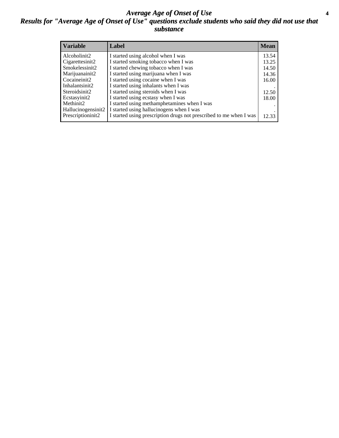#### *Average Age of Onset of Use* **4** *Results for "Average Age of Onset of Use" questions exclude students who said they did not use that substance*

| <b>Variable</b>       | Label                                                              | <b>Mean</b> |
|-----------------------|--------------------------------------------------------------------|-------------|
| Alcoholinit2          | I started using alcohol when I was                                 | 13.54       |
| Cigarettesinit2       | I started smoking tobacco when I was                               | 13.25       |
| Smokelessinit2        | I started chewing tobacco when I was                               | 14.50       |
| Marijuanainit2        | I started using marijuana when I was                               | 14.36       |
| Cocaineinit2          | I started using cocaine when I was                                 | 16.00       |
| Inhalantsinit2        | I started using inhalants when I was                               |             |
| Steroidsinit2         | I started using steroids when I was                                | 12.50       |
| Ecstasyinit2          | I started using ecstasy when I was                                 | 18.00       |
| Methinit <sub>2</sub> | I started using methamphetamines when I was                        |             |
| Hallucinogensinit2    | I started using hallucinogens when I was                           |             |
| Prescriptioninit2     | I started using prescription drugs not prescribed to me when I was | 12.33       |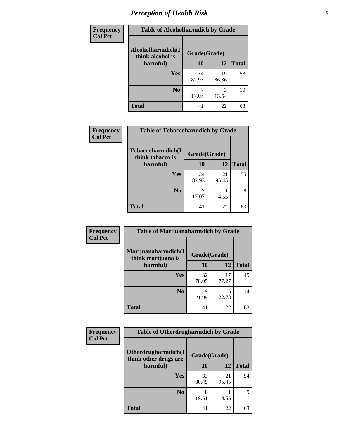## *Perception of Health Risk* **5**

| <b>Frequency</b> | <b>Table of Alcoholharmdich by Grade</b> |              |             |              |
|------------------|------------------------------------------|--------------|-------------|--------------|
| <b>Col Pct</b>   | Alcoholharmdich(I<br>think alcohol is    | Grade(Grade) |             |              |
|                  | harmful)                                 | 10           | 12          | <b>Total</b> |
|                  | Yes                                      | 34<br>82.93  | 19<br>86.36 | 53           |
|                  | N <sub>0</sub>                           | 17.07        | 3<br>13.64  | 10           |
|                  | <b>Total</b>                             | 41           | 22          | 63           |

| Frequency      | <b>Table of Tobaccoharmdich by Grade</b> |              |       |              |
|----------------|------------------------------------------|--------------|-------|--------------|
| <b>Col Pct</b> |                                          |              |       |              |
|                | Tobaccoharmdich(I<br>think tobacco is    | Grade(Grade) |       |              |
|                | harmful)                                 | 10           | 12    | <b>Total</b> |
|                | <b>Yes</b>                               | 34           | 21    | 55           |
|                |                                          | 82.93        | 95.45 |              |
|                | N <sub>0</sub>                           |              |       | 8            |
|                |                                          | 17.07        | 4.55  |              |
|                | <b>Total</b>                             | 41           | 22    | 63           |

| Frequency      | <b>Table of Marijuanaharmdich by Grade</b> |              |             |              |  |  |
|----------------|--------------------------------------------|--------------|-------------|--------------|--|--|
| <b>Col Pct</b> | Marijuanaharmdich(I<br>think marijuana is  | Grade(Grade) |             |              |  |  |
|                | harmful)                                   | 10           | 12          | <b>Total</b> |  |  |
|                | Yes                                        | 32<br>78.05  | 17<br>77.27 | 49           |  |  |
|                | N <sub>0</sub>                             | Q<br>21.95   | 5<br>22.73  | 14           |  |  |
|                | <b>Total</b>                               | 41           | 22          | 63           |  |  |

| Frequency      | <b>Table of Otherdrugharmdich by Grade</b>                   |             |             |              |  |
|----------------|--------------------------------------------------------------|-------------|-------------|--------------|--|
| <b>Col Pct</b> | Otherdrugharmdich(I<br>Grade(Grade)<br>think other drugs are |             |             |              |  |
|                | harmful)                                                     | <b>10</b>   | 12          | <b>Total</b> |  |
|                | <b>Yes</b>                                                   | 33<br>80.49 | 21<br>95.45 | 54           |  |
|                | N <sub>0</sub>                                               | 19.51       | 4.55        | 9            |  |
|                | <b>Total</b>                                                 | 41          | 22          | 63           |  |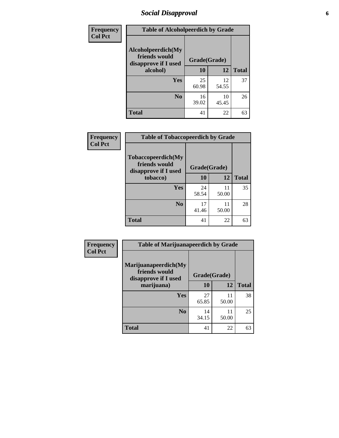### *Social Disapproval* **6**

| <b>Frequency</b> | <b>Table of Alcoholpeerdich by Grade</b>                                |              |             |              |  |
|------------------|-------------------------------------------------------------------------|--------------|-------------|--------------|--|
| <b>Col Pct</b>   | Alcoholpeerdich(My<br>friends would<br>disapprove if I used<br>alcohol) | Grade(Grade) |             |              |  |
|                  |                                                                         | 10           | 12          | <b>Total</b> |  |
|                  | <b>Yes</b>                                                              | 25<br>60.98  | 12<br>54.55 | 37           |  |
|                  | N <sub>0</sub>                                                          | 16<br>39.02  | 10<br>45.45 | 26           |  |
|                  | <b>Total</b>                                                            | 41           | 22          | 63           |  |

| <b>Frequency</b> |
|------------------|
| <b>Col Pct</b>   |

| <b>Table of Tobaccopeerdich by Grade</b>                    |              |             |              |  |  |  |
|-------------------------------------------------------------|--------------|-------------|--------------|--|--|--|
| Tobaccopeerdich(My<br>friends would<br>disapprove if I used | Grade(Grade) |             |              |  |  |  |
| tobacco)                                                    | 10           | 12          | <b>Total</b> |  |  |  |
| Yes                                                         | 24<br>58.54  | 11<br>50.00 | 35           |  |  |  |
| N <sub>0</sub>                                              | 17<br>41.46  | 11<br>50.00 | 28           |  |  |  |
| <b>Total</b>                                                | 41           | 22          | 63           |  |  |  |

| Frequency      | <b>Table of Marijuanapeerdich by Grade</b>                    |              |             |              |  |  |
|----------------|---------------------------------------------------------------|--------------|-------------|--------------|--|--|
| <b>Col Pct</b> | Marijuanapeerdich(My<br>friends would<br>disapprove if I used | Grade(Grade) |             |              |  |  |
|                | marijuana)                                                    | 10           | 12          | <b>Total</b> |  |  |
|                | Yes                                                           | 27<br>65.85  | 11<br>50.00 | 38           |  |  |
|                | N <sub>0</sub>                                                | 14<br>34.15  | 11<br>50.00 | 25           |  |  |
|                | <b>Total</b>                                                  | 41           | 22          | 63           |  |  |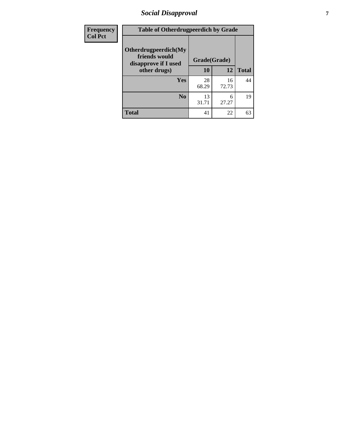## *Social Disapproval* **7**

| Frequency      | <b>Table of Otherdrugpeerdich by Grade</b>                    |              |             |              |  |  |
|----------------|---------------------------------------------------------------|--------------|-------------|--------------|--|--|
| <b>Col Pct</b> | Otherdrugpeerdich(My<br>friends would<br>disapprove if I used | Grade(Grade) |             |              |  |  |
|                | other drugs)                                                  | 10           | 12          | <b>Total</b> |  |  |
|                | <b>Yes</b>                                                    | 28<br>68.29  | 16<br>72.73 | 44           |  |  |
|                | N <sub>0</sub>                                                | 13<br>31.71  | 6<br>27.27  | 19           |  |  |
|                | <b>Total</b>                                                  | 41           | 22          | 63           |  |  |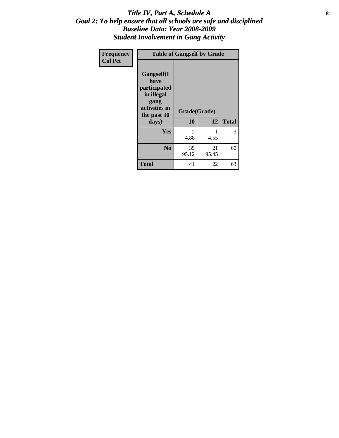#### Title IV, Part A, Schedule A **8** *Goal 2: To help ensure that all schools are safe and disciplined Baseline Data: Year 2008-2009 Student Involvement in Gang Activity*

| Frequency      | <b>Table of Gangself by Grade</b>                                                                 |                    |             |              |
|----------------|---------------------------------------------------------------------------------------------------|--------------------|-------------|--------------|
| <b>Col Pct</b> | Gangself(I<br>have<br>participated<br>in illegal<br>gang<br>activities in<br>the past 30<br>days) | Grade(Grade)<br>10 | 12          | <b>Total</b> |
|                | Yes                                                                                               | 2<br>4.88          | 1<br>4.55   | 3            |
|                | N <sub>0</sub>                                                                                    | 39<br>95.12        | 21<br>95.45 | 60           |
|                | <b>Total</b>                                                                                      | 41                 | 22          | 63           |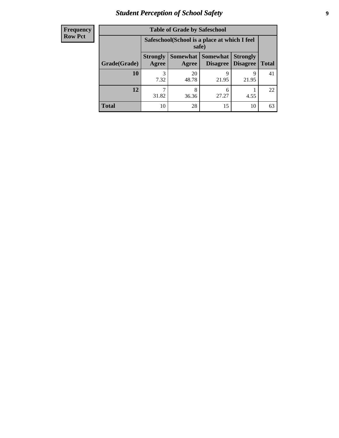## *Student Perception of School Safety* **9**

| <b>Frequency</b><br>Row Pct |
|-----------------------------|
|                             |

| <b>Table of Grade by Safeschool</b> |                                                                                                                                                                                                |             |            |            |    |  |
|-------------------------------------|------------------------------------------------------------------------------------------------------------------------------------------------------------------------------------------------|-------------|------------|------------|----|--|
|                                     | Safeschool (School is a place at which I feel<br>safe)<br>Somewhat  <br><b>Somewhat</b><br><b>Strongly</b><br><b>Strongly</b><br><b>Disagree</b><br>Disagree<br><b>Total</b><br>Agree<br>Agree |             |            |            |    |  |
| Grade(Grade)                        |                                                                                                                                                                                                |             |            |            |    |  |
| <b>10</b>                           | 7.32                                                                                                                                                                                           | 20<br>48.78 | q<br>21.95 | 9<br>21.95 | 41 |  |
| 12                                  | 31.82                                                                                                                                                                                          | 8<br>36.36  | 6<br>27.27 | 4.55       | 22 |  |
| Total                               | 10                                                                                                                                                                                             | 28          | 15         | 10         | 63 |  |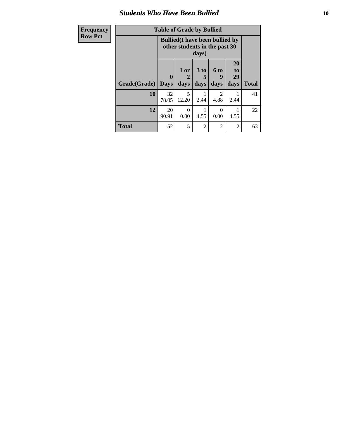#### *Students Who Have Been Bullied* **10**

| Frequenc       |
|----------------|
| <b>Row Pct</b> |
|                |

П

| Frequency      |              | <b>Table of Grade by Bullied</b> |                                                                         |                         |                   |                               |              |
|----------------|--------------|----------------------------------|-------------------------------------------------------------------------|-------------------------|-------------------|-------------------------------|--------------|
| <b>Row Pct</b> |              |                                  | <b>Bullied</b> (I have been bullied by<br>other students in the past 30 | days)                   |                   |                               |              |
|                | Grade(Grade) | $\mathbf{0}$<br><b>Days</b>      | 1 or<br>2<br>days                                                       | 3 <sub>to</sub><br>days | 6 to<br>9<br>days | <b>20</b><br>to<br>29<br>days | <b>Total</b> |
|                | 10           | 32<br>78.05                      | 5<br>12.20                                                              | 2.44                    | 2<br>4.88         | 2.44                          | 41           |
|                | 12           | 20<br>90.91                      | $\Omega$<br>0.00                                                        | 4.55                    | $\Omega$<br>0.00  | 4.55                          | 22           |
|                | <b>Total</b> | 52                               | 5                                                                       | $\overline{2}$          | $\overline{2}$    | $\overline{2}$                | 63           |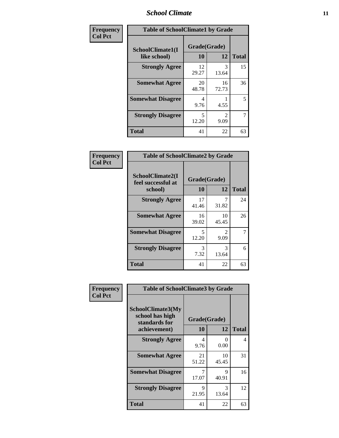### *School Climate* **11**

| <b>Frequency</b> | <b>Table of SchoolClimate1 by Grade</b> |                    |                                     |              |  |  |
|------------------|-----------------------------------------|--------------------|-------------------------------------|--------------|--|--|
| <b>Col Pct</b>   | SchoolClimate1(I<br>like school)        | Grade(Grade)<br>10 | 12                                  | <b>Total</b> |  |  |
|                  | <b>Strongly Agree</b>                   | 12<br>29.27        | 3<br>13.64                          | 15           |  |  |
|                  | <b>Somewhat Agree</b>                   | 20<br>48.78        | 16<br>72.73                         | 36           |  |  |
|                  | <b>Somewhat Disagree</b>                | 4<br>9.76          | 4.55                                | 5            |  |  |
|                  | <b>Strongly Disagree</b>                | 5<br>12.20         | $\mathcal{D}_{\mathcal{A}}$<br>9.09 | 7            |  |  |
|                  | <b>Total</b>                            | 41                 | 22                                  | 63           |  |  |

| <b>Table of SchoolClimate2 by Grade</b>           |                    |                        |              |  |  |
|---------------------------------------------------|--------------------|------------------------|--------------|--|--|
| SchoolClimate2(I<br>feel successful at<br>school) | Grade(Grade)<br>10 | 12                     | <b>Total</b> |  |  |
| <b>Strongly Agree</b>                             | 17<br>41.46        | 31.82                  | 24           |  |  |
| <b>Somewhat Agree</b>                             | 16<br>39.02        | 10<br>45.45            | 26           |  |  |
| <b>Somewhat Disagree</b>                          | 5<br>12.20         | $\mathfrak{D}$<br>9.09 | 7            |  |  |
| <b>Strongly Disagree</b>                          | 3<br>7.32          | 3<br>13.64             | 6            |  |  |
| <b>Total</b>                                      | 41                 | 22                     | 63           |  |  |

| Frequency      | <b>Table of SchoolClimate3 by Grade</b>               |              |             |              |  |
|----------------|-------------------------------------------------------|--------------|-------------|--------------|--|
| <b>Col Pct</b> | SchoolClimate3(My<br>school has high<br>standards for | Grade(Grade) |             |              |  |
|                | achievement)                                          | <b>10</b>    | 12          | <b>Total</b> |  |
|                | <b>Strongly Agree</b>                                 | 4<br>9.76    | 0<br>0.00   | 4            |  |
|                | <b>Somewhat Agree</b>                                 | 21<br>51.22  | 10<br>45.45 | 31           |  |
|                | <b>Somewhat Disagree</b>                              | 17.07        | 9<br>40.91  | 16           |  |
|                | <b>Strongly Disagree</b>                              | 9<br>21.95   | 3<br>13.64  | 12           |  |
|                | Total                                                 | 41           | 22          | 63           |  |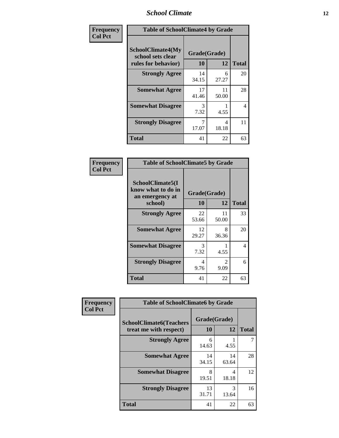### *School Climate* **12**

| Frequency      | <b>Table of SchoolClimate4 by Grade</b>                              |                    |             |              |
|----------------|----------------------------------------------------------------------|--------------------|-------------|--------------|
| <b>Col Pct</b> | <b>SchoolClimate4(My</b><br>school sets clear<br>rules for behavior) | Grade(Grade)<br>10 | 12          | <b>Total</b> |
|                | <b>Strongly Agree</b>                                                | 14<br>34.15        | 6<br>27.27  | 20           |
|                | <b>Somewhat Agree</b>                                                | 17<br>41.46        | 11<br>50.00 | 28           |
|                | <b>Somewhat Disagree</b>                                             | 3<br>7.32          | 4.55        | 4            |
|                | <b>Strongly Disagree</b>                                             | 7<br>17.07         | 4<br>18.18  | 11           |
|                | Total                                                                | 41                 | 22          | 63           |

| <b>Table of SchoolClimate5 by Grade</b>                              |                    |             |              |  |
|----------------------------------------------------------------------|--------------------|-------------|--------------|--|
| SchoolClimate5(I<br>know what to do in<br>an emergency at<br>school) | Grade(Grade)<br>10 | 12          | <b>Total</b> |  |
| <b>Strongly Agree</b>                                                | 22<br>53.66        | 11<br>50.00 | 33           |  |
| <b>Somewhat Agree</b>                                                | 12<br>29.27        | 8<br>36.36  | 20           |  |
| <b>Somewhat Disagree</b>                                             | 3<br>7.32          | 4.55        | 4            |  |
| <b>Strongly Disagree</b>                                             | 4<br>9.76          | 2<br>9.09   | 6            |  |
| <b>Total</b>                                                         | 41                 | 22          | 63           |  |

| Frequency      | <b>Table of SchoolClimate6 by Grade</b>                  |                    |             |              |
|----------------|----------------------------------------------------------|--------------------|-------------|--------------|
| <b>Col Pct</b> | <b>SchoolClimate6(Teachers</b><br>treat me with respect) | Grade(Grade)<br>10 | 12          | <b>Total</b> |
|                | <b>Strongly Agree</b>                                    | 6<br>14.63         | 4.55        |              |
|                | <b>Somewhat Agree</b>                                    | 14<br>34.15        | 14<br>63.64 | 28           |
|                | <b>Somewhat Disagree</b>                                 | 8<br>19.51         | 4<br>18.18  | 12           |
|                | <b>Strongly Disagree</b>                                 | 13<br>31.71        | 3<br>13.64  | 16           |
|                | <b>Total</b>                                             | 41                 | 22          | 63           |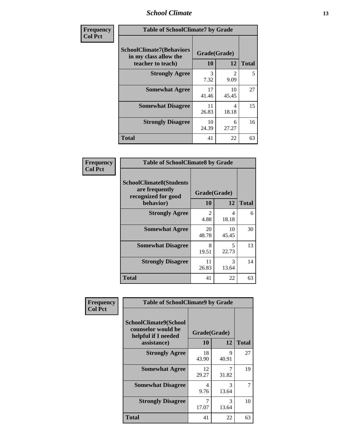### *School Climate* **13**

| Frequency      | <b>Table of SchoolClimate7 by Grade</b>                                       |                    |                        |              |
|----------------|-------------------------------------------------------------------------------|--------------------|------------------------|--------------|
| <b>Col Pct</b> | <b>SchoolClimate7(Behaviors</b><br>in my class allow the<br>teacher to teach) | Grade(Grade)<br>10 | 12                     | <b>Total</b> |
|                | <b>Strongly Agree</b>                                                         | 3<br>7.32          | $\overline{2}$<br>9.09 | 5            |
|                | <b>Somewhat Agree</b>                                                         | 17<br>41.46        | 10<br>45.45            | 27           |
|                | <b>Somewhat Disagree</b>                                                      | 11<br>26.83        | 4<br>18.18             | 15           |
|                | <b>Strongly Disagree</b>                                                      | 10<br>24.39        | 6<br>27.27             | 16           |
|                | <b>Total</b>                                                                  | 41                 | 22                     | 63           |

| Frequency      |                                                                         | <b>Table of SchoolClimate8 by Grade</b> |             |              |
|----------------|-------------------------------------------------------------------------|-----------------------------------------|-------------|--------------|
| <b>Col Pct</b> | <b>SchoolClimate8(Students</b><br>are frequently<br>recognized for good | Grade(Grade)                            |             |              |
|                | behavior)                                                               | 10                                      | 12          | <b>Total</b> |
|                | <b>Strongly Agree</b>                                                   | $\mathfrak{D}$<br>4.88                  | Δ<br>18.18  | 6            |
|                | <b>Somewhat Agree</b>                                                   | 20<br>48.78                             | 10<br>45.45 | 30           |
|                | <b>Somewhat Disagree</b>                                                | 8<br>19.51                              | 5<br>22.73  | 13           |
|                | <b>Strongly Disagree</b>                                                | 11<br>26.83                             | 3<br>13.64  | 14           |
|                | <b>Total</b>                                                            | 41                                      | 22          | 63           |

| Frequency      | <b>Table of SchoolClimate9 by Grade</b>                                           |                    |                      |              |
|----------------|-----------------------------------------------------------------------------------|--------------------|----------------------|--------------|
| <b>Col Pct</b> | SchoolClimate9(School<br>counselor would be<br>helpful if I needed<br>assistance) | Grade(Grade)<br>10 | 12                   | <b>Total</b> |
|                | <b>Strongly Agree</b>                                                             | 18<br>43.90        | $\mathbf Q$<br>40.91 | 27           |
|                | <b>Somewhat Agree</b>                                                             | 12<br>29.27        | 7<br>31.82           | 19           |
|                | <b>Somewhat Disagree</b>                                                          | 4<br>9.76          | 3<br>13.64           | 7            |
|                | <b>Strongly Disagree</b>                                                          | 7<br>17.07         | 3<br>13.64           | 10           |
|                | <b>Total</b>                                                                      | 41                 | 22                   | 63           |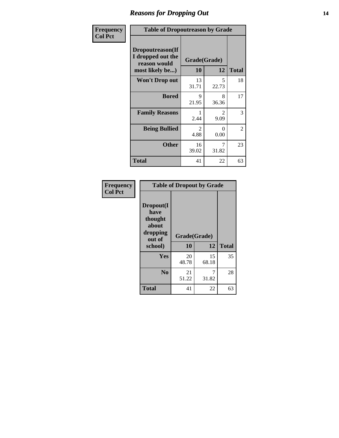### *Reasons for Dropping Out* **14**

| Frequency      | <b>Table of Dropoutreason by Grade</b>                                   |             |                                     |              |
|----------------|--------------------------------------------------------------------------|-------------|-------------------------------------|--------------|
| <b>Col Pct</b> | Dropoutreason(If<br>I dropped out the<br>reason would<br>most likely be) | 10          | Grade(Grade)<br>12                  | <b>Total</b> |
|                | Won't Drop out                                                           | 13<br>31.71 | 5<br>22.73                          | 18           |
|                | <b>Bored</b>                                                             | 9<br>21.95  | 8<br>36.36                          | 17           |
|                | <b>Family Reasons</b>                                                    | 2.44        | $\mathcal{D}_{\mathcal{L}}$<br>9.09 | 3            |
|                | <b>Being Bullied</b>                                                     | 2<br>4.88   | 0<br>0.00                           | 2            |
|                | <b>Other</b>                                                             | 16<br>39.02 | 7<br>31.82                          | 23           |
|                | <b>Total</b>                                                             | 41          | 22                                  | 63           |

| Frequency      | <b>Table of Dropout by Grade</b>                                       |                    |              |    |  |
|----------------|------------------------------------------------------------------------|--------------------|--------------|----|--|
| <b>Col Pct</b> | Dropout(I<br>have<br>thought<br>about<br>dropping<br>out of<br>school) | Grade(Grade)<br>10 | <b>Total</b> |    |  |
|                | Yes                                                                    | 20                 | 12<br>15     | 35 |  |
|                |                                                                        | 48.78              | 68.18        |    |  |
|                | N <sub>0</sub>                                                         | 21<br>51.22        | 31.82        | 28 |  |
|                |                                                                        |                    |              |    |  |
|                | <b>Total</b>                                                           | 41                 | 22           | 63 |  |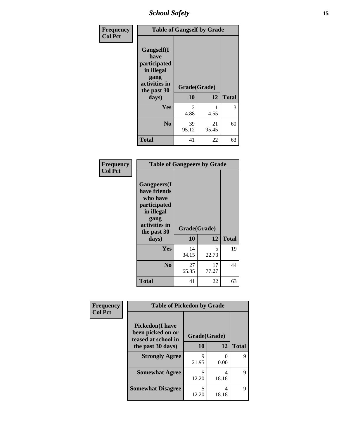*School Safety* **15**

| Frequency      | <b>Table of Gangself by Grade</b>                                                                 |                       |             |              |
|----------------|---------------------------------------------------------------------------------------------------|-----------------------|-------------|--------------|
| <b>Col Pct</b> | Gangself(I<br>have<br>participated<br>in illegal<br>gang<br>activities in<br>the past 30<br>days) | Grade(Grade)<br>10    | 12          | <b>Total</b> |
|                | Yes                                                                                               | $\mathcal{L}$<br>4.88 | 1<br>4.55   | 3            |
|                | N <sub>0</sub>                                                                                    | 39<br>95.12           | 21<br>95.45 | 60           |
|                | <b>Total</b>                                                                                      | 41                    | 22          | 63           |

| Frequency<br><b>Col Pct</b> | <b>Table of Gangpeers by Grade</b>                                                                                     |                    |             |              |
|-----------------------------|------------------------------------------------------------------------------------------------------------------------|--------------------|-------------|--------------|
|                             | Gangpeers(I<br>have friends<br>who have<br>participated<br>in illegal<br>gang<br>activities in<br>the past 30<br>days) | Grade(Grade)<br>10 | 12          | <b>Total</b> |
|                             | <b>Yes</b>                                                                                                             | 14<br>34.15        | 5<br>22.73  | 19           |
|                             | N <sub>0</sub>                                                                                                         | 27<br>65.85        | 17<br>77.27 | 44           |
|                             | <b>Total</b>                                                                                                           | 41                 | 22          | 63           |

| Frequency      | <b>Table of Pickedon by Grade</b>                                   |              |            |              |
|----------------|---------------------------------------------------------------------|--------------|------------|--------------|
| <b>Col Pct</b> | <b>Pickedon</b> (I have<br>been picked on or<br>teased at school in | Grade(Grade) |            |              |
|                | the past 30 days)                                                   | 10           | 12         | <b>Total</b> |
|                | <b>Strongly Agree</b>                                               | 9<br>21.95   | 0<br>0.00  | 9            |
|                | <b>Somewhat Agree</b>                                               | 5<br>12.20   | 4<br>18.18 | 9            |
|                | <b>Somewhat Disagree</b>                                            | 5<br>12.20   | 4<br>18.18 | 9            |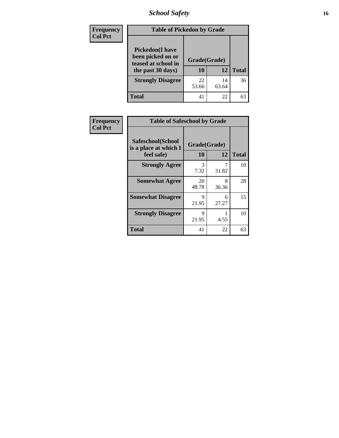## *School Safety* **16**

| <b>Frequency</b> | <b>Table of Pickedon by Grade</b>                                                        |                    |             |              |  |  |  |  |
|------------------|------------------------------------------------------------------------------------------|--------------------|-------------|--------------|--|--|--|--|
| <b>Col Pct</b>   | <b>Pickedon</b> (I have<br>been picked on or<br>teased at school in<br>the past 30 days) | Grade(Grade)<br>10 | 12          | <b>Total</b> |  |  |  |  |
|                  | <b>Strongly Disagree</b>                                                                 | 22<br>53.66        | 14<br>63.64 | 36           |  |  |  |  |
|                  | Total                                                                                    | 41                 | 22          | 63           |  |  |  |  |

| Frequency      | <b>Table of Safeschool by Grade</b>                      |                           |            |              |  |  |  |  |  |
|----------------|----------------------------------------------------------|---------------------------|------------|--------------|--|--|--|--|--|
| <b>Col Pct</b> | Safeschool(School<br>is a place at which I<br>feel safe) | Grade(Grade)<br><b>10</b> | 12         | <b>Total</b> |  |  |  |  |  |
|                | <b>Strongly Agree</b>                                    | 3<br>7.32                 | 31.82      | 10           |  |  |  |  |  |
|                | <b>Somewhat Agree</b>                                    | 20<br>48.78               | 8<br>36.36 | 28           |  |  |  |  |  |
|                | <b>Somewhat Disagree</b>                                 | 9<br>21.95                | 6<br>27.27 | 15           |  |  |  |  |  |
|                | <b>Strongly Disagree</b>                                 | 9<br>21.95                | 4.55       | 10           |  |  |  |  |  |
|                | <b>Total</b>                                             | 41                        | 22         | 63           |  |  |  |  |  |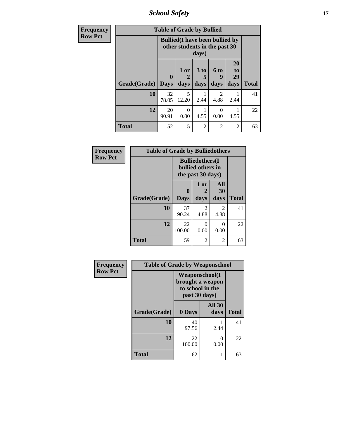*School Safety* **17**

| Frequency      | <b>Table of Grade by Bullied</b> |                            |                                                                         |                   |                        |                        |              |  |  |
|----------------|----------------------------------|----------------------------|-------------------------------------------------------------------------|-------------------|------------------------|------------------------|--------------|--|--|
| <b>Row Pct</b> |                                  |                            | <b>Bullied</b> (I have been bullied by<br>other students in the past 30 | days)             |                        |                        |              |  |  |
|                | Grade(Grade)                     | $\mathbf 0$<br><b>Days</b> | 1 or<br>$\mathbf{2}$<br>days                                            | 3 to<br>5<br>days | 6 to<br>9<br>days      | 20<br>to<br>29<br>days | <b>Total</b> |  |  |
|                | 10                               | 32<br>78.05                | 5<br>12.20                                                              | 2.44              | $\overline{c}$<br>4.88 | 2.44                   | 41           |  |  |
|                | 12                               | 20<br>90.91                | $\theta$<br>0.00                                                        | 4.55              | $\theta$<br>0.00       | 4.55                   | 22           |  |  |
|                | <b>Total</b>                     | 52                         | 5                                                                       | $\mathfrak{D}$    | $\overline{2}$         | $\overline{2}$         | 63           |  |  |

| Frequency      | <b>Table of Grade by Bulliedothers</b> |                            |                                                                   |                        |              |  |  |  |
|----------------|----------------------------------------|----------------------------|-------------------------------------------------------------------|------------------------|--------------|--|--|--|
| <b>Row Pct</b> |                                        |                            | <b>Bulliedothers</b> (I<br>bullied others in<br>the past 30 days) |                        |              |  |  |  |
|                | Grade(Grade)                           | $\mathbf 0$<br><b>Days</b> | 1 or<br>days                                                      | All<br>30<br>days      | <b>Total</b> |  |  |  |
|                | 10                                     | 37<br>90.24                | $\mathfrak{D}$<br>4.88                                            | $\mathfrak{D}$<br>4.88 | 41           |  |  |  |
|                | 12                                     | 22<br>100.00               | 0<br>0.00                                                         | 0<br>0.00              | 22           |  |  |  |
|                | <b>Total</b>                           | 59                         | 2                                                                 | 2                      | 63           |  |  |  |

| Frequency      | <b>Table of Grade by Weaponschool</b> |                                                                                 |                       |              |  |  |  |  |
|----------------|---------------------------------------|---------------------------------------------------------------------------------|-----------------------|--------------|--|--|--|--|
| <b>Row Pct</b> |                                       | <b>Weaponschool</b> (I<br>brought a weapon<br>to school in the<br>past 30 days) |                       |              |  |  |  |  |
|                | Grade(Grade)                          | 0 Days                                                                          | <b>All 30</b><br>days | <b>Total</b> |  |  |  |  |
|                | 10                                    | 40<br>97.56                                                                     | 2.44                  | 41           |  |  |  |  |
|                | 12                                    | 22<br>100.00                                                                    | ∩<br>0.00             | 22           |  |  |  |  |
|                | <b>Total</b>                          | 62                                                                              |                       | 63           |  |  |  |  |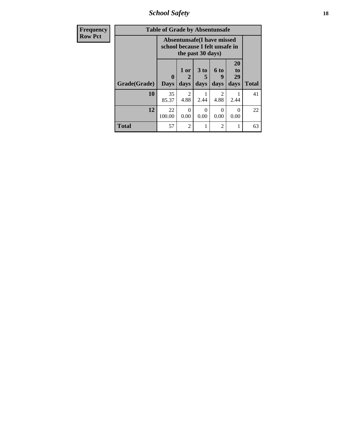*School Safety* **18**

| <b>Frequency</b> | <b>Table of Grade by Absentunsafe</b> |                             |                                                                |                              |                        |                        |              |  |
|------------------|---------------------------------------|-----------------------------|----------------------------------------------------------------|------------------------------|------------------------|------------------------|--------------|--|
| <b>Row Pct</b>   |                                       |                             | Absentunsafe (I have missed<br>school because I felt unsafe in | the past 30 days)            |                        |                        |              |  |
|                  | Grade(Grade)                          | $\mathbf{0}$<br><b>Days</b> | $1$ or<br>2<br>days                                            | 3 <sub>to</sub><br>5<br>days | 6 to<br>9<br>days      | 20<br>to<br>29<br>days | <b>Total</b> |  |
|                  | 10                                    | 35<br>85.37                 | $\mathcal{D}_{\mathcal{L}}$<br>4.88                            | 2.44                         | $\mathfrak{D}$<br>4.88 | 2.44                   | 41           |  |
|                  | 12                                    | 22<br>100.00                | 0<br>0.00                                                      | 0<br>0.00                    | $\Omega$<br>0.00       | 0.00                   | 22           |  |
|                  | <b>Total</b>                          | 57                          | $\overline{2}$                                                 | 1                            | 2                      |                        | 63           |  |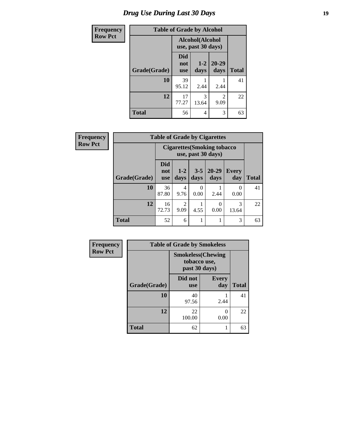## *Drug Use During Last 30 Days* **19**

| <b>Frequency</b> | <b>Table of Grade by Alcohol</b> |                                       |               |                        |              |  |  |  |
|------------------|----------------------------------|---------------------------------------|---------------|------------------------|--------------|--|--|--|
| Row Pct          |                                  | Alcohol(Alcohol<br>use, past 30 days) |               |                        |              |  |  |  |
|                  | Grade(Grade)                     | <b>Did</b><br>not<br><b>use</b>       | $1-2$<br>days | 20-29<br>days          | <b>Total</b> |  |  |  |
|                  | 10                               | 39<br>95.12                           | 2.44          | 2.44                   | 41           |  |  |  |
|                  | 12                               | 17<br>77.27                           | 3<br>13.64    | $\mathfrak{D}$<br>9.09 | 22           |  |  |  |
|                  | <b>Total</b>                     | 56                                    | 4             | 3                      | 63           |  |  |  |

| Frequency      |              | <b>Table of Grade by Cigarettes</b> |                       |                 |                                                           |              |              |  |  |
|----------------|--------------|-------------------------------------|-----------------------|-----------------|-----------------------------------------------------------|--------------|--------------|--|--|
| <b>Row Pct</b> |              |                                     |                       |                 | <b>Cigarettes (Smoking tobacco)</b><br>use, past 30 days) |              |              |  |  |
|                | Grade(Grade) | <b>Did</b><br>not<br><b>use</b>     | $1 - 2$<br>days       | $3 - 5$<br>days | $20 - 29$<br>days                                         | Every<br>day | <b>Total</b> |  |  |
|                | 10           | 36<br>87.80                         | 4<br>9.76             | 0<br>0.00       | 2.44                                                      | 0<br>0.00    | 41           |  |  |
|                | 12           | 16<br>72.73                         | $\mathcal{D}$<br>9.09 | 4.55            | 0<br>0.00                                                 | 3<br>13.64   | 22           |  |  |
|                | <b>Total</b> | 52                                  | 6                     |                 |                                                           | 3            | 63           |  |  |

| Frequency      | <b>Table of Grade by Smokeless</b> |                                                            |                     |              |  |  |  |  |  |
|----------------|------------------------------------|------------------------------------------------------------|---------------------|--------------|--|--|--|--|--|
| <b>Row Pct</b> |                                    | <b>Smokeless</b> (Chewing<br>tobacco use,<br>past 30 days) |                     |              |  |  |  |  |  |
|                | Grade(Grade)                       | Did not<br><b>use</b>                                      | <b>Every</b><br>day | <b>Total</b> |  |  |  |  |  |
|                | 10                                 | 40<br>97.56                                                | 2.44                | 41           |  |  |  |  |  |
|                | 12                                 | 22<br>100.00                                               | 0<br>0.00           | 22           |  |  |  |  |  |
|                | <b>Total</b>                       | 62                                                         | 1                   | 63           |  |  |  |  |  |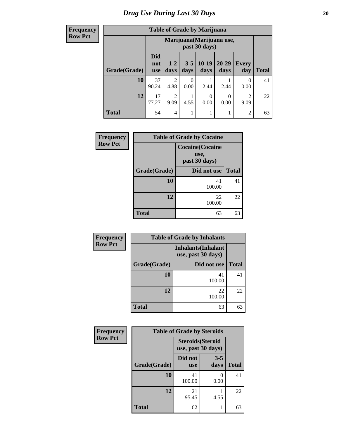**Frequency Row Pct**

| <b>Table of Grade by Marijuana</b> |                                 |                                            |                 |                 |                  |                        |              |  |  |
|------------------------------------|---------------------------------|--------------------------------------------|-----------------|-----------------|------------------|------------------------|--------------|--|--|
|                                    |                                 | Marijuana (Marijuana use,<br>past 30 days) |                 |                 |                  |                        |              |  |  |
| Grade(Grade)                       | <b>Did</b><br>not<br><b>use</b> | $1 - 2$<br>days                            | $3 - 5$<br>days | $10-19$<br>days | 20-29<br>days    | Every<br>day           | <b>Total</b> |  |  |
| 10                                 | 37<br>90.24                     | 2<br>4.88                                  | 0<br>0.00       | 2.44            | 2.44             | 0<br>0.00              | 41           |  |  |
| 12                                 | 17<br>77.27                     | $\mathfrak{D}$<br>9.09                     | 4.55            | 0<br>0.00       | $\Omega$<br>0.00 | $\mathfrak{D}$<br>9.09 | 22           |  |  |
| <b>Total</b>                       | 54                              | $\overline{4}$                             |                 |                 |                  | $\overline{2}$         | 63           |  |  |

| Frequency      | <b>Table of Grade by Cocaine</b> |                                                  |              |  |  |  |  |
|----------------|----------------------------------|--------------------------------------------------|--------------|--|--|--|--|
| <b>Row Pct</b> |                                  | <b>Cocaine</b> (Cocaine<br>use,<br>past 30 days) |              |  |  |  |  |
|                | Grade(Grade)                     | Did not use                                      | <b>Total</b> |  |  |  |  |
|                | 10                               | 41<br>100.00                                     | 41           |  |  |  |  |
|                | 12                               | 22<br>100.00                                     | 22           |  |  |  |  |
|                | <b>Total</b>                     | 63                                               | 63           |  |  |  |  |

| Frequency      | <b>Table of Grade by Inhalants</b> |              |              |  |  |
|----------------|------------------------------------|--------------|--------------|--|--|
| <b>Row Pct</b> |                                    |              |              |  |  |
|                | Grade(Grade)                       | Did not use  | <b>Total</b> |  |  |
|                | 10                                 | 41<br>100.00 | 41           |  |  |
|                | 12                                 | 22<br>100.00 | 22           |  |  |
|                | <b>Total</b>                       | 63           | 63           |  |  |

| Frequency      | <b>Table of Grade by Steroids</b> |                                                |                           |              |  |
|----------------|-----------------------------------|------------------------------------------------|---------------------------|--------------|--|
| <b>Row Pct</b> |                                   | <b>Steroids</b> (Steroid<br>use, past 30 days) |                           |              |  |
|                | Grade(Grade)                      | Did not<br><b>use</b>                          | $3 - 5$<br>days           | <b>Total</b> |  |
|                | 10                                | 41<br>100.00                                   | $\mathbf{\Omega}$<br>0.00 | 41           |  |
|                | 12                                | 21<br>95.45                                    | 4.55                      | 22           |  |
|                | <b>Total</b>                      | 62                                             |                           | 63           |  |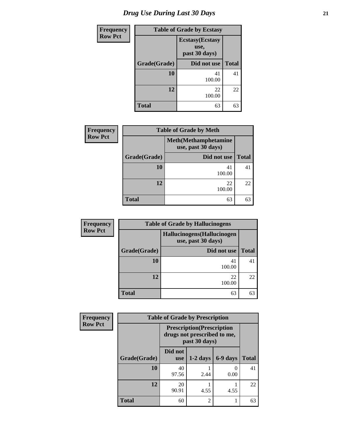## *Drug Use During Last 30 Days* **21**

| <b>Frequency</b> | <b>Table of Grade by Ecstasy</b> |                                                  |              |  |  |
|------------------|----------------------------------|--------------------------------------------------|--------------|--|--|
| <b>Row Pct</b>   |                                  | <b>Ecstasy</b> (Ecstasy<br>use,<br>past 30 days) |              |  |  |
|                  | Grade(Grade)                     | Did not use                                      | <b>Total</b> |  |  |
|                  | 10                               | 41<br>100.00                                     | 41           |  |  |
|                  | 12                               | 22<br>100.00                                     | 22           |  |  |
|                  | <b>Total</b>                     | 63                                               | 63           |  |  |

| <b>Frequency</b> | <b>Table of Grade by Meth</b><br><b>Meth</b> (Methamphetamine<br>use, past 30 days) |              |              |  |  |
|------------------|-------------------------------------------------------------------------------------|--------------|--------------|--|--|
| <b>Row Pct</b>   |                                                                                     |              |              |  |  |
|                  | Grade(Grade)                                                                        | Did not use  | <b>Total</b> |  |  |
|                  | 10                                                                                  | 41<br>100.00 | 41           |  |  |
|                  | 12                                                                                  | 22<br>100.00 | 22           |  |  |
|                  | <b>Total</b>                                                                        | 63           | 63           |  |  |

| <b>Frequency</b> | <b>Table of Grade by Hallucinogens</b> |                                                   |              |  |  |
|------------------|----------------------------------------|---------------------------------------------------|--------------|--|--|
| <b>Row Pct</b>   |                                        | Hallucinogens (Hallucinogen<br>use, past 30 days) |              |  |  |
|                  | Grade(Grade)<br>Did not use            |                                                   | <b>Total</b> |  |  |
|                  | <b>10</b>                              | 41<br>100.00                                      | 41           |  |  |
|                  | 12                                     | 22<br>100.00                                      | 22           |  |  |
|                  | <b>Total</b>                           | 63                                                | 63           |  |  |

| <b>Frequency</b> | <b>Table of Grade by Prescription</b> |                       |                                                                                   |          |              |  |
|------------------|---------------------------------------|-----------------------|-----------------------------------------------------------------------------------|----------|--------------|--|
| <b>Row Pct</b>   |                                       |                       | <b>Prescription</b> (Prescription<br>drugs not prescribed to me,<br>past 30 days) |          |              |  |
|                  | Grade(Grade)                          | Did not<br><b>use</b> | $1-2$ days                                                                        | 6-9 days | <b>Total</b> |  |
|                  | 10                                    | 40<br>97.56           | 2.44                                                                              | 0.00     | 41           |  |
|                  | 12                                    | 20<br>90.91           | 4.55                                                                              | 4.55     | 22           |  |
|                  | <b>Total</b>                          | 60                    | $\overline{2}$                                                                    |          | 63           |  |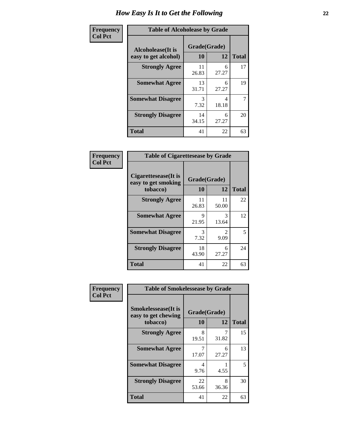| Frequency      | <b>Table of Alcoholease by Grade</b>              |                    |            |              |  |
|----------------|---------------------------------------------------|--------------------|------------|--------------|--|
| <b>Col Pct</b> | <b>Alcoholease</b> (It is<br>easy to get alcohol) | Grade(Grade)<br>10 | 12         | <b>Total</b> |  |
|                | <b>Strongly Agree</b>                             | 11<br>26.83        | 6<br>27.27 | 17           |  |
|                | <b>Somewhat Agree</b>                             | 13<br>31.71        | 6<br>27.27 | 19           |  |
|                | <b>Somewhat Disagree</b>                          | 3<br>7.32          | 4<br>18.18 | 7            |  |
|                | <b>Strongly Disagree</b>                          | 14<br>34.15        | 6<br>27.27 | 20           |  |
|                | <b>Total</b>                                      | 41                 | 22         | 63           |  |

| <b>Frequency</b> |  |
|------------------|--|
| <b>Col Pct</b>   |  |

| <b>Table of Cigarettesease by Grade</b>                  |                    |                                     |              |  |  |
|----------------------------------------------------------|--------------------|-------------------------------------|--------------|--|--|
| Cigarettesease (It is<br>easy to get smoking<br>tobacco) | Grade(Grade)<br>10 | 12                                  | <b>Total</b> |  |  |
| <b>Strongly Agree</b>                                    | 11<br>26.83        | 11<br>50.00                         | 22           |  |  |
| <b>Somewhat Agree</b>                                    | Q<br>21.95         | 3<br>13.64                          | 12           |  |  |
| <b>Somewhat Disagree</b>                                 | 3<br>7.32          | $\mathcal{D}_{\mathcal{L}}$<br>9.09 | 5            |  |  |
| <b>Strongly Disagree</b>                                 | 18<br>43.90        | 6<br>27.27                          | 24           |  |  |
| Total                                                    | 41                 | 22                                  | 63           |  |  |

| Frequency      | <b>Table of Smokelessease by Grade</b>                         |                    |            |              |
|----------------|----------------------------------------------------------------|--------------------|------------|--------------|
| <b>Col Pct</b> | <b>Smokelessease</b> (It is<br>easy to get chewing<br>tobacco) | Grade(Grade)<br>10 | 12         | <b>Total</b> |
|                | <b>Strongly Agree</b>                                          | 8<br>19.51         | 7<br>31.82 | 15           |
|                | <b>Somewhat Agree</b>                                          | 17.07              | 6<br>27.27 | 13           |
|                | <b>Somewhat Disagree</b>                                       | 4<br>9.76          | 4.55       | 5            |
|                | <b>Strongly Disagree</b>                                       | 22<br>53.66        | 8<br>36.36 | 30           |
|                | <b>Total</b>                                                   | 41                 | 22         | 63           |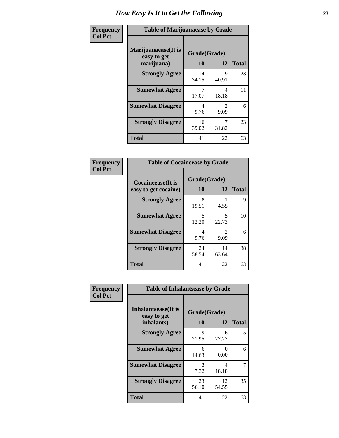| Frequency      | <b>Table of Marijuanaease by Grade</b>           |                    |                                     |              |  |
|----------------|--------------------------------------------------|--------------------|-------------------------------------|--------------|--|
| <b>Col Pct</b> | Marijuanaease(It is<br>easy to get<br>marijuana) | Grade(Grade)<br>10 | 12                                  | <b>Total</b> |  |
|                | <b>Strongly Agree</b>                            | 14<br>34.15        | 9<br>40.91                          | 23           |  |
|                | <b>Somewhat Agree</b>                            | 17.07              | 4<br>18.18                          | 11           |  |
|                | <b>Somewhat Disagree</b>                         | 4<br>9.76          | $\mathcal{D}_{\mathcal{A}}$<br>9.09 | 6            |  |
|                | <b>Strongly Disagree</b>                         | 16<br>39.02        | 31.82                               | 23           |  |
|                | <b>Total</b>                                     | 41                 | 22                                  | 63           |  |

| <b>Table of Cocaineease by Grade</b> |              |             |              |  |  |  |
|--------------------------------------|--------------|-------------|--------------|--|--|--|
| <b>Cocaineease</b> (It is            | Grade(Grade) |             |              |  |  |  |
| easy to get cocaine)                 | 10           | 12          | <b>Total</b> |  |  |  |
| <b>Strongly Agree</b>                | 8<br>19.51   | 4.55        | 9            |  |  |  |
| <b>Somewhat Agree</b>                | 5<br>12.20   | 5<br>22.73  | 10           |  |  |  |
| <b>Somewhat Disagree</b>             | 4<br>9.76    | 9.09        | 6            |  |  |  |
| <b>Strongly Disagree</b>             | 24<br>58.54  | 14<br>63.64 | 38           |  |  |  |
| <b>Total</b>                         | 41           | 22          | 63           |  |  |  |

| Frequency      | <b>Table of Inhalantsease by Grade</b>                   |                    |                  |              |  |  |  |  |  |
|----------------|----------------------------------------------------------|--------------------|------------------|--------------|--|--|--|--|--|
| <b>Col Pct</b> | <b>Inhalantsease</b> (It is<br>easy to get<br>inhalants) | Grade(Grade)<br>10 | 12               | <b>Total</b> |  |  |  |  |  |
|                | <b>Strongly Agree</b>                                    | 9<br>21.95         | 6<br>27.27       | 15           |  |  |  |  |  |
|                | <b>Somewhat Agree</b>                                    | 6<br>14.63         | $\Omega$<br>0.00 | 6            |  |  |  |  |  |
|                | <b>Somewhat Disagree</b>                                 | 3<br>7.32          | 4<br>18.18       |              |  |  |  |  |  |
|                | <b>Strongly Disagree</b>                                 | 23<br>56.10        | 12<br>54.55      | 35           |  |  |  |  |  |
|                | <b>Total</b>                                             | 41                 | 22               | 63           |  |  |  |  |  |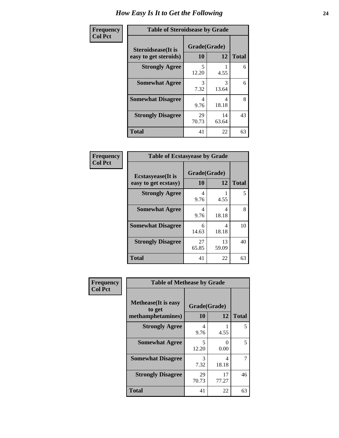| Frequency      | <b>Table of Steroidsease by Grade</b>               |                    |             |              |  |  |  |  |
|----------------|-----------------------------------------------------|--------------------|-------------|--------------|--|--|--|--|
| <b>Col Pct</b> | <b>Steroidsease</b> (It is<br>easy to get steroids) | Grade(Grade)<br>10 | 12          | <b>Total</b> |  |  |  |  |
|                | <b>Strongly Agree</b>                               | 5<br>12.20         | 4.55        | 6            |  |  |  |  |
|                | <b>Somewhat Agree</b>                               | 3<br>7.32          | 3<br>13.64  | 6            |  |  |  |  |
|                | <b>Somewhat Disagree</b>                            | 4<br>9.76          | 4<br>18.18  | 8            |  |  |  |  |
|                | <b>Strongly Disagree</b>                            | 29<br>70.73        | 14<br>63.64 | 43           |  |  |  |  |
|                | <b>Total</b>                                        | 41                 | 22          | 63           |  |  |  |  |

| Frequency      | <b>Table of Ecstasyease by Grade</b>              |                           |             |              |  |  |  |  |
|----------------|---------------------------------------------------|---------------------------|-------------|--------------|--|--|--|--|
| <b>Col Pct</b> | <b>Ecstasyease</b> (It is<br>easy to get ecstasy) | Grade(Grade)<br><b>10</b> | 12          | <b>Total</b> |  |  |  |  |
|                | <b>Strongly Agree</b>                             | 4<br>9.76                 | 4.55        | 5            |  |  |  |  |
|                | <b>Somewhat Agree</b>                             | 4<br>9.76                 | 4<br>18.18  | 8            |  |  |  |  |
|                | <b>Somewhat Disagree</b>                          | 6<br>14.63                | 4<br>18.18  | 10           |  |  |  |  |
|                | <b>Strongly Disagree</b>                          | 27<br>65.85               | 13<br>59.09 | 40           |  |  |  |  |
|                | <b>Total</b>                                      | 41                        | 22          | 63           |  |  |  |  |

| Frequency      | <b>Table of Methease by Grade</b>                          |                    |             |              |  |  |
|----------------|------------------------------------------------------------|--------------------|-------------|--------------|--|--|
| <b>Col Pct</b> | <b>Methease</b> (It is easy<br>to get<br>methamphetamines) | Grade(Grade)<br>10 | 12          | <b>Total</b> |  |  |
|                | <b>Strongly Agree</b>                                      | 4<br>9.76          | 4.55        | 5            |  |  |
|                | <b>Somewhat Agree</b>                                      | 5<br>12.20         | 0<br>0.00   | 5            |  |  |
|                | <b>Somewhat Disagree</b>                                   | 3<br>7.32          | 4<br>18.18  |              |  |  |
|                | <b>Strongly Disagree</b>                                   | 29<br>70.73        | 17<br>77.27 | 46           |  |  |
|                | Total                                                      | 41                 | 22          | 63           |  |  |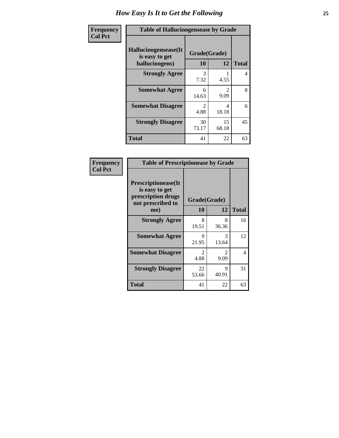| <b>Frequency</b> | <b>Table of Hallucinogensease by Grade</b>               |                                     |                                     |              |  |  |  |
|------------------|----------------------------------------------------------|-------------------------------------|-------------------------------------|--------------|--|--|--|
| <b>Col Pct</b>   | Hallucinogensease(It<br>is easy to get<br>hallucinogens) | Grade(Grade)<br>10                  | 12                                  | <b>Total</b> |  |  |  |
|                  | <b>Strongly Agree</b>                                    | 3<br>7.32                           | 4.55                                | 4            |  |  |  |
|                  | <b>Somewhat Agree</b>                                    | 6<br>14.63                          | $\mathcal{D}_{\mathcal{L}}$<br>9.09 | 8            |  |  |  |
|                  | <b>Somewhat Disagree</b>                                 | $\mathcal{D}_{\mathcal{A}}$<br>4.88 | 4<br>18.18                          | 6            |  |  |  |
|                  | <b>Strongly Disagree</b>                                 | 30<br>73.17                         | 15<br>68.18                         | 45           |  |  |  |
|                  | <b>Total</b>                                             | 41                                  | 22                                  | 63           |  |  |  |

| <b>Table of Prescriptionease by Grade</b>                                                |                        |                               |              |  |  |  |  |
|------------------------------------------------------------------------------------------|------------------------|-------------------------------|--------------|--|--|--|--|
| <b>Prescriptionease</b> (It<br>is easy to get<br>prescription drugs<br>not prescribed to | Grade(Grade)           |                               |              |  |  |  |  |
| me)                                                                                      | 10                     | 12                            | <b>Total</b> |  |  |  |  |
| <b>Strongly Agree</b>                                                                    | 8<br>19.51             | 8<br>36.36                    | 16           |  |  |  |  |
| <b>Somewhat Agree</b>                                                                    | 9<br>21.95             | 3<br>13.64                    | 12           |  |  |  |  |
| <b>Somewhat Disagree</b>                                                                 | $\mathfrak{D}$<br>4.88 | $\mathcal{D}_{\cdot}$<br>9.09 | 4            |  |  |  |  |
| <b>Strongly Disagree</b>                                                                 | 22<br>53.66            | 9<br>40.91                    | 31           |  |  |  |  |
| <b>Total</b>                                                                             | 41                     | 22                            | 63           |  |  |  |  |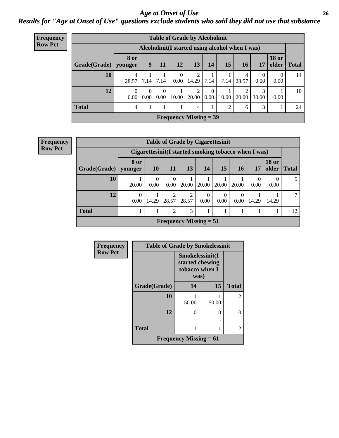#### *Age at Onset of Use* **26** *Results for "Age at Onset of Use" questions exclude students who said they did not use that substance*

| <b>Frequency</b> | <b>Table of Grade by Alcoholinit</b>             |                               |                   |                           |                               |            |                        |       |                         |                  |                       |              |
|------------------|--------------------------------------------------|-------------------------------|-------------------|---------------------------|-------------------------------|------------|------------------------|-------|-------------------------|------------------|-----------------------|--------------|
| <b>Row Pct</b>   | Alcoholinit (I started using alcohol when I was) |                               |                   |                           |                               |            |                        |       |                         |                  |                       |              |
|                  | Grade(Grade)   younger                           | <b>8</b> or                   | 9                 | 11                        | 12                            | 13         | 14                     | 15    | <b>16</b>               | 17               | <b>18 or</b><br>older | <b>Total</b> |
|                  | 10                                               | 4<br>28.57                    | 7.14              | 7.14                      | $\overline{0}$<br>0.00        | 14.29      | 7.14                   | 7.14  | 4<br>28.57              | $\Omega$<br>0.00 | $\theta$<br>0.00      | 14           |
|                  | 12                                               | $\left($<br>0.00 <sub>l</sub> | 0.00 <sub>l</sub> | $\theta$<br>$0.00\degree$ | 10.00                         | 2<br>20.00 | $\Omega$<br>$\pm 0.00$ | 10.00 | $\overline{2}$<br>20.00 | 3<br>30.00       | 10.00                 | 10           |
|                  | <b>Total</b>                                     | $\overline{4}$                |                   |                           |                               | 4          |                        | 2     | 6                       | 3                |                       | 24           |
|                  |                                                  |                               |                   |                           | <b>Frequency Missing = 39</b> |            |                        |       |                         |                  |                       |              |

| <b>Frequency</b> |
|------------------|
| <b>Row Pct</b>   |

|                        | <b>Table of Grade by Cigarettesinit</b> |                                                       |                  |                                            |                  |                  |                  |           |                       |              |
|------------------------|-----------------------------------------|-------------------------------------------------------|------------------|--------------------------------------------|------------------|------------------|------------------|-----------|-----------------------|--------------|
|                        |                                         | Cigarettesinit (I started smoking tobacco when I was) |                  |                                            |                  |                  |                  |           |                       |              |
| Grade(Grade)   younger | 8 or                                    | <b>10</b>                                             | <b>11</b>        | 13                                         | 14               | 15               | 16               | 17        | <b>18 or</b><br>older | <b>Total</b> |
| 10                     | 20.00                                   | $\Omega$<br>0.00                                      | $\Omega$<br>0.00 | 20.00                                      | 20.00            | 20.00            | 20.00            | 0<br>0.00 | 0.00                  |              |
| 12                     | $\Omega$<br>0.00                        | 14.29                                                 | 2<br>28.57       | 2<br>28.57                                 | $\Omega$<br>0.00 | $\Omega$<br>0.00 | $\Omega$<br>0.00 | 14.29     | 14.29                 |              |
| <b>Total</b>           |                                         |                                                       | $\overline{2}$   | 3                                          | 1                | 1                |                  |           |                       | 12           |
|                        |                                         |                                                       |                  | <b>Frequency Missing <math>= 51</math></b> |                  |                  |                  |           |                       |              |

| <b>Frequency</b> | <b>Table of Grade by Smokelessinit</b> |                                                              |       |                |  |  |  |  |
|------------------|----------------------------------------|--------------------------------------------------------------|-------|----------------|--|--|--|--|
| <b>Row Pct</b>   |                                        | Smokelessinit(I<br>started chewing<br>tobacco when I<br>was) |       |                |  |  |  |  |
|                  | Grade(Grade)                           | 14                                                           | 15    | <b>Total</b>   |  |  |  |  |
|                  | 10                                     | 50.00                                                        | 50.00 | $\overline{c}$ |  |  |  |  |
|                  | 12                                     | 0                                                            | 0     | 0              |  |  |  |  |
|                  | <b>Total</b>                           |                                                              |       | 2              |  |  |  |  |
|                  |                                        | <b>Frequency Missing = 61</b>                                |       |                |  |  |  |  |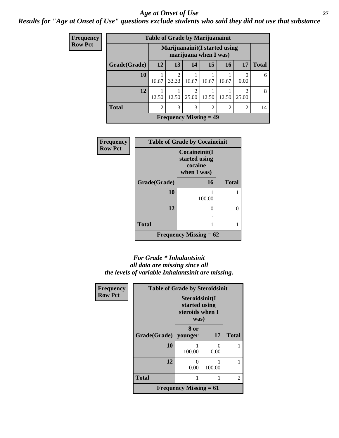#### *Age at Onset of Use* **27**

*Results for "Age at Onset of Use" questions exclude students who said they did not use that substance*

| <b>Frequency</b> |              | <b>Table of Grade by Marijuanainit</b>                  |                         |                          |                |                |                         |              |  |  |  |
|------------------|--------------|---------------------------------------------------------|-------------------------|--------------------------|----------------|----------------|-------------------------|--------------|--|--|--|
| <b>Row Pct</b>   |              | Marijuanainit (I started using<br>marijuana when I was) |                         |                          |                |                |                         |              |  |  |  |
|                  | Grade(Grade) | 12                                                      | 13                      | 14                       | 15             | 16             | 17                      | <b>Total</b> |  |  |  |
|                  | 10           | 16.67                                                   | $\overline{2}$<br>33.33 | 16.67                    | 16.67          | 16.67          | $\theta$<br>0.00        | 6            |  |  |  |
|                  | 12           | 12.50                                                   | 12.50                   | $\mathfrak{D}$<br>25.00  | 12.50          | 12.50          | $\mathfrak{D}$<br>25.00 | 8            |  |  |  |
|                  | <b>Total</b> | $\overline{2}$                                          | 3                       | 3                        | $\overline{2}$ | $\overline{2}$ | 2                       | 14           |  |  |  |
|                  |              |                                                         |                         | Frequency Missing $=$ 49 |                |                |                         |              |  |  |  |

| <b>Frequency</b> | <b>Table of Grade by Cocaineinit</b> |                                                          |              |  |  |  |  |
|------------------|--------------------------------------|----------------------------------------------------------|--------------|--|--|--|--|
| <b>Row Pct</b>   |                                      | Cocaineinit(I<br>started using<br>cocaine<br>when I was) |              |  |  |  |  |
|                  | Grade(Grade)                         | 16                                                       | <b>Total</b> |  |  |  |  |
|                  | 10                                   | 100.00                                                   |              |  |  |  |  |
|                  | 12                                   | $\Omega$                                                 | 0            |  |  |  |  |
|                  | <b>Total</b>                         |                                                          |              |  |  |  |  |
|                  |                                      | <b>Frequency Missing = 62</b>                            |              |  |  |  |  |

#### *For Grade \* Inhalantsinit all data are missing since all the levels of variable Inhalantsinit are missing.*

| Frequency      | <b>Table of Grade by Steroidsinit</b> |                                                            |           |                |
|----------------|---------------------------------------|------------------------------------------------------------|-----------|----------------|
| <b>Row Pct</b> |                                       | Steroidsinit(I<br>started using<br>steroids when I<br>was) |           |                |
|                | Grade(Grade)                          | 8 or<br>younger                                            | 17        | <b>Total</b>   |
|                | 10                                    | 100.00                                                     | 0<br>0.00 |                |
|                | 12                                    | O<br>0.00                                                  | 100.00    |                |
|                | <b>Total</b>                          |                                                            | 1         | $\mathfrak{D}$ |
|                |                                       | <b>Frequency Missing = 61</b>                              |           |                |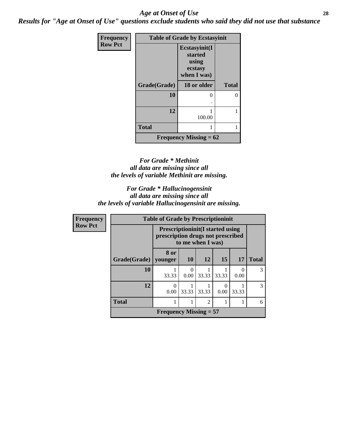#### *Age at Onset of Use* **28**

*Results for "Age at Onset of Use" questions exclude students who said they did not use that substance*

| Frequency      | <b>Table of Grade by Ecstasyinit</b> |                                                             |              |  |  |
|----------------|--------------------------------------|-------------------------------------------------------------|--------------|--|--|
| <b>Row Pct</b> |                                      | Ecstasyinit(I<br>started<br>using<br>ecstasy<br>when I was) |              |  |  |
|                | Grade(Grade)                         | 18 or older                                                 | <b>Total</b> |  |  |
|                | 10                                   | 0                                                           | 0            |  |  |
|                |                                      |                                                             |              |  |  |
|                | 12                                   | 100.00                                                      |              |  |  |
|                | <b>Total</b>                         | 1                                                           |              |  |  |
|                |                                      | Frequency Missing $= 62$                                    |              |  |  |

#### *For Grade \* Methinit all data are missing since all the levels of variable Methinit are missing.*

#### *For Grade \* Hallucinogensinit all data are missing since all the levels of variable Hallucinogensinit are missing.*

| Frequency      | <b>Table of Grade by Prescriptioninit</b> |                                                                                                   |       |                |       |       |               |
|----------------|-------------------------------------------|---------------------------------------------------------------------------------------------------|-------|----------------|-------|-------|---------------|
| <b>Row Pct</b> |                                           | <b>Prescriptioninit(I started using</b><br>prescription drugs not prescribed<br>to me when I was) |       |                |       |       |               |
|                | Grade(Grade)   younger                    | 8 or                                                                                              | 10    | <b>12</b>      | 15    | 17    | <b>Total</b>  |
|                | 10                                        | 33.33                                                                                             | 0.00  | 33.33          | 33.33 | 0.00  | 3             |
|                | 12                                        | 0<br>0.00                                                                                         | 33.33 | 33.33          | 0.00  | 33.33 | $\mathcal{F}$ |
|                | <b>Total</b>                              |                                                                                                   |       | $\overline{c}$ |       |       | 6             |
|                |                                           | <b>Frequency Missing = 57</b>                                                                     |       |                |       |       |               |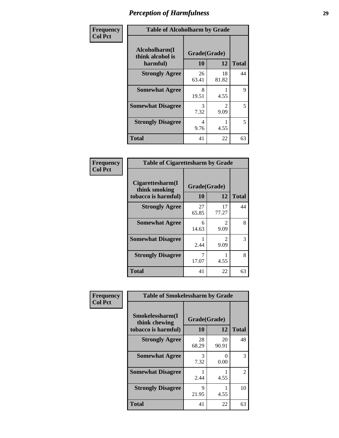| Frequency      | <b>Table of Alcoholharm by Grade</b>          |                    |                        |              |
|----------------|-----------------------------------------------|--------------------|------------------------|--------------|
| <b>Col Pct</b> | Alcoholharm(I<br>think alcohol is<br>harmful) | Grade(Grade)<br>10 | 12                     | <b>Total</b> |
|                | <b>Strongly Agree</b>                         | 26<br>63.41        | 18<br>81.82            | 44           |
|                | <b>Somewhat Agree</b>                         | 8<br>19.51         | 4.55                   | 9            |
|                | <b>Somewhat Disagree</b>                      | 3<br>7.32          | $\mathfrak{D}$<br>9.09 | 5            |
|                | <b>Strongly Disagree</b>                      | 4<br>9.76          | 4.55                   | 5            |
|                | <b>Total</b>                                  | 41                 | 22                     | 63           |

| <b>Table of Cigarettesharm by Grade</b>                  |                    |                        |              |  |  |
|----------------------------------------------------------|--------------------|------------------------|--------------|--|--|
| Cigarettesharm(I<br>think smoking<br>tobacco is harmful) | Grade(Grade)<br>10 | 12                     | <b>Total</b> |  |  |
| <b>Strongly Agree</b>                                    | 27<br>65.85        | 17<br>77.27            | 44           |  |  |
| <b>Somewhat Agree</b>                                    | 6<br>14.63         | $\mathfrak{D}$<br>9.09 | 8            |  |  |
| <b>Somewhat Disagree</b>                                 | 2.44               | $\mathfrak{D}$<br>9.09 | 3            |  |  |
| <b>Strongly Disagree</b>                                 | 7<br>17.07         | 4.55                   | 8            |  |  |
| <b>Total</b>                                             | 41                 | 22                     | 63           |  |  |

| Frequency      | <b>Table of Smokelessharm by Grade</b>                  |                    |             |              |
|----------------|---------------------------------------------------------|--------------------|-------------|--------------|
| <b>Col Pct</b> | Smokelessharm(I<br>think chewing<br>tobacco is harmful) | Grade(Grade)<br>10 | 12          | <b>Total</b> |
|                | <b>Strongly Agree</b>                                   | 28<br>68.29        | 20<br>90.91 | 48           |
|                | <b>Somewhat Agree</b>                                   | 3<br>7.32          | 0<br>0.00   | 3            |
|                | <b>Somewhat Disagree</b>                                | 2.44               | 4.55        | 2            |
|                | <b>Strongly Disagree</b>                                | 9<br>21.95         | 4.55        | 10           |
|                | <b>Total</b>                                            | 41                 | 22          | 63           |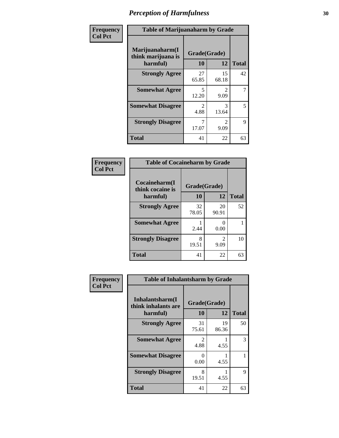| Frequency      | <b>Table of Marijuanaharm by Grade</b>            |                        |                                     |              |
|----------------|---------------------------------------------------|------------------------|-------------------------------------|--------------|
| <b>Col Pct</b> | Marijuanaharm(I<br>think marijuana is<br>harmful) | Grade(Grade)<br>10     | 12                                  | <b>Total</b> |
|                | <b>Strongly Agree</b>                             | 27<br>65.85            | 15<br>68.18                         | 42           |
|                | <b>Somewhat Agree</b>                             | 5<br>12.20             | $\mathfrak{D}$<br>9.09              | 7            |
|                | <b>Somewhat Disagree</b>                          | $\mathfrak{D}$<br>4.88 | 3<br>13.64                          | 5            |
|                | <b>Strongly Disagree</b>                          | 17.07                  | $\mathcal{D}_{\mathcal{L}}$<br>9.09 | 9            |
|                | <b>Total</b>                                      | 41                     | 22                                  | 63           |

| <b>Table of Cocaineharm by Grade</b> |              |                        |              |  |  |
|--------------------------------------|--------------|------------------------|--------------|--|--|
| Cocaineharm(I<br>think cocaine is    | Grade(Grade) |                        |              |  |  |
| harmful)                             | 10           | 12                     | <b>Total</b> |  |  |
| <b>Strongly Agree</b>                | 32<br>78.05  | 20<br>90.91            | 52           |  |  |
| <b>Somewhat Agree</b>                | 2.44         | 0<br>0.00              |              |  |  |
| <b>Strongly Disagree</b>             | 8<br>19.51   | $\mathfrak{D}$<br>9.09 | 10           |  |  |
| <b>Total</b>                         | 41           | 22                     | 63           |  |  |

| Frequency      |                                                     | <b>Table of Inhalantsharm by Grade</b> |                    |              |
|----------------|-----------------------------------------------------|----------------------------------------|--------------------|--------------|
| <b>Col Pct</b> | Inhalantsharm(I)<br>think inhalants are<br>harmful) | 10                                     | Grade(Grade)<br>12 | <b>Total</b> |
|                | <b>Strongly Agree</b>                               | 31<br>75.61                            | 19<br>86.36        | 50           |
|                | <b>Somewhat Agree</b>                               | $\mathcal{D}_{\mathcal{L}}$<br>4.88    | 4.55               | 3            |
|                | <b>Somewhat Disagree</b>                            | 0.00                                   | 4.55               |              |
|                | <b>Strongly Disagree</b>                            | 8<br>19.51                             | 4.55               | 9            |
|                | <b>Total</b>                                        | 41                                     | 22                 | 63           |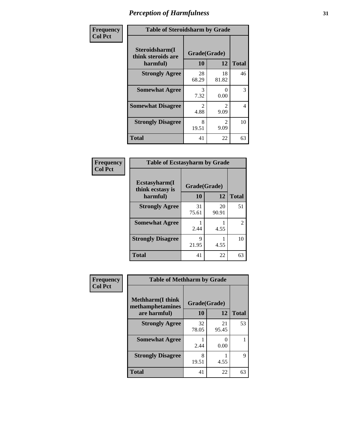| Frequency      | <b>Table of Steroidsharm by Grade</b>            |                                     |                                     |              |
|----------------|--------------------------------------------------|-------------------------------------|-------------------------------------|--------------|
| <b>Col Pct</b> | Steroidsharm(I<br>think steroids are<br>harmful) | Grade(Grade)<br>10                  | 12                                  | <b>Total</b> |
|                | <b>Strongly Agree</b>                            | 28<br>68.29                         | 18<br>81.82                         | 46           |
|                | <b>Somewhat Agree</b>                            | 3<br>7.32                           | 0<br>0.00                           | 3            |
|                | <b>Somewhat Disagree</b>                         | $\mathcal{D}_{\mathcal{L}}$<br>4.88 | $\mathcal{D}_{\mathcal{L}}$<br>9.09 | 4            |
|                | <b>Strongly Disagree</b>                         | 8<br>19.51                          | $\mathcal{L}$<br>9.09               | 10           |
|                | <b>Total</b>                                     | 41                                  | 22                                  | 63           |

| <b>Table of Ecstasyharm by Grade</b> |              |             |                             |  |  |
|--------------------------------------|--------------|-------------|-----------------------------|--|--|
| Ecstasyharm(I<br>think ecstasy is    | Grade(Grade) |             |                             |  |  |
| harmful)                             | 10           | 12          | <b>Total</b>                |  |  |
| <b>Strongly Agree</b>                | 31<br>75.61  | 20<br>90.91 | 51                          |  |  |
| <b>Somewhat Agree</b>                | 2.44         | 4.55        | $\mathcal{D}_{\mathcal{L}}$ |  |  |
| <b>Strongly Disagree</b>             | 9<br>21.95   | 4.55        | 10                          |  |  |
| <b>Total</b>                         | 41           | 22          | 63                          |  |  |

| Frequency      | <b>Table of Methharm by Grade</b>            |              |             |              |
|----------------|----------------------------------------------|--------------|-------------|--------------|
| <b>Col Pct</b> | <b>Methharm</b> (I think<br>methamphetamines | Grade(Grade) |             |              |
|                | are harmful)                                 | 10           | 12          | <b>Total</b> |
|                | <b>Strongly Agree</b>                        | 32<br>78.05  | 21<br>95.45 | 53           |
|                | <b>Somewhat Agree</b>                        | 2.44         | 0.00        |              |
|                | <b>Strongly Disagree</b>                     | 8<br>19.51   | 4.55        | 9            |
|                | <b>Total</b>                                 | 41           | 22          | 63           |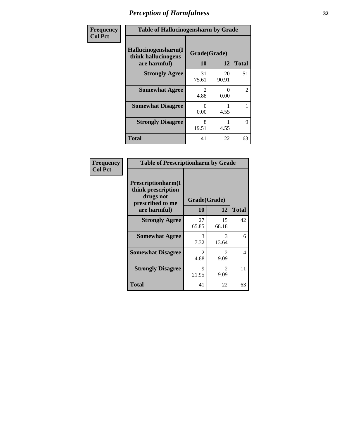| Frequency      | <b>Table of Hallucinogensharm by Grade</b>                 |                    |             |                |
|----------------|------------------------------------------------------------|--------------------|-------------|----------------|
| <b>Col Pct</b> | Hallucinogensharm(I<br>think hallucinogens<br>are harmful) | Grade(Grade)<br>10 | 12          | <b>Total</b>   |
|                | <b>Strongly Agree</b>                                      | 31<br>75.61        | 20<br>90.91 | 51             |
|                | <b>Somewhat Agree</b>                                      | 2<br>4.88          | 0<br>0.00   | $\overline{2}$ |
|                | <b>Somewhat Disagree</b>                                   | 0<br>0.00          | 4.55        | 1              |
|                | <b>Strongly Disagree</b>                                   | 8<br>19.51         | 4.55        | 9              |
|                | <b>Total</b>                                               | 41                 | 22          | 63             |

| <b>Table of Prescriptionharm by Grade</b>                                         |                                     |                                     |              |  |
|-----------------------------------------------------------------------------------|-------------------------------------|-------------------------------------|--------------|--|
| <b>Prescriptionharm</b> (I<br>think prescription<br>drugs not<br>prescribed to me | Grade(Grade)                        |                                     |              |  |
| are harmful)                                                                      | 10                                  | 12                                  | <b>Total</b> |  |
| <b>Strongly Agree</b>                                                             | 27<br>65.85                         | 15<br>68.18                         | 42           |  |
| <b>Somewhat Agree</b>                                                             | 3<br>7.32                           | 3<br>13.64                          | 6            |  |
| <b>Somewhat Disagree</b>                                                          | $\mathcal{D}_{\mathcal{L}}$<br>4.88 | $\mathcal{D}_{\mathcal{L}}$<br>9.09 | 4            |  |
| <b>Strongly Disagree</b>                                                          | 9<br>21.95                          | $\mathcal{L}$<br>9.09               | 11           |  |
| <b>Total</b>                                                                      | 41                                  | 22                                  | 63           |  |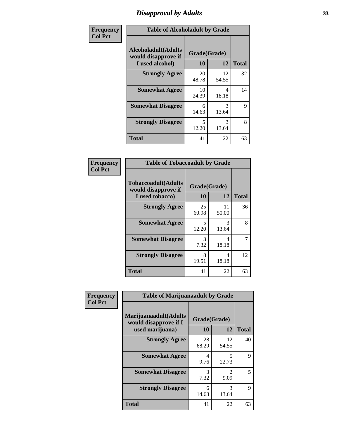### *Disapproval by Adults* **33**

| Frequency      | <b>Table of Alcoholadult by Grade</b>                                 |                    |                        |              |
|----------------|-----------------------------------------------------------------------|--------------------|------------------------|--------------|
| <b>Col Pct</b> | <b>Alcoholadult</b> (Adults<br>would disapprove if<br>I used alcohol) | Grade(Grade)<br>10 | 12                     | <b>Total</b> |
|                | <b>Strongly Agree</b>                                                 | 20<br>48.78        | 12<br>54.55            | 32           |
|                | <b>Somewhat Agree</b>                                                 | 10<br>24.39        | 4<br>18.18             | 14           |
|                | <b>Somewhat Disagree</b>                                              | 6<br>14.63         | 3<br>13.64             | 9            |
|                | <b>Strongly Disagree</b>                                              | 5<br>12.20         | $\mathcal{R}$<br>13.64 | 8            |
|                | <b>Total</b>                                                          | 41                 | 22                     | 63           |

| <b>Table of Tobaccoadult by Grade</b>                                 |                    |              |    |  |  |
|-----------------------------------------------------------------------|--------------------|--------------|----|--|--|
| <b>Tobaccoadult</b> (Adults<br>would disapprove if<br>I used tobacco) | Grade(Grade)<br>10 | <b>Total</b> |    |  |  |
| <b>Strongly Agree</b>                                                 | 25<br>60.98        | 11<br>50.00  | 36 |  |  |
| <b>Somewhat Agree</b>                                                 | 5<br>12.20         | 3<br>13.64   | 8  |  |  |
| <b>Somewhat Disagree</b>                                              | 3<br>7.32          | 4<br>18.18   |    |  |  |
| <b>Strongly Disagree</b>                                              | 8<br>19.51         | 4<br>18.18   | 12 |  |  |
| <b>Total</b>                                                          | 41                 | 22           | 63 |  |  |

| <b>Frequency</b> | <b>Table of Marijuanaadult by Grade</b>                           |                    |             |              |
|------------------|-------------------------------------------------------------------|--------------------|-------------|--------------|
| <b>Col Pct</b>   | Marijuanaadult(Adults<br>would disapprove if I<br>used marijuana) | Grade(Grade)<br>10 | 12          | <b>Total</b> |
|                  | <b>Strongly Agree</b>                                             | 28<br>68.29        | 12<br>54.55 | 40           |
|                  | <b>Somewhat Agree</b>                                             | 4<br>9.76          | 5<br>22.73  | 9            |
|                  | <b>Somewhat Disagree</b>                                          | 3<br>7.32          | 2<br>9.09   | 5            |
|                  | <b>Strongly Disagree</b>                                          | 6<br>14.63         | 3<br>13.64  | 9            |
|                  | <b>Total</b>                                                      | 41                 | 22          | 63           |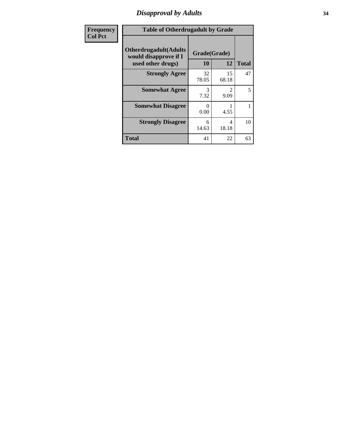### *Disapproval by Adults* **34**

| <b>Frequency</b> | <b>Table of Otherdrugadult by Grade</b>                                     |                          |              |              |
|------------------|-----------------------------------------------------------------------------|--------------------------|--------------|--------------|
| <b>Col Pct</b>   | <b>Otherdrugadult</b> (Adults<br>would disapprove if I<br>used other drugs) | Grade(Grade)<br>10       | 12           | <b>Total</b> |
|                  | <b>Strongly Agree</b>                                                       | 32                       | 15           | 47           |
|                  | <b>Somewhat Agree</b>                                                       | 78.05<br>3               | 68.18<br>2   | 5            |
|                  | <b>Somewhat Disagree</b>                                                    | 7.32<br>$\Omega$<br>0.00 | 9.09<br>4.55 |              |
|                  | <b>Strongly Disagree</b>                                                    | 6<br>14.63               | 4<br>18.18   | 10           |
|                  | <b>Total</b>                                                                | 41                       | 22           | 63           |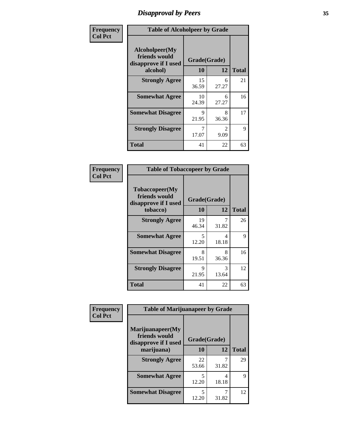### *Disapproval by Peers* **35**

| Frequency      | <b>Table of Alcoholpeer by Grade</b>                    |              |                        |              |
|----------------|---------------------------------------------------------|--------------|------------------------|--------------|
| <b>Col Pct</b> | Alcoholpeer(My<br>friends would<br>disapprove if I used | Grade(Grade) |                        |              |
|                | alcohol)                                                | 10           | 12                     | <b>Total</b> |
|                | <b>Strongly Agree</b>                                   | 15<br>36.59  | 6<br>27.27             | 21           |
|                | <b>Somewhat Agree</b>                                   | 10<br>24.39  | 6<br>27.27             | 16           |
|                | <b>Somewhat Disagree</b>                                | 9<br>21.95   | 8<br>36.36             | 17           |
|                | <b>Strongly Disagree</b>                                | 7<br>17.07   | $\mathfrak{D}$<br>9.09 | 9            |
|                | Total                                                   | 41           | 22                     | 63           |

| Frequency      | <b>Table of Tobaccopeer by Grade</b>                    |              |            |              |
|----------------|---------------------------------------------------------|--------------|------------|--------------|
| <b>Col Pct</b> | Tobaccopeer(My<br>friends would<br>disapprove if I used | Grade(Grade) |            |              |
|                | tobacco)                                                | 10           | 12         | <b>Total</b> |
|                | <b>Strongly Agree</b>                                   | 19<br>46.34  | 7<br>31.82 | 26           |
|                | <b>Somewhat Agree</b>                                   | 5<br>12.20   | 4<br>18.18 | 9            |
|                | <b>Somewhat Disagree</b>                                | 8<br>19.51   | 8<br>36.36 | 16           |
|                | <b>Strongly Disagree</b>                                | 9<br>21.95   | 3<br>13.64 | 12           |
|                | <b>Total</b>                                            | 41           | 22         | 63           |

| Frequency      | <b>Table of Marijuanapeer by Grade</b>                    |                          |              |    |
|----------------|-----------------------------------------------------------|--------------------------|--------------|----|
| <b>Col Pct</b> | Marijuanapeer(My<br>friends would<br>disapprove if I used | Grade(Grade)<br>10<br>12 |              |    |
|                | marijuana)                                                |                          | <b>Total</b> |    |
|                | <b>Strongly Agree</b>                                     | 22<br>53.66              | 31.82        | 29 |
|                | <b>Somewhat Agree</b>                                     | 5<br>12.20               | 4<br>18.18   | 9  |
|                | <b>Somewhat Disagree</b>                                  | 5<br>12.20               | 31.82        | 12 |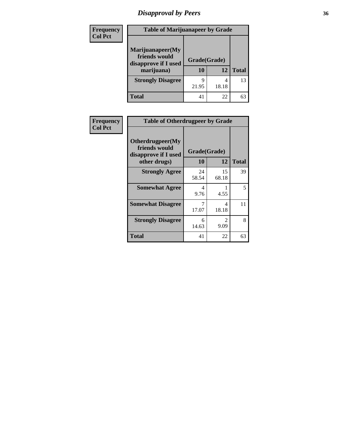## *Disapproval by Peers* **36**

| <b>Frequency</b> | <b>Table of Marijuanapeer by Grade</b>                                  |                    |            |              |  |
|------------------|-------------------------------------------------------------------------|--------------------|------------|--------------|--|
| <b>Col Pct</b>   | Marijuanapeer(My<br>friends would<br>disapprove if I used<br>marijuana) | Grade(Grade)<br>10 | 12         | <b>Total</b> |  |
|                  | <b>Strongly Disagree</b>                                                | q<br>21.95         | 4<br>18.18 | 13           |  |
|                  | <b>Total</b>                                                            | 41                 | 22         | 63           |  |

| Frequency      | <b>Table of Otherdrugpeer by Grade</b>                                    |                    |             |              |
|----------------|---------------------------------------------------------------------------|--------------------|-------------|--------------|
| <b>Col Pct</b> | Otherdrugpeer(My<br>friends would<br>disapprove if I used<br>other drugs) | Grade(Grade)<br>10 | 12          | <b>Total</b> |
|                | <b>Strongly Agree</b>                                                     | 24<br>58.54        | 15<br>68.18 | 39           |
|                | <b>Somewhat Agree</b>                                                     | 4<br>9.76          | 4.55        | 5            |
|                | <b>Somewhat Disagree</b>                                                  | 7<br>17.07         | 4<br>18.18  | 11           |
|                | <b>Strongly Disagree</b>                                                  | 6<br>14.63         | 2<br>9.09   | 8            |
|                | <b>Total</b>                                                              | 41                 | 22          | 63           |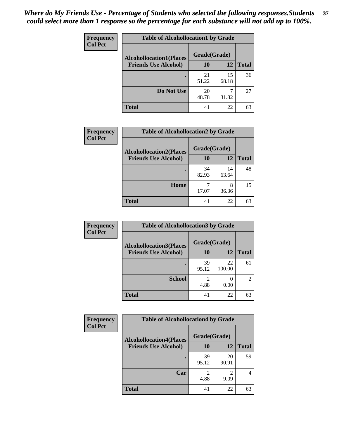| Frequency      | <b>Table of Alcohollocation1 by Grade</b> |              |             |              |
|----------------|-------------------------------------------|--------------|-------------|--------------|
| <b>Col Pct</b> | <b>Alcohollocation1(Places</b>            | Grade(Grade) |             |              |
|                | <b>Friends Use Alcohol)</b>               | 10           | 12          | <b>Total</b> |
|                |                                           | 21<br>51.22  | 15<br>68.18 | 36           |
|                | Do Not Use                                | 20<br>48.78  | 31.82       | 27           |
|                | <b>Total</b>                              | 41           | 22          | 63           |

| Frequency      | <b>Table of Alcohollocation2 by Grade</b> |              |             |              |
|----------------|-------------------------------------------|--------------|-------------|--------------|
| <b>Col Pct</b> | <b>Alcohollocation2(Places</b>            | Grade(Grade) |             |              |
|                | <b>Friends Use Alcohol)</b>               | 10           | 12          | <b>Total</b> |
|                |                                           | 34<br>82.93  | 14<br>63.64 | 48           |
|                | Home                                      | 17.07        | 8<br>36.36  | 15           |
|                | <b>Total</b>                              | 41           | 22          | 63           |

| Frequency<br><b>Col Pct</b> | <b>Table of Alcohollocation 3 by Grade</b>                    |                    |              |                |
|-----------------------------|---------------------------------------------------------------|--------------------|--------------|----------------|
|                             | <b>Alcohollocation3(Places</b><br><b>Friends Use Alcohol)</b> | Grade(Grade)<br>10 | 12           | <b>Total</b>   |
|                             |                                                               | 39<br>95.12        | 22<br>100.00 | 61             |
|                             | <b>School</b>                                                 | 2<br>4.88          | 0.00         | $\mathfrak{D}$ |
|                             | <b>Total</b>                                                  | 41                 | 22           | 63             |

| <b>Frequency</b> | <b>Table of Alcohollocation4 by Grade</b> |              |             |              |
|------------------|-------------------------------------------|--------------|-------------|--------------|
| <b>Col Pct</b>   | <b>Alcohollocation4(Places</b>            | Grade(Grade) |             |              |
|                  | <b>Friends Use Alcohol)</b>               | 10           | 12          | <b>Total</b> |
|                  |                                           | 39<br>95.12  | 20<br>90.91 | 59           |
|                  | Car                                       | 2<br>4.88    | 2<br>9.09   | 4            |
|                  | <b>Total</b>                              | 41           | 22          | 63           |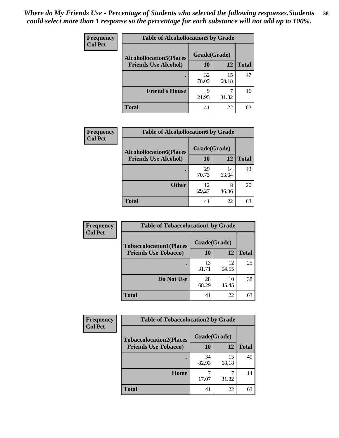| Frequency      | <b>Table of Alcohollocation5 by Grade</b>      |             |             |              |  |
|----------------|------------------------------------------------|-------------|-------------|--------------|--|
| <b>Col Pct</b> | Grade(Grade)<br><b>Alcohollocation5(Places</b> |             |             |              |  |
|                | <b>Friends Use Alcohol)</b>                    | 10          | 12          | <b>Total</b> |  |
|                |                                                | 32<br>78.05 | 15<br>68.18 | 47           |  |
|                | <b>Friend's House</b>                          | q<br>21.95  | 31.82       | 16           |  |
|                | <b>Total</b>                                   | 41          | 22          | 63           |  |

| <b>Frequency</b> | <b>Table of Alcohollocation6 by Grade</b>                     |                    |             |              |
|------------------|---------------------------------------------------------------|--------------------|-------------|--------------|
| <b>Col Pct</b>   | <b>Alcohollocation6(Places</b><br><b>Friends Use Alcohol)</b> | Grade(Grade)<br>10 | 12          | <b>Total</b> |
|                  |                                                               |                    |             |              |
|                  |                                                               | 29<br>70.73        | 14<br>63.64 | 43           |
|                  | <b>Other</b>                                                  | 12<br>29.27        | 8<br>36.36  | 20           |
|                  | <b>Total</b>                                                  | 41                 | 22          | 63           |

| <b>Frequency</b> | <b>Table of Tobaccolocation1 by Grade</b> |              |             |              |
|------------------|-------------------------------------------|--------------|-------------|--------------|
| <b>Col Pct</b>   | <b>Tobaccolocation1(Places</b>            | Grade(Grade) |             |              |
|                  | <b>Friends Use Tobacco)</b>               | 10           | 12          | <b>Total</b> |
|                  |                                           | 13<br>31.71  | 12<br>54.55 | 25           |
|                  | Do Not Use                                | 28<br>68.29  | 10<br>45.45 | 38           |
|                  | <b>Total</b>                              | 41           | 22          | 63           |

| <b>Frequency</b> | <b>Table of Tobaccolocation2 by Grade</b> |              |             |              |  |
|------------------|-------------------------------------------|--------------|-------------|--------------|--|
| <b>Col Pct</b>   | <b>Tobaccolocation2(Places</b>            | Grade(Grade) |             |              |  |
|                  | <b>Friends Use Tobacco)</b>               | 10           | 12          | <b>Total</b> |  |
|                  |                                           | 34<br>82.93  | 15<br>68.18 | 49           |  |
|                  | Home                                      | 17.07        | 31.82       | 14           |  |
|                  | <b>Total</b>                              | 41           | 22          | 63           |  |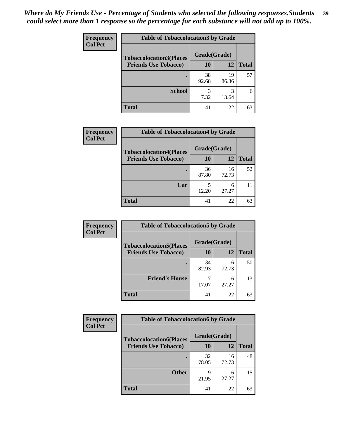| Frequency      | <b>Table of Tobaccolocation3 by Grade</b> |              |             |              |
|----------------|-------------------------------------------|--------------|-------------|--------------|
| <b>Col Pct</b> | <b>Tobaccolocation3(Places</b>            | Grade(Grade) |             |              |
|                | <b>Friends Use Tobacco)</b>               | 10           | 12          | <b>Total</b> |
|                |                                           | 38<br>92.68  | 19<br>86.36 | 57           |
|                | <b>School</b>                             | 3<br>7.32    | 3<br>13.64  | 6            |
|                | <b>Total</b>                              | 41           | 22          | 63           |

| Frequency      | <b>Table of Tobaccolocation4 by Grade</b> |              |             |              |
|----------------|-------------------------------------------|--------------|-------------|--------------|
| <b>Col Pct</b> | <b>Tobaccolocation4(Places</b>            | Grade(Grade) |             |              |
|                | <b>Friends Use Tobacco)</b>               | 10           | 12          | <b>Total</b> |
|                |                                           | 36<br>87.80  | 16<br>72.73 | 52           |
|                | Car                                       | 12.20        | 6<br>27.27  |              |
|                | <b>Total</b>                              | 41           | 22          | 63           |

| Frequency      | <b>Table of Tobaccolocation5 by Grade</b> |              |             |              |
|----------------|-------------------------------------------|--------------|-------------|--------------|
| <b>Col Pct</b> | <b>Tobaccolocation5(Places</b>            | Grade(Grade) |             |              |
|                | <b>Friends Use Tobacco)</b>               | 10           | 12          | <b>Total</b> |
|                |                                           | 34<br>82.93  | 16<br>72.73 | 50           |
|                | <b>Friend's House</b>                     | 17.07        | 6<br>27.27  | 13           |
|                | <b>Total</b>                              | 41           | 22          | 63           |

| <b>Frequency</b> | <b>Table of Tobaccolocation6 by Grade</b> |              |             |              |  |
|------------------|-------------------------------------------|--------------|-------------|--------------|--|
| <b>Col Pct</b>   | <b>Tobaccolocation6(Places</b>            | Grade(Grade) |             |              |  |
|                  | <b>Friends Use Tobacco)</b>               | 10           | 12          | <b>Total</b> |  |
|                  |                                           | 32<br>78.05  | 16<br>72.73 | 48           |  |
|                  | <b>Other</b>                              | q<br>21.95   | 6<br>27.27  | 15           |  |
|                  | <b>Total</b>                              | 41           | 22          | 63           |  |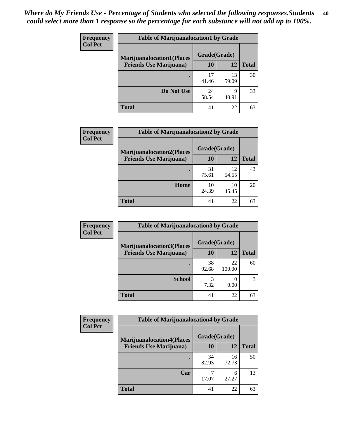| <b>Frequency</b> | <b>Table of Marijuanalocation1 by Grade</b> |              |             |              |
|------------------|---------------------------------------------|--------------|-------------|--------------|
| <b>Col Pct</b>   | <b>Marijuanalocation1(Places</b>            | Grade(Grade) |             |              |
|                  | <b>Friends Use Marijuana</b> )              | <b>10</b>    | 12          | <b>Total</b> |
|                  |                                             | 17<br>41.46  | 13<br>59.09 | 30           |
|                  | Do Not Use                                  | 24<br>58.54  | 9<br>40.91  | 33           |
|                  | <b>Total</b>                                | 41           | 22          | 63           |

| <b>Frequency</b> | <b>Table of Marijuanalocation2 by Grade</b>                        |                    |             |              |
|------------------|--------------------------------------------------------------------|--------------------|-------------|--------------|
| <b>Col Pct</b>   | <b>Marijuanalocation2(Places</b><br><b>Friends Use Marijuana</b> ) | Grade(Grade)<br>10 | 12          | <b>Total</b> |
|                  |                                                                    | 31<br>75.61        | 12<br>54.55 | 43           |
|                  | Home                                                               | 10<br>24.39        | 10<br>45.45 | 20           |
|                  | <b>Total</b>                                                       | 41                 | 22          | 63           |

| Frequency      | <b>Table of Marijuanalocation3 by Grade</b> |              |              |              |  |
|----------------|---------------------------------------------|--------------|--------------|--------------|--|
| <b>Col Pct</b> | <b>Marijuanalocation3</b> (Places           | Grade(Grade) |              |              |  |
|                | <b>Friends Use Marijuana</b> )              | <b>10</b>    | 12           | <b>Total</b> |  |
|                |                                             | 38<br>92.68  | 22<br>100.00 | 60           |  |
|                | <b>School</b>                               | 7.32         | 0.00         |              |  |
|                | <b>Total</b>                                | 41           | 22           | 63           |  |

| Frequency      | <b>Table of Marijuanalocation4 by Grade</b> |              |             |              |
|----------------|---------------------------------------------|--------------|-------------|--------------|
| <b>Col Pct</b> | <b>Marijuanalocation4(Places</b>            | Grade(Grade) |             |              |
|                | <b>Friends Use Marijuana</b> )              | <b>10</b>    | 12          | <b>Total</b> |
|                |                                             | 34<br>82.93  | 16<br>72.73 | 50           |
|                | Car                                         | 17.07        | 6<br>27.27  | 13           |
|                | <b>Total</b>                                | 41           | 22          | 63           |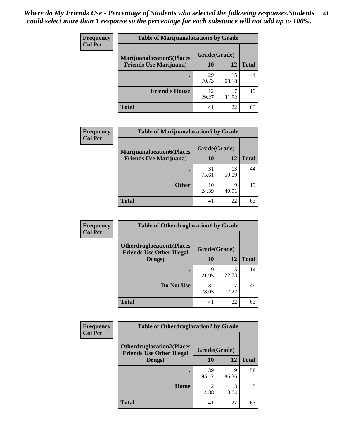| <b>Frequency</b> | <b>Table of Marijuanalocation5 by Grade</b> |              |             |              |
|------------------|---------------------------------------------|--------------|-------------|--------------|
| <b>Col Pct</b>   | <b>Marijuanalocation5(Places)</b>           | Grade(Grade) |             |              |
|                  | <b>Friends Use Marijuana</b> )              | 10           | 12          | <b>Total</b> |
|                  |                                             | 29<br>70.73  | 15<br>68.18 | 44           |
|                  | <b>Friend's House</b>                       | 12<br>29.27  | 31.82       | 19           |
|                  | Total                                       | 41           | 22          | 63           |

| <b>Frequency</b> | <b>Table of Marijuanalocation6 by Grade</b> |              |             |              |
|------------------|---------------------------------------------|--------------|-------------|--------------|
| <b>Col Pct</b>   | <b>Marijuanalocation6(Places</b>            | Grade(Grade) |             |              |
|                  | <b>Friends Use Marijuana</b> )              | 10           | 12          | <b>Total</b> |
|                  |                                             | 31<br>75.61  | 13<br>59.09 | 44           |
|                  | <b>Other</b>                                | 10<br>24.39  | q<br>40.91  | 19           |
|                  | <b>Total</b>                                | 41           | 22          | 63           |

| <b>Frequency</b> | <b>Table of Otherdruglocation1 by Grade</b>                          |              |             |              |
|------------------|----------------------------------------------------------------------|--------------|-------------|--------------|
| <b>Col Pct</b>   | <b>Otherdruglocation1(Places</b><br><b>Friends Use Other Illegal</b> | Grade(Grade) |             |              |
|                  | Drugs)                                                               | 10           | 12          | <b>Total</b> |
|                  |                                                                      | 9<br>21.95   | 22.73       | 14           |
|                  | Do Not Use                                                           | 32<br>78.05  | 17<br>77.27 | 49           |
|                  | <b>Total</b>                                                         | 41           | 22          | 63           |

| <b>Frequency</b> | <b>Table of Otherdruglocation2 by Grade</b>                          |                        |             |              |
|------------------|----------------------------------------------------------------------|------------------------|-------------|--------------|
| <b>Col Pct</b>   | <b>Otherdruglocation2(Places</b><br><b>Friends Use Other Illegal</b> | Grade(Grade)           |             |              |
|                  | Drugs)                                                               | 10                     | 12          | <b>Total</b> |
|                  |                                                                      | 39<br>95.12            | 19<br>86.36 | 58           |
|                  | Home                                                                 | $\mathfrak{D}$<br>4.88 | 3<br>13.64  | 5            |
|                  | Total                                                                | 41                     | 22          | 63           |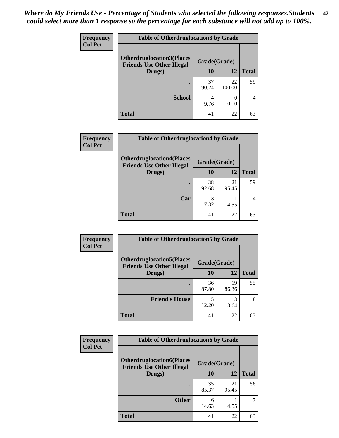| <b>Frequency</b> | <b>Table of Otherdruglocation 3 by Grade</b>                         |              |              |              |
|------------------|----------------------------------------------------------------------|--------------|--------------|--------------|
| <b>Col Pct</b>   | <b>Otherdruglocation3(Places</b><br><b>Friends Use Other Illegal</b> | Grade(Grade) |              |              |
|                  | Drugs)                                                               | 10           | 12           | <b>Total</b> |
|                  |                                                                      | 37<br>90.24  | 22<br>100.00 | 59           |
|                  | <b>School</b>                                                        | 4<br>9.76    | 0.00         |              |
|                  | <b>Total</b>                                                         | 41           | 22           | 63           |

| <b>Frequency</b> | <b>Table of Otherdruglocation4 by Grade</b>                          |              |             |              |
|------------------|----------------------------------------------------------------------|--------------|-------------|--------------|
| <b>Col Pct</b>   | <b>Otherdruglocation4(Places</b><br><b>Friends Use Other Illegal</b> | Grade(Grade) |             |              |
|                  | Drugs)                                                               | 10           | 12          | <b>Total</b> |
|                  |                                                                      | 38<br>92.68  | 21<br>95.45 | 59           |
|                  | Car                                                                  | 7.32         | 4.55        |              |
|                  | <b>Total</b>                                                         | 41           | 22          | 63           |

| <b>Frequency</b> | <b>Table of Otherdruglocation5 by Grade</b>                          |              |             |              |
|------------------|----------------------------------------------------------------------|--------------|-------------|--------------|
| <b>Col Pct</b>   | <b>Otherdruglocation5(Places</b><br><b>Friends Use Other Illegal</b> | Grade(Grade) |             |              |
|                  | Drugs)                                                               | 10           | 12          | <b>Total</b> |
|                  |                                                                      | 36<br>87.80  | 19<br>86.36 | 55           |
|                  | <b>Friend's House</b>                                                | 5<br>12.20   | 3<br>13.64  | 8            |
|                  | <b>Total</b>                                                         | 41           | 22          | 63           |

| <b>Frequency</b> | <b>Table of Otherdruglocation6 by Grade</b>                          |              |             |              |
|------------------|----------------------------------------------------------------------|--------------|-------------|--------------|
| <b>Col Pct</b>   | <b>Otherdruglocation6(Places</b><br><b>Friends Use Other Illegal</b> | Grade(Grade) |             |              |
|                  | Drugs)                                                               | <b>10</b>    | 12          | <b>Total</b> |
|                  |                                                                      | 35<br>85.37  | 21<br>95.45 | 56           |
|                  | <b>Other</b>                                                         | 6<br>14.63   | 4.55        |              |
|                  | <b>Total</b>                                                         | 41           | 22          | 63           |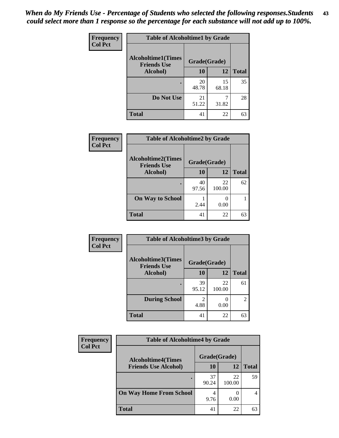| <b>Frequency</b> | <b>Table of Alcoholtime1 by Grade</b>           |              |             |              |
|------------------|-------------------------------------------------|--------------|-------------|--------------|
| <b>Col Pct</b>   | <b>Alcoholtime1(Times</b><br><b>Friends Use</b> | Grade(Grade) |             |              |
|                  | Alcohol)                                        | 10           | 12          | <b>Total</b> |
|                  |                                                 | 20<br>48.78  | 15<br>68.18 | 35           |
|                  | Do Not Use                                      | 21<br>51.22  | 31.82       | 28           |
|                  | <b>Total</b>                                    | 41           | 22          | 63           |

| Frequency      | <b>Table of Alcoholtime2 by Grade</b>           |              |              |              |
|----------------|-------------------------------------------------|--------------|--------------|--------------|
| <b>Col Pct</b> | <b>Alcoholtime2(Times</b><br><b>Friends Use</b> | Grade(Grade) |              |              |
|                | Alcohol)                                        | 10           | 12           | <b>Total</b> |
|                |                                                 | 40<br>97.56  | 22<br>100.00 | 62           |
|                | <b>On Way to School</b>                         | 2.44         | 0.00         |              |
|                | <b>Total</b>                                    | 41           | 22           | 63           |

| Frequency<br><b>Col Pct</b> | <b>Table of Alcoholtime3 by Grade</b>                           |                        |              |                |
|-----------------------------|-----------------------------------------------------------------|------------------------|--------------|----------------|
|                             | <b>Alcoholtime3(Times</b><br>Grade(Grade)<br><b>Friends Use</b> |                        |              |                |
|                             | Alcohol)                                                        | 10                     | 12           | <b>Total</b>   |
|                             |                                                                 | 39<br>95.12            | 22<br>100.00 | 61             |
|                             | <b>During School</b>                                            | $\overline{2}$<br>4.88 | 0.00         | $\overline{2}$ |
|                             | <b>Total</b>                                                    | 41                     | 22           | 63             |

| <b>Frequency</b><br><b>Col Pct</b> | <b>Table of Alcoholtime4 by Grade</b> |              |              |              |
|------------------------------------|---------------------------------------|--------------|--------------|--------------|
|                                    | <b>Alcoholtime4(Times</b>             | Grade(Grade) |              |              |
|                                    | <b>Friends Use Alcohol)</b>           | 10           | 12           | <b>Total</b> |
|                                    |                                       | 37<br>90.24  | 22<br>100.00 | 59           |
|                                    | <b>On Way Home From School</b>        | 9.76         | 0.00         |              |
|                                    | <b>Total</b>                          | 41           | 22           | 63           |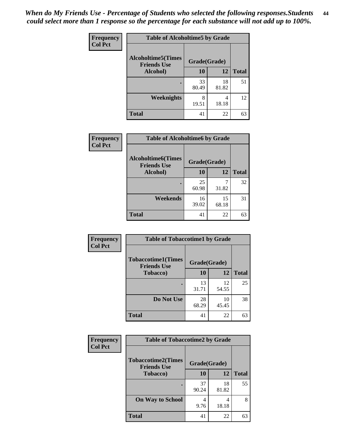*When do My Friends Use - Percentage of Students who selected the following responses.Students could select more than 1 response so the percentage for each substance will not add up to 100%.* **44**

| Frequency      | <b>Table of Alcoholtime5 by Grade</b>           |              |             |              |
|----------------|-------------------------------------------------|--------------|-------------|--------------|
| <b>Col Pct</b> | <b>Alcoholtime5(Times</b><br><b>Friends Use</b> | Grade(Grade) |             |              |
|                | Alcohol)                                        | 10           | 12          | <b>Total</b> |
|                |                                                 | 33<br>80.49  | 18<br>81.82 | 51           |
|                | <b>Weeknights</b>                               | 8<br>19.51   | 4<br>18.18  | 12           |
|                | <b>Total</b>                                    | 41           | 22          | 63           |

| Frequency      | <b>Table of Alcoholtime6 by Grade</b>           |              |             |              |
|----------------|-------------------------------------------------|--------------|-------------|--------------|
| <b>Col Pct</b> | <b>Alcoholtime6(Times</b><br><b>Friends Use</b> | Grade(Grade) |             |              |
|                | Alcohol)                                        | 10           | 12          | <b>Total</b> |
|                |                                                 | 25<br>60.98  | 31.82       | 32           |
|                | Weekends                                        | 16<br>39.02  | 15<br>68.18 | 31           |
|                | <b>Total</b>                                    | 41           | 22          | 63           |

| <b>Frequency</b><br><b>Col Pct</b> | <b>Table of Tobaccotime1 by Grade</b>           |              |             |              |
|------------------------------------|-------------------------------------------------|--------------|-------------|--------------|
|                                    | <b>Tobaccotime1(Times</b><br><b>Friends Use</b> | Grade(Grade) |             |              |
|                                    | <b>Tobacco</b> )                                | 10           | 12          | <b>Total</b> |
|                                    |                                                 | 13<br>31.71  | 12<br>54.55 | 25           |
|                                    | Do Not Use                                      | 28<br>68.29  | 10<br>45.45 | 38           |
|                                    | <b>Total</b>                                    | 41           | 22          | 63           |

| <b>Frequency</b> | <b>Table of Tobaccotime2 by Grade</b>           |              |             |              |
|------------------|-------------------------------------------------|--------------|-------------|--------------|
| <b>Col Pct</b>   | <b>Tobaccotime2(Times</b><br><b>Friends Use</b> | Grade(Grade) |             |              |
|                  | <b>Tobacco</b> )                                | 10           | 12          | <b>Total</b> |
|                  |                                                 | 37<br>90.24  | 18<br>81.82 | 55           |
|                  | <b>On Way to School</b>                         | 4<br>9.76    | 4<br>18.18  | 8            |
|                  | <b>Total</b>                                    | 41           | 22          | 63           |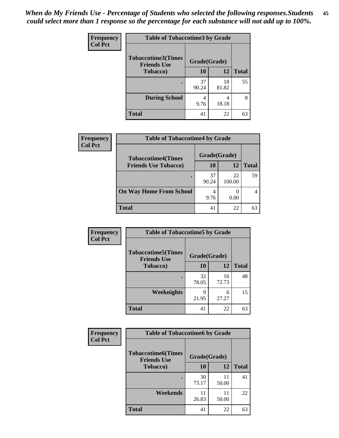*When do My Friends Use - Percentage of Students who selected the following responses.Students could select more than 1 response so the percentage for each substance will not add up to 100%.* **45**

| <b>Frequency</b> | <b>Table of Tobaccotime3 by Grade</b>           |              |             |              |
|------------------|-------------------------------------------------|--------------|-------------|--------------|
| <b>Col Pct</b>   | <b>Tobaccotime3(Times</b><br><b>Friends Use</b> | Grade(Grade) |             |              |
|                  | <b>Tobacco</b> )                                | 10           | 12          | <b>Total</b> |
|                  |                                                 | 37<br>90.24  | 18<br>81.82 | 55           |
|                  | <b>During School</b>                            | 4<br>9.76    | 4<br>18.18  | 8            |
|                  | <b>Total</b>                                    | 41           | 22          | 63           |

| <b>Frequency</b> | <b>Table of Tobaccotime4 by Grade</b> |              |              |              |
|------------------|---------------------------------------|--------------|--------------|--------------|
| <b>Col Pct</b>   | <b>Tobaccotime4(Times</b>             | Grade(Grade) |              |              |
|                  | <b>Friends Use Tobacco)</b>           | 10           | 12           | <b>Total</b> |
|                  |                                       | 37<br>90.24  | 22<br>100.00 | 59           |
|                  | <b>On Way Home From School</b>        | 4<br>9.76    | 0.00         |              |
|                  | <b>Total</b>                          | 41           | 22           | 63           |

| Frequency      | <b>Table of Tobaccotime5 by Grade</b>            |              |             |              |
|----------------|--------------------------------------------------|--------------|-------------|--------------|
| <b>Col Pct</b> | <b>Tobaccotime5</b> (Times<br><b>Friends Use</b> | Grade(Grade) |             |              |
|                | <b>Tobacco</b> )                                 | 10           | 12          | <b>Total</b> |
|                |                                                  | 32<br>78.05  | 16<br>72.73 | 48           |
|                | Weeknights                                       | Q<br>21.95   | 6<br>27.27  | 15           |
|                | <b>Total</b>                                     | 41           | 22          | 63           |

| Frequency<br><b>Col Pct</b> | <b>Table of Tobaccotime6 by Grade</b>           |              |             |              |
|-----------------------------|-------------------------------------------------|--------------|-------------|--------------|
|                             | <b>Tobaccotime6(Times</b><br><b>Friends Use</b> | Grade(Grade) |             |              |
|                             | <b>Tobacco</b> )                                | 10           | 12          | <b>Total</b> |
|                             |                                                 | 30<br>73.17  | 11<br>50.00 | 41           |
|                             | Weekends                                        | 11<br>26.83  | 11<br>50.00 | 22           |
|                             | <b>Total</b>                                    | 41           | 22          | 63           |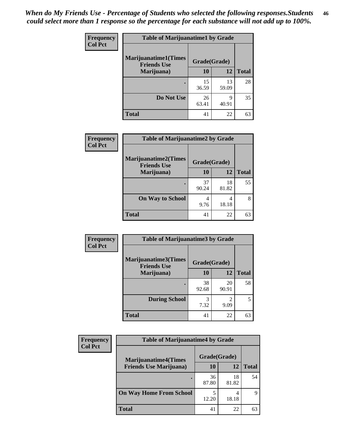| Frequency      | <b>Table of Marijuanatime1 by Grade</b>           |              |             |              |
|----------------|---------------------------------------------------|--------------|-------------|--------------|
| <b>Col Pct</b> | <b>Marijuanatime1(Times</b><br><b>Friends Use</b> | Grade(Grade) |             |              |
|                | Marijuana)                                        | 10           | 12          | <b>Total</b> |
|                |                                                   | 15<br>36.59  | 13<br>59.09 | 28           |
|                | Do Not Use                                        | 26<br>63.41  | q<br>40.91  | 35           |
|                | <b>Total</b>                                      | 41           | 22          | 63           |

| Frequency      | <b>Table of Marijuanatime2 by Grade</b>    |              |             |              |
|----------------|--------------------------------------------|--------------|-------------|--------------|
| <b>Col Pct</b> | Marijuanatime2(Times<br><b>Friends Use</b> | Grade(Grade) |             |              |
|                | Marijuana)                                 | 10           | 12          | <b>Total</b> |
|                | ٠                                          | 37<br>90.24  | 18<br>81.82 | 55           |
|                | <b>On Way to School</b>                    | 4<br>9.76    | 4<br>18.18  | 8            |
|                | <b>Total</b>                               | 41           | 22          | 63           |

| Frequency      | <b>Table of Marijuanatime3 by Grade</b>    |              |             |              |
|----------------|--------------------------------------------|--------------|-------------|--------------|
| <b>Col Pct</b> | Marijuanatime3(Times<br><b>Friends Use</b> | Grade(Grade) |             |              |
|                | Marijuana)                                 | 10           | 12          | <b>Total</b> |
|                |                                            | 38<br>92.68  | 20<br>90.91 | 58           |
|                | <b>During School</b>                       | 3<br>7.32    | 2<br>9.09   | 5            |
|                | <b>Total</b>                               | 41           | 22          | 63           |

| <b>Frequency</b> | <b>Table of Marijuanatime4 by Grade</b> |              |             |              |
|------------------|-----------------------------------------|--------------|-------------|--------------|
| <b>Col Pct</b>   | <b>Marijuanatime4(Times</b>             | Grade(Grade) |             |              |
|                  | <b>Friends Use Marijuana</b> )          | 10           | 12          | <b>Total</b> |
|                  |                                         | 36<br>87.80  | 18<br>81.82 | 54           |
|                  | <b>On Way Home From School</b>          | 5<br>12.20   | 18.18       | Q            |
|                  | <b>Total</b>                            | 41           | 22          | 63           |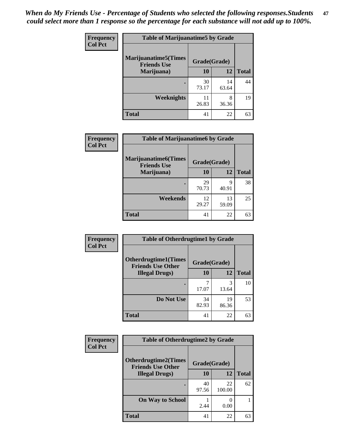| <b>Frequency</b> | <b>Table of Marijuanatime5 by Grade</b>            |              |             |              |
|------------------|----------------------------------------------------|--------------|-------------|--------------|
| <b>Col Pct</b>   | <b>Marijuanatime5</b> (Times<br><b>Friends Use</b> | Grade(Grade) |             |              |
|                  | Marijuana)                                         | 10           | 12          | <b>Total</b> |
|                  |                                                    | 30<br>73.17  | 14<br>63.64 | 44           |
|                  | Weeknights                                         | 11<br>26.83  | 8<br>36.36  | 19           |
|                  | <b>Total</b>                                       | 41           | 22          | 63           |

| <b>Frequency</b> | <b>Table of Marijuanatime6 by Grade</b>            |              |             |              |
|------------------|----------------------------------------------------|--------------|-------------|--------------|
| <b>Col Pct</b>   | <b>Marijuanatime6</b> (Times<br><b>Friends Use</b> | Grade(Grade) |             |              |
|                  | Marijuana)                                         | 10           | 12          | <b>Total</b> |
|                  | $\bullet$                                          | 29<br>70.73  | 9<br>40.91  | 38           |
|                  | Weekends                                           | 12<br>29.27  | 13<br>59.09 | 25           |
|                  | <b>Total</b>                                       | 41           | 22          | 63           |

| Frequency      | <b>Table of Otherdrugtime1 by Grade</b>                 |              |             |              |
|----------------|---------------------------------------------------------|--------------|-------------|--------------|
| <b>Col Pct</b> | <b>Otherdrugtime1(Times</b><br><b>Friends Use Other</b> | Grade(Grade) |             |              |
|                | <b>Illegal Drugs</b> )                                  | 10           | 12          | <b>Total</b> |
|                |                                                         | 17.07        | 3<br>13.64  | 10           |
|                | Do Not Use                                              | 34<br>82.93  | 19<br>86.36 | 53           |
|                | <b>Total</b>                                            | 41           | 22          | 63           |

| <b>Frequency</b><br><b>Col Pct</b> | <b>Table of Otherdrugtime2 by Grade</b>                 |              |              |              |
|------------------------------------|---------------------------------------------------------|--------------|--------------|--------------|
|                                    | <b>Otherdrugtime2(Times</b><br><b>Friends Use Other</b> | Grade(Grade) |              |              |
|                                    | <b>Illegal Drugs</b> )                                  | 10           | 12           | <b>Total</b> |
|                                    |                                                         | 40<br>97.56  | 22<br>100.00 | 62           |
|                                    | <b>On Way to School</b>                                 | 2.44         | 0.00         |              |
|                                    | <b>Total</b>                                            | 41           | 22           | 63           |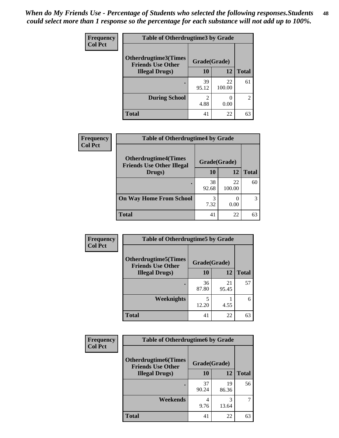| <b>Frequency</b> | <b>Table of Otherdrugtime3 by Grade</b>          |              |                          |              |
|------------------|--------------------------------------------------|--------------|--------------------------|--------------|
| <b>Col Pct</b>   | Otherdrugtime3(Times<br><b>Friends Use Other</b> | Grade(Grade) |                          |              |
|                  | <b>Illegal Drugs</b> )                           | 10           | 12                       | <b>Total</b> |
|                  |                                                  | 39<br>95.12  | 22<br>100.00             | 61           |
|                  | <b>During School</b>                             | 2<br>4.88    | $\left( \right)$<br>0.00 | 2            |
|                  | <b>Total</b>                                     | 41           | 22                       | 63           |

| Frequency      | <b>Table of Otherdrugtime4 by Grade</b>                         |              |              |              |
|----------------|-----------------------------------------------------------------|--------------|--------------|--------------|
| <b>Col Pct</b> | <b>Otherdrugtime4(Times</b><br><b>Friends Use Other Illegal</b> | Grade(Grade) |              |              |
|                | Drugs)                                                          | 10           | 12           | <b>Total</b> |
|                | $\bullet$                                                       | 38<br>92.68  | 22<br>100.00 | 60           |
|                | <b>On Way Home From School</b>                                  | 3<br>7.32    | 0.00         | 3            |
|                | <b>Total</b>                                                    | 41           | 22           | 63           |

| <b>Frequency</b> | <b>Table of Otherdrugtime5 by Grade</b>                  |              |             |              |
|------------------|----------------------------------------------------------|--------------|-------------|--------------|
| <b>Col Pct</b>   | <b>Otherdrugtime5</b> (Times<br><b>Friends Use Other</b> | Grade(Grade) |             |              |
|                  | <b>Illegal Drugs</b> )                                   | 10           | 12          | <b>Total</b> |
|                  |                                                          | 36<br>87.80  | 21<br>95.45 | 57           |
|                  | <b>Weeknights</b>                                        | 5<br>12.20   | 4.55        | 6            |
|                  | Total                                                    | 41           | 22          | 63           |

| <b>Frequency</b> | <b>Table of Otherdrugtime6 by Grade</b>                 |              |             |              |
|------------------|---------------------------------------------------------|--------------|-------------|--------------|
| <b>Col Pct</b>   | <b>Otherdrugtime6(Times</b><br><b>Friends Use Other</b> | Grade(Grade) |             |              |
|                  | <b>Illegal Drugs</b> )                                  | 10           | 12          | <b>Total</b> |
|                  |                                                         | 37<br>90.24  | 19<br>86.36 | 56           |
|                  | Weekends                                                | 4<br>9.76    | 3<br>13.64  | 7            |
|                  | <b>Total</b>                                            | 41           | 22          | 63           |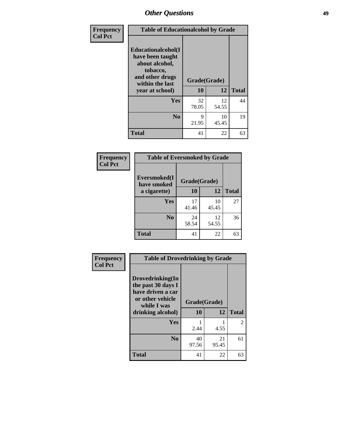| Frequency      | <b>Table of Educationalcohol by Grade</b>                                                                  |              |             |              |
|----------------|------------------------------------------------------------------------------------------------------------|--------------|-------------|--------------|
| <b>Col Pct</b> | Educationalcohol(I<br>have been taught<br>about alcohol,<br>tobacco,<br>and other drugs<br>within the last | Grade(Grade) |             |              |
|                | year at school)                                                                                            | 10           | 12          | <b>Total</b> |
|                | Yes                                                                                                        | 32<br>78.05  | 12<br>54.55 | 44           |
|                | N <sub>0</sub>                                                                                             | 9<br>21.95   | 10<br>45.45 | 19           |
|                | <b>Total</b>                                                                                               | 41           | 22          | 63           |

| Frequency      | <b>Table of Eversmoked by Grade</b> |              |             |              |
|----------------|-------------------------------------|--------------|-------------|--------------|
| <b>Col Pct</b> | Eversmoked(I<br>have smoked         | Grade(Grade) |             |              |
|                | a cigarette)                        | 10           | 12          | <b>Total</b> |
|                | <b>Yes</b>                          | 17<br>41.46  | 10<br>45.45 | 27           |
|                | N <sub>0</sub>                      | 24<br>58.54  | 12<br>54.55 | 36           |
|                | <b>Total</b>                        | 41           | 22          | 63           |

| Frequency      | <b>Table of Drovedrinking by Grade</b>                                                                              |                    |             |              |
|----------------|---------------------------------------------------------------------------------------------------------------------|--------------------|-------------|--------------|
| <b>Col Pct</b> | Drovedrinking(In<br>the past 30 days I<br>have driven a car<br>or other vehicle<br>while I was<br>drinking alcohol) | Grade(Grade)<br>10 | 12          | <b>Total</b> |
|                | Yes                                                                                                                 | 2.44               | 4.55        | 2            |
|                | N <sub>0</sub>                                                                                                      | 40<br>97.56        | 21<br>95.45 | 61           |
|                | <b>Total</b>                                                                                                        | 41                 | 22          | 63           |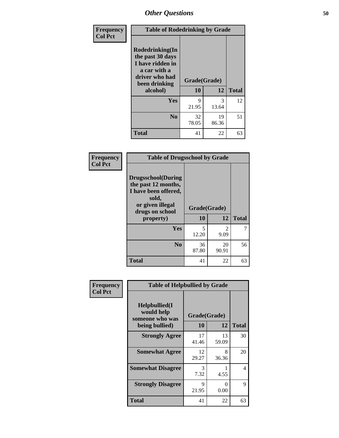| Frequency<br><b>Col Pct</b> | <b>Table of Rodedrinking by Grade</b>                                                                      |              |             |              |
|-----------------------------|------------------------------------------------------------------------------------------------------------|--------------|-------------|--------------|
|                             | Rodedrinking(In<br>the past 30 days<br>I have ridden in<br>a car with a<br>driver who had<br>been drinking | Grade(Grade) |             |              |
|                             | alcohol)                                                                                                   | 10           | 12          | <b>Total</b> |
|                             | <b>Yes</b>                                                                                                 | 9<br>21.95   | 3<br>13.64  | 12           |
|                             | N <sub>0</sub>                                                                                             | 32<br>78.05  | 19<br>86.36 | 51           |
|                             | <b>Total</b>                                                                                               | 41           | 22          | 63           |

#### **Frequency Col Pct**

| <b>Table of Drugsschool by Grade</b>                                                                                      |              |             |              |
|---------------------------------------------------------------------------------------------------------------------------|--------------|-------------|--------------|
| <b>Drugsschool</b> (During<br>the past 12 months,<br>I have been offered,<br>sold,<br>or given illegal<br>drugs on school | Grade(Grade) |             |              |
| property)                                                                                                                 | 10           | 12          | <b>Total</b> |
| Yes                                                                                                                       | 5<br>12.20   | 2<br>9.09   |              |
| N <sub>0</sub>                                                                                                            | 36<br>87.80  | 20<br>90.91 | 56           |
| <b>Total</b>                                                                                                              | 41           | 22          | 63           |

| Frequency      | <b>Table of Helpbullied by Grade</b>                             |                           |             |              |
|----------------|------------------------------------------------------------------|---------------------------|-------------|--------------|
| <b>Col Pct</b> | Helpbullied(I<br>would help<br>someone who was<br>being bullied) | Grade(Grade)<br><b>10</b> | 12          | <b>Total</b> |
|                |                                                                  |                           |             |              |
|                | <b>Strongly Agree</b>                                            | 17<br>41.46               | 13<br>59.09 | 30           |
|                | <b>Somewhat Agree</b>                                            | 12<br>29.27               | 8<br>36.36  | 20           |
|                | <b>Somewhat Disagree</b>                                         | 3<br>7.32                 | 4.55        | 4            |
|                | <b>Strongly Disagree</b>                                         | 9<br>21.95                | 0<br>0.00   | 9            |
|                | <b>Total</b>                                                     | 41                        | 22          | 63           |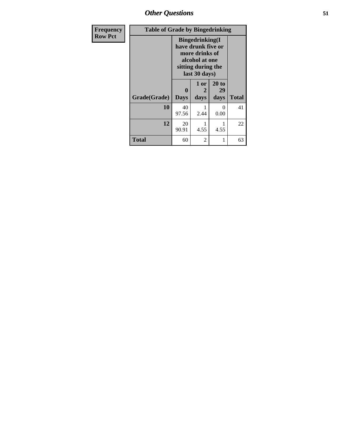*Other Questions* **51**

| <b>Frequency</b> | <b>Table of Grade by Bingedrinking</b> |                  |                                                                                                                          |                     |              |
|------------------|----------------------------------------|------------------|--------------------------------------------------------------------------------------------------------------------------|---------------------|--------------|
| <b>Row Pct</b>   |                                        |                  | <b>Bingedrinking</b> (I<br>have drunk five or<br>more drinks of<br>alcohol at one<br>sitting during the<br>last 30 days) |                     |              |
|                  | Grade(Grade)                           | 0<br><b>Days</b> | $1$ or<br>2<br>days                                                                                                      | 20 to<br>29<br>days | <b>Total</b> |
|                  | 10                                     | 40<br>97.56      | 2.44                                                                                                                     | ∩<br>0.00           | 41           |
|                  | 12                                     | 20<br>90.91      | 1<br>4.55                                                                                                                | 4.55                | 22           |
|                  | <b>Total</b>                           | 60               | 2                                                                                                                        |                     | 63           |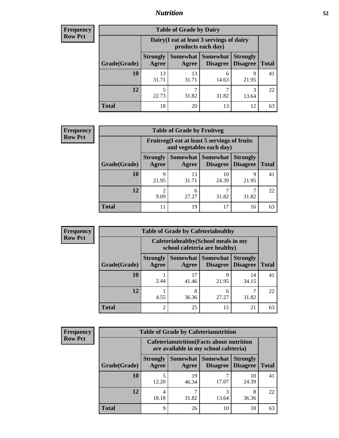## *Nutrition* **52**

| Frequency |
|-----------|
| Row Pct   |

|              |                          | <b>Table of Grade by Dairy</b>            |                                    |                                    |              |
|--------------|--------------------------|-------------------------------------------|------------------------------------|------------------------------------|--------------|
|              |                          | Dairy (I eat at least 3 servings of dairy | products each day)                 |                                    |              |
| Grade(Grade) | <b>Strongly</b><br>Agree | Somewhat  <br>Agree                       | <b>Somewhat</b><br><b>Disagree</b> | <b>Strongly</b><br><b>Disagree</b> | <b>Total</b> |
| 10           | 13<br>31.71              | 13<br>31.71                               | 6<br>14.63                         | 9<br>21.95                         | 41           |
| 12           | 5<br>22.73               | ⇁<br>31.82                                | ┑<br>31.82                         | 3<br>13.64                         | 22           |
| <b>Total</b> | 18                       | 20                                        | 13                                 | 12                                 | 63           |

| <b>Frequency</b> |  |
|------------------|--|
| <b>Row Pct</b>   |  |

| $\mathbf{y}$ |              |                          | <b>Table of Grade by Fruitveg</b> |                                                                          |                                    |              |
|--------------|--------------|--------------------------|-----------------------------------|--------------------------------------------------------------------------|------------------------------------|--------------|
|              |              |                          |                                   | Fruitveg(I eat at least 5 servings of fruits<br>and vegetables each day) |                                    |              |
|              | Grade(Grade) | <b>Strongly</b><br>Agree | Somewhat  <br>Agree               | <b>Somewhat</b><br>Disagree                                              | <b>Strongly</b><br><b>Disagree</b> | <b>Total</b> |
|              | <b>10</b>    | 9<br>21.95               | 13<br>31.71                       | 10<br>24.39                                                              | 9<br>21.95                         | 41           |
|              | 12           | 9.09                     | 6<br>27.27                        | 31.82                                                                    | 31.82                              | 22           |
|              | <b>Total</b> | 11                       | 19                                | 17                                                                       | 16                                 | 63           |

| Frequency<br>Row Pct |
|----------------------|
|----------------------|

| <b>Table of Grade by Cafeteriahealthy</b> |                          |                                                                       |            |                                        |              |  |  |
|-------------------------------------------|--------------------------|-----------------------------------------------------------------------|------------|----------------------------------------|--------------|--|--|
|                                           |                          | Cafeteriahealthy (School meals in my<br>school cafeteria are healthy) |            |                                        |              |  |  |
| Grade(Grade)                              | <b>Strongly</b><br>Agree | Somewhat  <br>Agree                                                   | Somewhat   | <b>Strongly</b><br>Disagree   Disagree | <b>Total</b> |  |  |
| 10                                        | 2.44                     | 41.46                                                                 | q<br>21.95 | 14<br>34.15                            | 41           |  |  |
| 12                                        | 4.55                     | 36.36                                                                 | 6<br>27.27 | 31.82                                  | 22           |  |  |
| <b>Total</b>                              | 2                        | 25                                                                    | 15         | 21                                     |              |  |  |

| <b>Frequency</b> |
|------------------|
| <b>Row Pct</b>   |

| <b>Table of Grade by Cafeterianutrition</b> |                          |                                                                                           |                                 |                                    |              |  |
|---------------------------------------------|--------------------------|-------------------------------------------------------------------------------------------|---------------------------------|------------------------------------|--------------|--|
|                                             |                          | <b>Cafeterianutrition</b> (Facts about nutrition<br>are available in my school cafeteria) |                                 |                                    |              |  |
| Grade(Grade)                                | <b>Strongly</b><br>Agree | Agree                                                                                     | Somewhat   Somewhat<br>Disagree | <b>Strongly</b><br><b>Disagree</b> | <b>Total</b> |  |
| 10                                          | 5<br>12.20               | 19<br>46.34                                                                               | 17.07                           | 10<br>24.39                        | 41           |  |
| 12                                          | 4<br>18.18               | 31.82                                                                                     | 3<br>13.64                      | 8<br>36.36                         | 22           |  |
| <b>Total</b>                                | 9                        | 26                                                                                        | 10                              | 18                                 | 63           |  |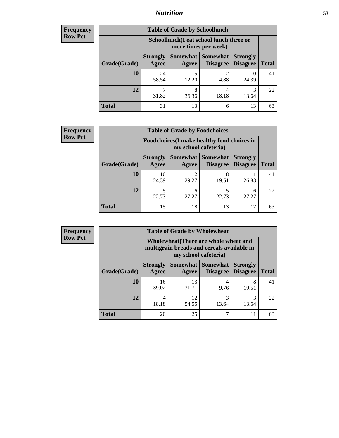## *Nutrition* **53**

| <b>Frequency</b> |
|------------------|
| <b>Row Pct</b>   |

| <b>Table of Grade by Schoollunch</b> |                          |                                                                 |                                   |                                    |              |  |
|--------------------------------------|--------------------------|-----------------------------------------------------------------|-----------------------------------|------------------------------------|--------------|--|
|                                      |                          | Schoollunch(I eat school lunch three or<br>more times per week) |                                   |                                    |              |  |
| Grade(Grade)                         | <b>Strongly</b><br>Agree | Agree                                                           | Somewhat   Somewhat  <br>Disagree | <b>Strongly</b><br><b>Disagree</b> | <b>Total</b> |  |
| 10                                   | 24<br>58.54              | 12.20                                                           | ി<br>4.88                         | 10<br>24.39                        | 41           |  |
| 12                                   | ¬<br>31.82               | 8<br>36.36                                                      | 4<br>18.18                        | 13.64                              | 22           |  |
| <b>Total</b>                         | 31                       | 13                                                              | 6                                 | 13                                 | 63           |  |

| <b>Frequency</b> |  |
|------------------|--|
| <b>Row Pct</b>   |  |

| <b>y</b> | <b>Table of Grade by Foodchoices</b> |                                 |                                                                     |                                 |                 |              |  |
|----------|--------------------------------------|---------------------------------|---------------------------------------------------------------------|---------------------------------|-----------------|--------------|--|
|          |                                      |                                 | Foodchoices (I make healthy food choices in<br>my school cafeteria) |                                 |                 |              |  |
|          | Grade(Grade)                         | <b>Strongly</b><br><b>Agree</b> | Somewhat  <br>Agree                                                 | Somewhat<br>Disagree   Disagree | <b>Strongly</b> | <b>Total</b> |  |
|          | 10                                   | 10<br>24.39                     | 12<br>29.27                                                         | 19.51                           | 11<br>26.83     | 41           |  |
|          | 12                                   | 22.73                           | 6<br>27.27                                                          | 22.73                           | 6<br>27.27      | 22           |  |
|          | <b>Total</b>                         | 15                              | 18                                                                  | 13                              | 17              | 63           |  |

| Frequency |  |
|-----------|--|
|           |  |

| <b>Table of Grade by Wholewheat</b> |                          |                                                                                                             |                                        |                                    |              |  |
|-------------------------------------|--------------------------|-------------------------------------------------------------------------------------------------------------|----------------------------------------|------------------------------------|--------------|--|
|                                     |                          | Wholewheat (There are whole wheat and<br>multigrain breads and cereals available in<br>my school cafeteria) |                                        |                                    |              |  |
| Grade(Grade)                        | <b>Strongly</b><br>Agree | Agree                                                                                                       | <b>Somewhat   Somewhat</b><br>Disagree | <b>Strongly</b><br><b>Disagree</b> | <b>Total</b> |  |
| 10                                  | 16<br>39.02              | 13<br>31.71                                                                                                 | 4<br>9.76                              | 8<br>19.51                         | 41           |  |
| 12                                  | 4<br>18.18               | 12<br>54.55                                                                                                 | 3<br>13.64                             | 3<br>13.64                         | 22           |  |
| <b>Total</b>                        | 20                       | 25                                                                                                          | ┑                                      |                                    | 63           |  |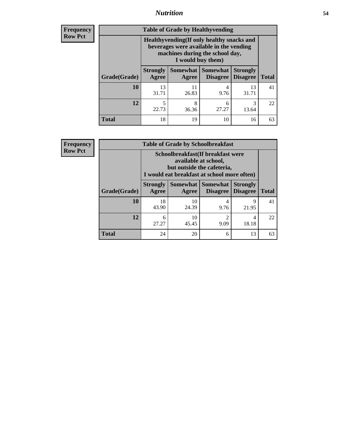## *Nutrition* **54**

**Frequency Row Pct**

| <b>Table of Grade by Healthyvending</b> |                                                                                                                                               |                          |                             |                                    |              |  |
|-----------------------------------------|-----------------------------------------------------------------------------------------------------------------------------------------------|--------------------------|-----------------------------|------------------------------------|--------------|--|
|                                         | Healthyvending (If only healthy snacks and<br>beverages were available in the vending<br>machines during the school day,<br>I would buy them) |                          |                             |                                    |              |  |
| Grade(Grade)                            | <b>Strongly</b><br>Agree                                                                                                                      | <b>Somewhat</b><br>Agree | <b>Somewhat</b><br>Disagree | <b>Strongly</b><br><b>Disagree</b> | <b>Total</b> |  |
| 10                                      | 13<br>31.71                                                                                                                                   | 11<br>26.83              | 4<br>9.76                   | 13<br>31.71                        | 41           |  |
| 12                                      | 5<br>22.73                                                                                                                                    | 8<br>36.36               | 6<br>27.27                  | 3<br>13.64                         | 22           |  |
| <b>Total</b>                            | 18                                                                                                                                            | 19                       | 10                          | 16                                 | 63           |  |

**Frequency Row Pct**

| <b>Table of Grade by Schoolbreakfast</b> |                                                                                                                                        |             |                   |                                        |              |  |
|------------------------------------------|----------------------------------------------------------------------------------------------------------------------------------------|-------------|-------------------|----------------------------------------|--------------|--|
|                                          | Schoolbreakfast(If breakfast were<br>available at school,<br>but outside the cafeteria,<br>I would eat breakfast at school more often) |             |                   |                                        |              |  |
| Grade(Grade)                             | <b>Strongly</b><br>Agree                                                                                                               | Agree       | Somewhat Somewhat | <b>Strongly</b><br>Disagree   Disagree | <b>Total</b> |  |
| 10                                       | 18<br>43.90                                                                                                                            | 10<br>24.39 | 4<br>9.76         | 9<br>21.95                             | 41           |  |
| 12                                       | 6<br>27.27                                                                                                                             | 10<br>45.45 | 2<br>9.09         | 4<br>18.18                             | 22           |  |
| <b>Total</b>                             | 24                                                                                                                                     | 20          | 6                 | 13                                     | 63           |  |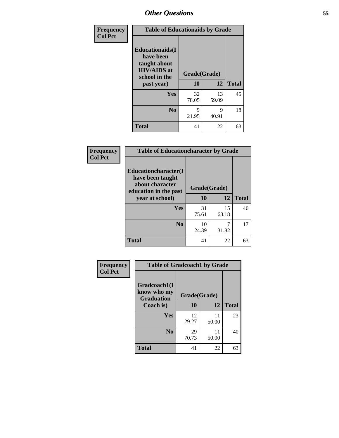| Frequency<br><b>Col Pct</b> | <b>Table of Educationaids by Grade</b>                                                                    |                    |             |              |  |  |
|-----------------------------|-----------------------------------------------------------------------------------------------------------|--------------------|-------------|--------------|--|--|
|                             | <b>Educationaids</b> (I<br>have been<br>taught about<br><b>HIV/AIDS</b> at<br>school in the<br>past year) | Grade(Grade)<br>10 | 12          | <b>Total</b> |  |  |
|                             | Yes                                                                                                       | 32<br>78.05        | 13<br>59.09 | 45           |  |  |
|                             | N <sub>0</sub>                                                                                            | 9<br>21.95         | 9<br>40.91  | 18           |  |  |
|                             | <b>Total</b>                                                                                              | 41                 | 22          | 63           |  |  |

| <b>Frequency</b> | <b>Table of Educationcharacter by Grade</b>                 |              |             |              |
|------------------|-------------------------------------------------------------|--------------|-------------|--------------|
| <b>Col Pct</b>   | Educationcharacter(I<br>have been taught<br>about character | Grade(Grade) |             |              |
|                  | education in the past<br>year at school)                    | 10           | 12          | <b>Total</b> |
|                  | <b>Yes</b>                                                  | 31<br>75.61  | 15<br>68.18 | 46           |
|                  | N <sub>0</sub>                                              | 10<br>24.39  | 7<br>31.82  | 17           |
|                  | <b>Total</b>                                                | 41           | 22          | 63           |

| Frequency      | <b>Table of Gradcoach1 by Grade</b> |              |             |              |
|----------------|-------------------------------------|--------------|-------------|--------------|
| <b>Col Pct</b> | Gradcoach1(I<br>know who my         | Grade(Grade) |             |              |
|                | <b>Graduation</b><br>Coach is)      | 10           | 12          | <b>Total</b> |
|                | <b>Yes</b>                          | 12<br>29.27  | 11<br>50.00 | 23           |
|                | N <sub>0</sub>                      | 29<br>70.73  | 11<br>50.00 | 40           |
|                | <b>Total</b>                        | 41           | 22          | 63           |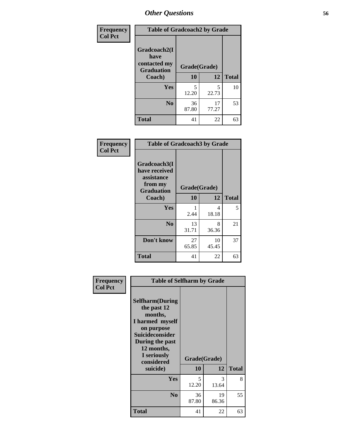| Frequency      | <b>Table of Gradcoach2 by Grade</b>  |             |              |              |  |
|----------------|--------------------------------------|-------------|--------------|--------------|--|
| <b>Col Pct</b> | Gradcoach2(I<br>have<br>contacted my |             |              |              |  |
|                | <b>Graduation</b>                    |             | Grade(Grade) |              |  |
|                | Coach)                               | 10          | 12           | <b>Total</b> |  |
|                | Yes                                  | 5<br>12.20  | 5<br>22.73   | 10           |  |
|                | N <sub>0</sub>                       | 36<br>87.80 | 17<br>77.27  | 53           |  |
|                | <b>Total</b>                         | 41          | 22           | 63           |  |

| <b>Frequency</b><br><b>Col Pct</b> | <b>Table of Gradcoach3 by Grade</b>                                         |              |             |              |
|------------------------------------|-----------------------------------------------------------------------------|--------------|-------------|--------------|
|                                    | Gradcoach3(I<br>have received<br>assistance<br>from my<br><b>Graduation</b> | Grade(Grade) |             |              |
|                                    | Coach)                                                                      | 10           | 12          | <b>Total</b> |
|                                    | Yes                                                                         | 2.44         | 4<br>18.18  | 5            |
|                                    | N <sub>0</sub>                                                              | 13<br>31.71  | 8<br>36.36  | 21           |
|                                    | Don't know                                                                  | 27<br>65.85  | 10<br>45.45 | 37           |
|                                    | <b>Total</b>                                                                | 41           | 22          | 63           |

| Frequency<br><b>Col Pct</b> | <b>Table of Selfharm by Grade</b>                                                                                                                                          |              |             |              |
|-----------------------------|----------------------------------------------------------------------------------------------------------------------------------------------------------------------------|--------------|-------------|--------------|
|                             | <b>Selfharm</b> (During<br>the past 12<br>months,<br>I harmed myself<br>on purpose<br><b>Suicideconsider</b><br>During the past<br>12 months,<br>I seriously<br>considered | Grade(Grade) |             |              |
|                             | suicide)                                                                                                                                                                   | <b>10</b>    | 12          | <b>Total</b> |
|                             | Yes                                                                                                                                                                        | 5<br>12.20   | 3<br>13.64  | 8            |
|                             | N <sub>0</sub>                                                                                                                                                             | 36<br>87.80  | 19<br>86.36 | 55           |
|                             | <b>Total</b>                                                                                                                                                               | 41           | 22          | 63           |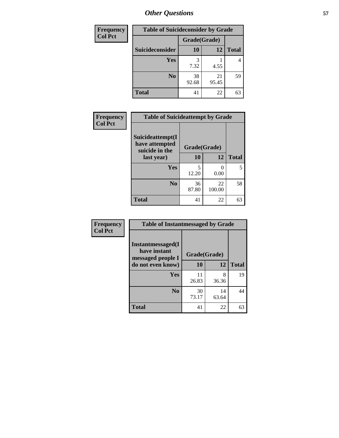| <b>Frequency</b> | <b>Table of Suicideconsider by Grade</b> |              |             |                |
|------------------|------------------------------------------|--------------|-------------|----------------|
| <b>Col Pct</b>   |                                          | Grade(Grade) |             |                |
|                  | Suicideconsider                          | <b>10</b>    | 12          | <b>Total</b>   |
|                  | Yes                                      | 3<br>7.32    | 4.55        | $\overline{4}$ |
|                  | N <sub>0</sub>                           | 38<br>92.68  | 21<br>95.45 | 59             |
|                  | <b>Total</b>                             | 41           | 22          | 63             |

| Frequency      | <b>Table of Suicideattempt by Grade</b>              |              |              |              |
|----------------|------------------------------------------------------|--------------|--------------|--------------|
| <b>Col Pct</b> | Suicideattempt(I<br>have attempted<br>suicide in the | Grade(Grade) |              |              |
|                | last year)                                           | 10           | 12           | <b>Total</b> |
|                | Yes                                                  | 5<br>12.20   | 0.00         | 5            |
|                | N <sub>0</sub>                                       | 36<br>87.80  | 22<br>100.00 | 58           |
|                | <b>Total</b>                                         | 41           | 22           | 63           |

| Frequency      | <b>Table of Instantmessaged by Grade</b>               |              |             |              |
|----------------|--------------------------------------------------------|--------------|-------------|--------------|
| <b>Col Pct</b> | Instantmessaged(I<br>have instant<br>messaged people I | Grade(Grade) |             |              |
|                | do not even know)                                      | 10           | 12          | <b>Total</b> |
|                | Yes                                                    | 11<br>26.83  | 8<br>36.36  | 19           |
|                | N <sub>0</sub>                                         | 30<br>73.17  | 14<br>63.64 | 44           |
|                | <b>Total</b>                                           | 41           | 22          | 63           |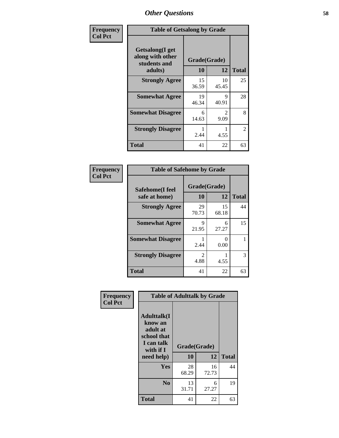| Frequency      |                                                             | <b>Table of Getsalong by Grade</b> |              |              |  |
|----------------|-------------------------------------------------------------|------------------------------------|--------------|--------------|--|
| <b>Col Pct</b> | <b>Getsalong</b> (I get<br>along with other<br>students and |                                    | Grade(Grade) |              |  |
|                | adults)                                                     | 10                                 | 12           | <b>Total</b> |  |
|                | <b>Strongly Agree</b>                                       | 15<br>36.59                        | 10<br>45.45  | 25           |  |
|                | <b>Somewhat Agree</b>                                       | 19<br>46.34                        | 9<br>40.91   | 28           |  |
|                | <b>Somewhat Disagree</b>                                    | 6<br>14.63                         | 2<br>9.09    | 8            |  |
|                | <b>Strongly Disagree</b>                                    | 2.44                               | 4.55         | 2            |  |
|                | <b>Total</b>                                                | 41                                 | 22           | 63           |  |

| Frequency      | <b>Table of Safehome by Grade</b> |                        |                           |              |
|----------------|-----------------------------------|------------------------|---------------------------|--------------|
| <b>Col Pct</b> | Safehome(I feel<br>safe at home)  | Grade(Grade)<br>10     | 12                        | <b>Total</b> |
|                | <b>Strongly Agree</b>             | 29<br>70.73            | 15<br>68.18               | 44           |
|                | <b>Somewhat Agree</b>             | 9<br>21.95             | 6<br>27.27                | 15           |
|                | <b>Somewhat Disagree</b>          | 2.44                   | $\mathbf{\Omega}$<br>0.00 |              |
|                | <b>Strongly Disagree</b>          | $\mathfrak{D}$<br>4.88 | 4.55                      | 3            |
|                | <b>Total</b>                      | 41                     | 22                        | 63           |

| Frequency      | <b>Table of Adulttalk by Grade</b>                                                  |              |             |              |
|----------------|-------------------------------------------------------------------------------------|--------------|-------------|--------------|
| <b>Col Pct</b> | <b>Adulttalk(I</b><br>know an<br>adult at<br>school that<br>I can talk<br>with if I | Grade(Grade) |             |              |
|                | need help)                                                                          | 10           | 12          | <b>Total</b> |
|                | <b>Yes</b>                                                                          | 28<br>68.29  | 16<br>72.73 | 44           |
|                | N <sub>0</sub>                                                                      | 13<br>31.71  | 6<br>27.27  | 19           |
|                | <b>Total</b>                                                                        | 41           | 22          | 63           |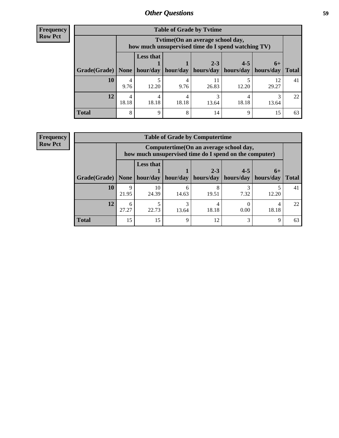| <b>Frequency</b> |
|------------------|
| <b>Row Pct</b>   |

| <b>Table of Grade by Tytime</b> |            |                                                                                                                                                                                                                                 |            |             |       |             |    |  |  |
|---------------------------------|------------|---------------------------------------------------------------------------------------------------------------------------------------------------------------------------------------------------------------------------------|------------|-------------|-------|-------------|----|--|--|
|                                 |            | Tvtime(On an average school day,<br>how much unsupervised time do I spend watching TV)<br><b>Less that</b><br>$2 - 3$<br>$4 - 5$<br>$6+$<br>None   hour/day   hour/day  <br>hours/day<br>hours/day<br>hours/day<br><b>Total</b> |            |             |       |             |    |  |  |
| Grade(Grade)                    |            |                                                                                                                                                                                                                                 |            |             |       |             |    |  |  |
| 10                              | 4<br>9.76  | 12.20                                                                                                                                                                                                                           | 9.76       | 11<br>26.83 | 12.20 | 12<br>29.27 | 41 |  |  |
| 12                              | 4<br>18.18 | 18.18                                                                                                                                                                                                                           | 4<br>18.18 | 3<br>13.64  | 18.18 | 13.64       | 22 |  |  |
| <b>Total</b>                    | 8          | Q                                                                                                                                                                                                                               | 8          | 14          | q     | 15          | 63 |  |  |

#### **Frequency Row Pct**

| <b>Table of Grade by Computertime</b> |            |                                                                                                                                                                                                                                    |             |            |      |       |    |  |  |
|---------------------------------------|------------|------------------------------------------------------------------------------------------------------------------------------------------------------------------------------------------------------------------------------------|-------------|------------|------|-------|----|--|--|
|                                       |            | Computertime (On an average school day,<br>how much unsupervised time do I spend on the computer)<br><b>Less that</b><br>$4 - 5$<br>$2 - 3$<br>$6+$<br>hour/day<br>hours/day<br>hours/day<br>hour/day<br>hours/day<br><b>Total</b> |             |            |      |       |    |  |  |
| Grade(Grade)                          | None       |                                                                                                                                                                                                                                    |             |            |      |       |    |  |  |
| 10                                    | 9<br>21.95 | 10<br>24.39                                                                                                                                                                                                                        | 14.63       | 8<br>19.51 | 7.32 | 12.20 | 41 |  |  |
| 12                                    | 6<br>27.27 | 22.73                                                                                                                                                                                                                              | 13.64       | 18.18      | 0.00 | 18.18 | 22 |  |  |
| <b>Total</b>                          | 15         | 15                                                                                                                                                                                                                                 | $\mathbf Q$ | 12         | 3    | Q     | 63 |  |  |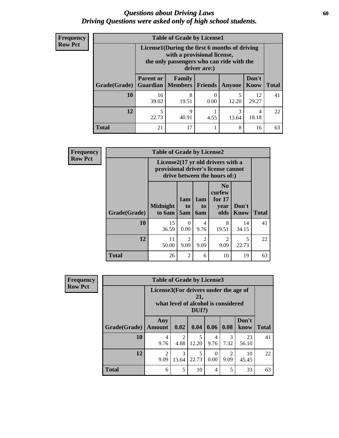### *Questions about Driving Laws* **60** *Driving Questions were asked only of high school students.*

| <b>Frequency</b> |
|------------------|
| <b>Row Pct</b>   |

| <b>Table of Grade by License1</b> |                                                         |                                                                                                                                           |         |            |                      |              |  |  |  |
|-----------------------------------|---------------------------------------------------------|-------------------------------------------------------------------------------------------------------------------------------------------|---------|------------|----------------------|--------------|--|--|--|
|                                   |                                                         | License1(During the first 6 months of driving<br>with a provisional license,<br>the only passengers who can ride with the<br>driver are:) |         |            |                      |              |  |  |  |
| Grade(Grade)                      | <b>Parent or</b>                                        | Family<br><b>Guardian</b>   Members                                                                                                       | Friends | Anyone     | Don't<br><b>Know</b> | <b>Total</b> |  |  |  |
| 10                                | 16<br>39.02                                             | 8<br>19.51                                                                                                                                | 0.00    | 5<br>12.20 | 12<br>29.27          | 41           |  |  |  |
| 12                                | 3<br>9<br>4<br>22.73<br>40.91<br>18.18<br>4.55<br>13.64 |                                                                                                                                           |         |            |                      |              |  |  |  |
| Total                             | 21                                                      | 17                                                                                                                                        |         | 8          | 16                   | 63           |  |  |  |

| <b>Frequency</b> | <b>Table of Grade by License2</b> |                                                                                                          |                        |                                     |                                                      |                      |              |
|------------------|-----------------------------------|----------------------------------------------------------------------------------------------------------|------------------------|-------------------------------------|------------------------------------------------------|----------------------|--------------|
| <b>Row Pct</b>   |                                   | License2(17 yr old drivers with a<br>provisional driver's license cannot<br>drive between the hours of:) |                        |                                     |                                                      |                      |              |
|                  | <b>Grade(Grade)</b>               | <b>Midnight</b><br>to 6am                                                                                | 1am<br>to<br>5am       | 1am<br>t <sub>0</sub><br><b>6am</b> | N <sub>0</sub><br>curfew<br>for $17$<br>vear<br>olds | Don't<br><b>Know</b> | <b>Total</b> |
|                  | 10                                | 15<br>36.59                                                                                              | $\Omega$<br>0.00       | 4<br>9.76                           | 8<br>19.51                                           | 14<br>34.15          | 41           |
|                  | 12                                | 11<br>50.00                                                                                              | $\overline{c}$<br>9.09 | $\overline{2}$<br>9.09              | $\mathfrak{D}$<br>9.09                               | 5<br>22.73           | 22           |
|                  | <b>Total</b>                      | 26                                                                                                       | $\overline{c}$         | 6                                   | 10                                                   | 19                   | 63           |

| Frequency      | <b>Table of Grade by License3</b> |                                       |            |                                                     |                  |                        |               |              |  |
|----------------|-----------------------------------|---------------------------------------|------------|-----------------------------------------------------|------------------|------------------------|---------------|--------------|--|
| <b>Row Pct</b> |                                   | License3(For drivers under the age of |            | 21,<br>what level of alcohol is considered<br>DUI?) |                  |                        |               |              |  |
|                | Grade(Grade)                      | Any<br><b>Amount</b>                  | 0.02       | 0.04                                                | $0.06 \mid 0.08$ |                        | Don't<br>know | <b>Total</b> |  |
|                | 10                                | 4<br>9.76                             | 2<br>4.88  | 5<br>12.20                                          | 4<br>9.76        | 3<br>7.32              | 23<br>56.10   | 41           |  |
|                | 12                                | $\mathfrak{D}$<br>9.09                | 3<br>13.64 | 5<br>22.73                                          | $\Omega$<br>0.00 | $\mathfrak{D}$<br>9.09 | 10<br>45.45   | 22           |  |
|                | <b>Total</b>                      | 6                                     | 5          | 10                                                  | 4                | 5                      | 33            | 63           |  |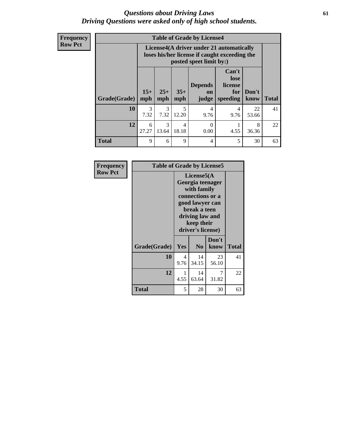### *Questions about Driving Laws* **61** *Driving Questions were asked only of high school students.*

**Frequency Row Pct**

| <b>Table of Grade by License4</b> |              |                                                                                                                                                      |                         |                  |           |             |    |  |
|-----------------------------------|--------------|------------------------------------------------------------------------------------------------------------------------------------------------------|-------------------------|------------------|-----------|-------------|----|--|
|                                   |              | License4(A driver under 21 automatically<br>loses his/her license if caught exceeding the<br>posted speet limit by:)                                 |                         |                  |           |             |    |  |
| <b>Grade(Grade)</b>               | $15+$<br>mph | Can't<br>lose<br>license<br><b>Depends</b><br>$25+$<br>$35+$<br>Don't<br>for<br><b>on</b><br><b>Total</b><br>mph<br>speeding<br>mph<br>know<br>judge |                         |                  |           |             |    |  |
| 10                                | 3<br>7.32    | 3<br>7.32                                                                                                                                            | 5<br>12.20              | 4<br>9.76        | 4<br>9.76 | 22<br>53.66 | 41 |  |
| 12                                | 6<br>27.27   | $\mathcal{R}$<br>13.64                                                                                                                               | $\overline{4}$<br>18.18 | $\Omega$<br>0.00 | 4.55      | 8<br>36.36  | 22 |  |
| <b>Total</b>                      | 9            | 6                                                                                                                                                    | 9                       | 4                | 5         | 30          | 63 |  |

| Frequency      | <b>Table of Grade by License5</b> |           |                                                                                                                                                             |               |              |  |
|----------------|-----------------------------------|-----------|-------------------------------------------------------------------------------------------------------------------------------------------------------------|---------------|--------------|--|
| <b>Row Pct</b> |                                   |           | License5(A)<br>Georgia teenager<br>with family<br>connections or a<br>good lawyer can<br>break a teen<br>driving law and<br>keep their<br>driver's license) |               |              |  |
|                | Grade(Grade)                      | Yes       | N <sub>0</sub>                                                                                                                                              | Don't<br>know | <b>Total</b> |  |
|                | 10                                | 4<br>9.76 | 14<br>34.15                                                                                                                                                 | 23<br>56.10   | 41           |  |
|                | 12                                | 4.55      | 14<br>63.64                                                                                                                                                 | 7<br>31.82    | 22           |  |
|                | Total                             | 5         | 28                                                                                                                                                          | 30            | 63           |  |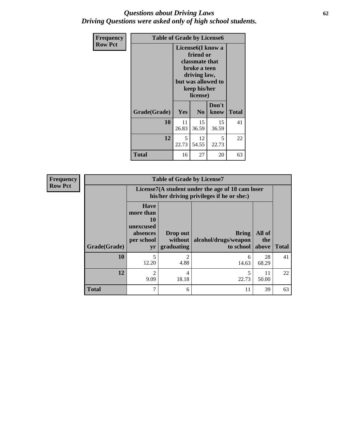### *Questions about Driving Laws* **62** *Driving Questions were asked only of high school students.*

| <b>Frequency</b> | <b>Table of Grade by License6</b> |                                               |                                                                                                                           |                    |    |
|------------------|-----------------------------------|-----------------------------------------------|---------------------------------------------------------------------------------------------------------------------------|--------------------|----|
| <b>Row Pct</b>   |                                   |                                               | License <sub>6</sub> (I know a<br>friend or<br>classmate that<br>broke a teen<br>driving law,<br>keep his/her<br>license) | but was allowed to |    |
|                  | Grade(Grade)                      | Don't<br><b>Yes</b><br>N <sub>0</sub><br>know |                                                                                                                           | <b>Total</b>       |    |
|                  | 10                                | 11<br>26.83                                   | 15<br>36.59                                                                                                               | 15<br>36.59        | 41 |
|                  | 12                                | 5<br>22.73                                    | 12<br>54.55                                                                                                               | 5<br>22.73         | 22 |
|                  | <b>Total</b>                      | 16                                            | 27                                                                                                                        | 20                 | 63 |

| <b>Frequency</b> | <b>Table of Grade by License7</b> |                                                                                               |                                   |                                            |                        |              |  |  |  |
|------------------|-----------------------------------|-----------------------------------------------------------------------------------------------|-----------------------------------|--------------------------------------------|------------------------|--------------|--|--|--|
| <b>Row Pct</b>   |                                   | License7(A student under the age of 18 cam loser<br>his/her driving privileges if he or she:) |                                   |                                            |                        |              |  |  |  |
|                  | Grade(Grade)                      | <b>Have</b><br>more than<br>10<br>unexcused<br>absences<br>per school<br>yr                   | Drop out<br>without<br>graduating | Bring<br>alcohol/drugs/weapon<br>to school | All of<br>the<br>above | <b>Total</b> |  |  |  |
|                  | 10                                | 5<br>12.20                                                                                    | 2<br>4.88                         | 6<br>14.63                                 | 28<br>68.29            | 41           |  |  |  |
|                  | 12                                | $\overline{c}$<br>9.09                                                                        | 4<br>18.18                        | 22.73                                      | 11<br>50.00            | 22           |  |  |  |
|                  | <b>Total</b>                      | 7                                                                                             | 6                                 | 11                                         | 39                     | 63           |  |  |  |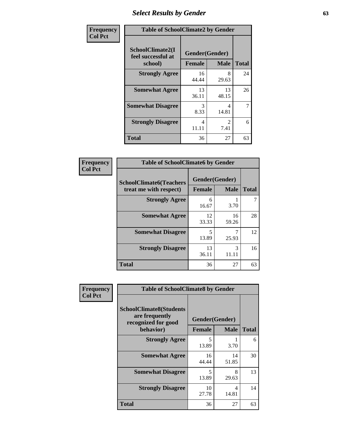# *Select Results by Gender* **63**

| Frequency      |                                                   | <b>Table of SchoolClimate2 by Gender</b> |                                   |              |  |  |  |
|----------------|---------------------------------------------------|------------------------------------------|-----------------------------------|--------------|--|--|--|
| <b>Col Pct</b> | SchoolClimate2(I<br>feel successful at<br>school) | Gender(Gender)<br><b>Female</b>          | <b>Male</b>                       | <b>Total</b> |  |  |  |
|                | <b>Strongly Agree</b>                             | 16<br>44.44                              | 8<br>29.63                        | 24           |  |  |  |
|                | <b>Somewhat Agree</b>                             | 13<br>36.11                              | 13<br>48.15                       | 26           |  |  |  |
|                | <b>Somewhat Disagree</b>                          | 3<br>8.33                                | $\overline{\mathcal{A}}$<br>14.81 | 7            |  |  |  |
|                | <b>Strongly Disagree</b>                          | 4<br>11.11                               | $\mathcal{L}$<br>7.41             | 6            |  |  |  |
|                | <b>Total</b>                                      | 36                                       | 27                                | 63           |  |  |  |

| Frequency | <b>Table of SchoolClimate6 by Gender</b>                 |                          |             |              |  |  |  |
|-----------|----------------------------------------------------------|--------------------------|-------------|--------------|--|--|--|
| Col Pct   | <b>SchoolClimate6(Teachers</b><br>treat me with respect) | Gender(Gender)<br>Female | <b>Male</b> | <b>Total</b> |  |  |  |
|           | <b>Strongly Agree</b>                                    | 6<br>16.67               | 3.70        |              |  |  |  |
|           | <b>Somewhat Agree</b>                                    | 12<br>33.33              | 16<br>59.26 | 28           |  |  |  |
|           | <b>Somewhat Disagree</b>                                 | 5<br>13.89               | 25.93       | 12           |  |  |  |
|           | <b>Strongly Disagree</b>                                 | 13<br>36.11              | 3<br>11.11  | 16           |  |  |  |
|           | <b>Total</b>                                             | 36                       | 27          | 63           |  |  |  |

| <b>Frequency</b> | <b>Table of SchoolClimate8 by Gender</b>                                             |                                                |             |              |
|------------------|--------------------------------------------------------------------------------------|------------------------------------------------|-------------|--------------|
| <b>Col Pct</b>   | <b>SchoolClimate8(Students</b><br>are frequently<br>recognized for good<br>behavior) | Gender(Gender)<br><b>Female</b><br><b>Male</b> |             | <b>Total</b> |
|                  | <b>Strongly Agree</b>                                                                | 5<br>13.89                                     | 3.70        | 6            |
|                  | <b>Somewhat Agree</b>                                                                | 16<br>44.44                                    | 14<br>51.85 | 30           |
|                  | <b>Somewhat Disagree</b>                                                             | 5<br>13.89                                     | 8<br>29.63  | 13           |
|                  | <b>Strongly Disagree</b>                                                             | 10<br>27.78                                    | 4<br>14.81  | 14           |
|                  | Total                                                                                | 36                                             | 27          | 63           |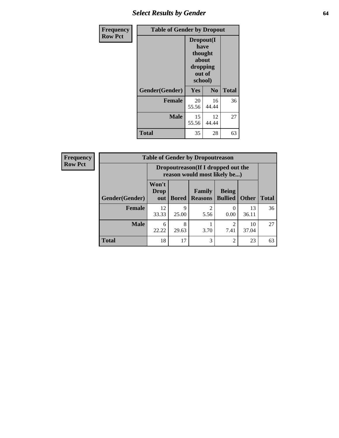# *Select Results by Gender* **64**

| Frequency      | <b>Table of Gender by Dropout</b> |                                                                        |                |              |
|----------------|-----------------------------------|------------------------------------------------------------------------|----------------|--------------|
| <b>Row Pct</b> |                                   | Dropout(I<br>have<br>thought<br>about<br>dropping<br>out of<br>school) |                |              |
|                | Gender(Gender)                    | Yes                                                                    | N <sub>0</sub> | <b>Total</b> |
|                | <b>Female</b>                     | 20<br>55.56                                                            | 16<br>44.44    | 36           |
|                | <b>Male</b>                       | 15<br>55.56                                                            | 12<br>44.44    | 27           |
|                | <b>Total</b>                      | 35                                                                     | 28             | 63           |

| <b>Frequency</b> |                | <b>Table of Gender by Dropoutreason</b>                            |              |                          |                                |              |              |
|------------------|----------------|--------------------------------------------------------------------|--------------|--------------------------|--------------------------------|--------------|--------------|
| <b>Row Pct</b>   |                | Dropoutreason(If I dropped out the<br>reason would most likely be) |              |                          |                                |              |              |
|                  | Gender(Gender) | Won't<br><b>Drop</b><br>out                                        | <b>Bored</b> | Family<br><b>Reasons</b> | <b>Being</b><br><b>Bullied</b> | <b>Other</b> | <b>Total</b> |
|                  | <b>Female</b>  | 12<br>33.33                                                        | Q<br>25.00   | $\mathfrak{D}$<br>5.56   | 0.00                           | 13<br>36.11  | 36           |
|                  | <b>Male</b>    | 6<br>22.22                                                         | 8<br>29.63   | 3.70                     | 7.41                           | 10<br>37.04  | 27           |
|                  | <b>Total</b>   | 18                                                                 | 17           | 3                        | $\overline{c}$                 | 23           | 63           |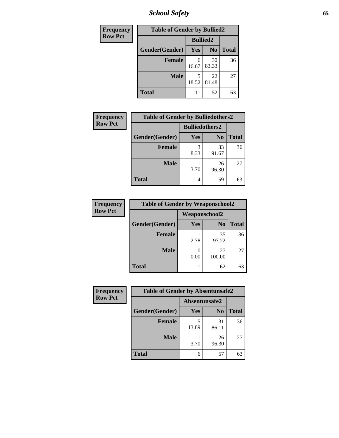*School Safety* **65**

| Frequency      | <b>Table of Gender by Bullied2</b> |                 |                |              |
|----------------|------------------------------------|-----------------|----------------|--------------|
| <b>Row Pct</b> |                                    | <b>Bullied2</b> |                |              |
|                | Gender(Gender)                     | Yes             | N <sub>0</sub> | <b>Total</b> |
|                | <b>Female</b>                      | 6<br>16.67      | 30<br>83.33    | 36           |
|                | <b>Male</b>                        | 18.52           | 22<br>81.48    | 27           |
|                | <b>Total</b>                       | 11              | 52             | 63           |

| <b>Frequency</b> | <b>Table of Gender by Bulliedothers2</b> |                       |                |              |
|------------------|------------------------------------------|-----------------------|----------------|--------------|
| <b>Row Pct</b>   |                                          | <b>Bulliedothers2</b> |                |              |
|                  | Gender(Gender)                           | <b>Yes</b>            | N <sub>0</sub> | <b>Total</b> |
|                  | <b>Female</b>                            | 3<br>8.33             | 33<br>91.67    | 36           |
|                  | <b>Male</b>                              | 3.70                  | 26<br>96.30    | 27           |
|                  | <b>Total</b>                             | 4                     | 59             | 63           |

| Frequency      | <b>Table of Gender by Weaponschool2</b> |                      |                |              |
|----------------|-----------------------------------------|----------------------|----------------|--------------|
| <b>Row Pct</b> |                                         | <b>Weaponschool2</b> |                |              |
|                | Gender(Gender)                          | Yes                  | N <sub>0</sub> | <b>Total</b> |
|                | <b>Female</b>                           | 2.78                 | 35<br>97.22    | 36           |
|                | <b>Male</b>                             | 0.00                 | 27<br>100.00   | 27           |
|                | <b>Total</b>                            |                      | 62             | 63           |

| Frequency      | <b>Table of Gender by Absentunsafe2</b> |               |                |              |
|----------------|-----------------------------------------|---------------|----------------|--------------|
| <b>Row Pct</b> |                                         | Absentunsafe2 |                |              |
|                | Gender(Gender)                          | Yes           | N <sub>0</sub> | <b>Total</b> |
|                | Female                                  | 13.89         | 31<br>86.11    | 36           |
|                | <b>Male</b>                             | 3.70          | 26<br>96.30    | 27           |
|                | <b>Total</b>                            | 6             | 57             | 63           |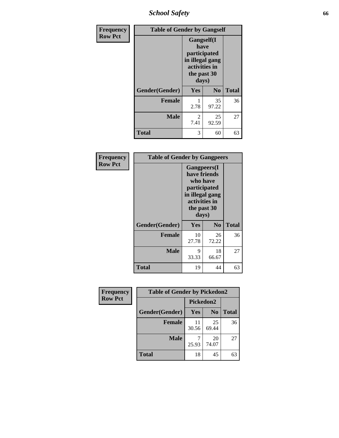*School Safety* **66**

| Frequency      | <b>Table of Gender by Gangself</b> |                                                                                                        |                |              |
|----------------|------------------------------------|--------------------------------------------------------------------------------------------------------|----------------|--------------|
| <b>Row Pct</b> |                                    | <b>Gangself</b> (I<br>have<br>participated<br>in illegal gang<br>activities in<br>the past 30<br>days) |                |              |
|                | Gender(Gender)                     | Yes                                                                                                    | N <sub>0</sub> | <b>Total</b> |
|                | <b>Female</b>                      | 1<br>2.78                                                                                              | 35<br>97.22    | 36           |
|                | <b>Male</b>                        | 2<br>7.41                                                                                              | 25<br>92.59    | 27           |
|                | <b>Total</b>                       | 3                                                                                                      | 60             | 63           |

| Frequency      | <b>Table of Gender by Gangpeers</b> |                                                                                                                             |                |              |
|----------------|-------------------------------------|-----------------------------------------------------------------------------------------------------------------------------|----------------|--------------|
| <b>Row Pct</b> |                                     | <b>Gangpeers</b> (I<br>have friends<br>who have<br>participated<br>in illegal gang<br>activities in<br>the past 30<br>days) |                |              |
|                | Gender(Gender)                      | <b>Yes</b>                                                                                                                  | N <sub>0</sub> | <b>Total</b> |
|                | <b>Female</b>                       | 10<br>27.78                                                                                                                 | 26<br>72.22    | 36           |
|                | <b>Male</b>                         | 9<br>33.33                                                                                                                  | 18<br>66.67    | 27           |
|                | <b>Total</b>                        | 19                                                                                                                          | 44             | 63           |

| Frequency      | <b>Table of Gender by Pickedon2</b> |                  |                |              |
|----------------|-------------------------------------|------------------|----------------|--------------|
| <b>Row Pct</b> |                                     | <b>Pickedon2</b> |                |              |
|                | Gender(Gender)                      | <b>Yes</b>       | N <sub>0</sub> | <b>Total</b> |
|                | <b>Female</b>                       | 11<br>30.56      | 25<br>69.44    | 36           |
|                | <b>Male</b>                         | 25.93            | 20<br>74.07    | 27           |
|                | <b>Total</b>                        | 18               | 45             | 63           |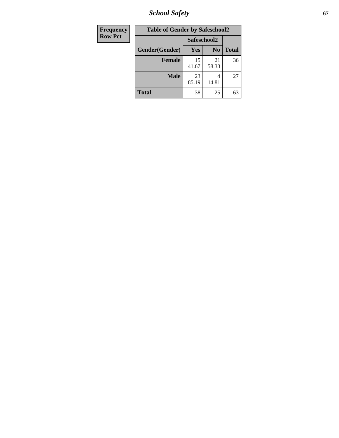*School Safety* **67**

| <b>Frequency</b> | <b>Table of Gender by Safeschool2</b> |             |                |              |
|------------------|---------------------------------------|-------------|----------------|--------------|
| <b>Row Pct</b>   |                                       | Safeschool2 |                |              |
|                  | Gender(Gender)                        | Yes         | N <sub>0</sub> | <b>Total</b> |
|                  | <b>Female</b>                         | 15<br>41.67 | 21<br>58.33    | 36           |
|                  | <b>Male</b>                           | 23<br>85.19 | 4<br>14.81     | 27           |
|                  | <b>Total</b>                          | 38          | 25             | 63           |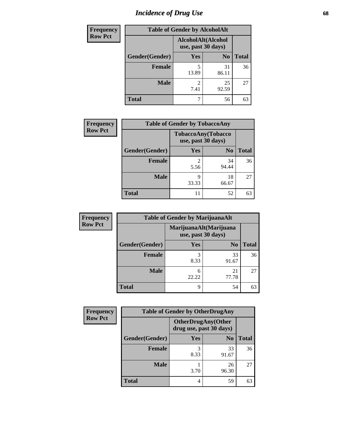# *Incidence of Drug Use* 68

| <b>Frequency</b> | <b>Table of Gender by AlcoholAlt</b> |                                          |                |              |  |
|------------------|--------------------------------------|------------------------------------------|----------------|--------------|--|
| <b>Row Pct</b>   |                                      | AlcoholAlt(Alcohol<br>use, past 30 days) |                |              |  |
|                  | Gender(Gender)                       | <b>Yes</b>                               | N <sub>0</sub> | <b>Total</b> |  |
|                  | <b>Female</b>                        | 5<br>13.89                               | 31<br>86.11    | 36           |  |
|                  | <b>Male</b>                          | $\mathfrak{D}$<br>7.41                   | 25<br>92.59    | 27           |  |
|                  | <b>Total</b>                         |                                          | 56             | 63           |  |

| Frequency      | <b>Table of Gender by TobaccoAny</b> |                                                 |                |              |
|----------------|--------------------------------------|-------------------------------------------------|----------------|--------------|
| <b>Row Pct</b> |                                      | <b>TobaccoAny(Tobacco</b><br>use, past 30 days) |                |              |
|                | Gender(Gender)                       | Yes                                             | N <sub>0</sub> | <b>Total</b> |
|                | <b>Female</b>                        | 5.56                                            | 34<br>94.44    | 36           |
|                | <b>Male</b>                          | 9<br>33.33                                      | 18<br>66.67    | 27           |
|                | <b>Total</b>                         | 11                                              | 52             | 63           |

| <b>Frequency</b> | <b>Table of Gender by MarijuanaAlt</b> |            |                                              |              |
|------------------|----------------------------------------|------------|----------------------------------------------|--------------|
| <b>Row Pct</b>   |                                        |            | MarijuanaAlt(Marijuana<br>use, past 30 days) |              |
|                  | Gender(Gender)                         | <b>Yes</b> | N <sub>0</sub>                               | <b>Total</b> |
|                  | <b>Female</b>                          | 3<br>8.33  | 33<br>91.67                                  | 36           |
|                  | <b>Male</b>                            | 6<br>22.22 | 21<br>77.78                                  | 27           |
|                  | <b>Total</b>                           | 9          | 54                                           | 63           |

| <b>Frequency</b> | <b>Table of Gender by OtherDrugAny</b> |                                                      |                |              |
|------------------|----------------------------------------|------------------------------------------------------|----------------|--------------|
| <b>Row Pct</b>   |                                        | <b>OtherDrugAny(Other</b><br>drug use, past 30 days) |                |              |
|                  | Gender(Gender)                         | Yes                                                  | N <sub>0</sub> | <b>Total</b> |
|                  | <b>Female</b>                          | 3<br>8.33                                            | 33<br>91.67    | 36           |
|                  | <b>Male</b>                            | 3.70                                                 | 26<br>96.30    | 27           |
|                  | <b>Total</b>                           | 4                                                    | 59             | 63           |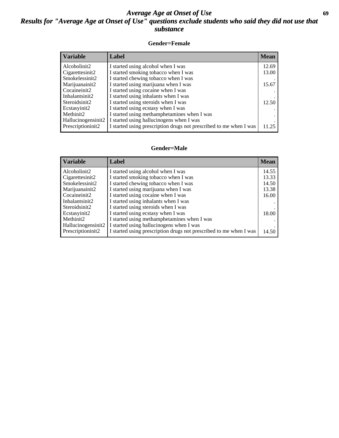## *Average Age at Onset of Use* **69** *Results for "Average Age at Onset of Use" questions exclude students who said they did not use that substance*

### **Gender=Female**

| <b>Variable</b>                 | <b>Label</b>                                                       | <b>Mean</b> |
|---------------------------------|--------------------------------------------------------------------|-------------|
| Alcoholinit2                    | I started using alcohol when I was                                 | 12.69       |
| Cigarettesinit2                 | I started smoking tobacco when I was                               | 13.00       |
| Smokelessinit2                  | I started chewing tobacco when I was                               |             |
| Marijuanainit2                  | I started using marijuana when I was                               | 15.67       |
| Cocaineinit2                    | I started using cocaine when I was                                 |             |
| Inhalantsinit2                  | I started using inhalants when I was                               |             |
| Steroidsinit2                   | I started using steroids when I was                                | 12.50       |
| Ecstasyinit2                    | I started using ecstasy when I was                                 |             |
| Methinit2                       | I started using methamphetamines when I was                        |             |
| Hallucinogensinit2              | I started using hallucinogens when I was                           |             |
| Prescription in it <sub>2</sub> | I started using prescription drugs not prescribed to me when I was | 11.25       |

#### **Gender=Male**

| <b>Variable</b>    | Label                                                              | <b>Mean</b> |
|--------------------|--------------------------------------------------------------------|-------------|
| Alcoholinit2       | I started using alcohol when I was                                 | 14.55       |
| Cigarettesinit2    | I started smoking tobacco when I was                               | 13.33       |
| Smokelessinit2     | I started chewing tobacco when I was                               | 14.50       |
| Marijuanainit2     | I started using marijuana when I was                               | 13.38       |
| Cocaineinit2       | I started using cocaine when I was                                 | 16.00       |
| Inhalantsinit2     | I started using inhalants when I was                               |             |
| Steroidsinit2      | I started using steroids when I was                                |             |
| Ecstasyinit2       | I started using ecstasy when I was                                 | 18.00       |
| Methinit2          | I started using methamphetamines when I was                        |             |
| Hallucinogensinit2 | I started using hallucinogens when I was                           |             |
| Prescriptioninit2  | I started using prescription drugs not prescribed to me when I was | 14.50       |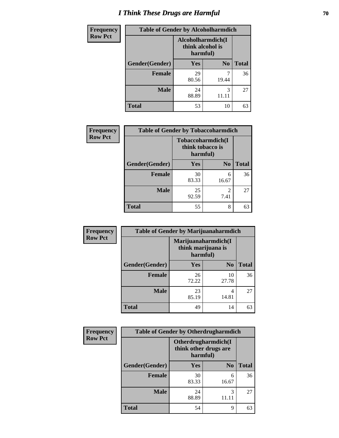# *I Think These Drugs are Harmful* **70**

| <b>Frequency</b> | <b>Table of Gender by Alcoholharmdich</b> |                                                   |                |              |
|------------------|-------------------------------------------|---------------------------------------------------|----------------|--------------|
| <b>Row Pct</b>   |                                           | Alcoholharmdich(I<br>think alcohol is<br>harmful) |                |              |
|                  | Gender(Gender)                            | Yes                                               | N <sub>0</sub> | <b>Total</b> |
|                  | <b>Female</b>                             | 29<br>80.56                                       | 19.44          | 36           |
|                  | <b>Male</b>                               | 24<br>88.89                                       | 3<br>11.11     | 27           |
|                  | <b>Total</b>                              | 53                                                | 10             | 63           |

| Frequency      | <b>Table of Gender by Tobaccoharmdich</b> |                                                   |                        |              |
|----------------|-------------------------------------------|---------------------------------------------------|------------------------|--------------|
| <b>Row Pct</b> |                                           | Tobaccoharmdich(I<br>think tobacco is<br>harmful) |                        |              |
|                | Gender(Gender)                            | Yes                                               | N <sub>0</sub>         | <b>Total</b> |
|                | <b>Female</b>                             | 30<br>83.33                                       | 6<br>16.67             | 36           |
|                | <b>Male</b>                               | 25<br>92.59                                       | $\mathfrak{D}$<br>7.41 | 27           |
|                | <b>Total</b>                              | 55                                                | 8                      | 63           |

| Frequency      | <b>Table of Gender by Marijuanaharmdich</b> |                                |                     |              |  |
|----------------|---------------------------------------------|--------------------------------|---------------------|--------------|--|
| <b>Row Pct</b> |                                             | think marijuana is<br>harmful) | Marijuanaharmdich(I |              |  |
|                | Gender(Gender)                              | <b>Yes</b>                     | N <sub>0</sub>      | <b>Total</b> |  |
|                | <b>Female</b>                               | 26<br>72.22                    | 10<br>27.78         | 36           |  |
|                | <b>Male</b>                                 | 23<br>85.19                    | 4<br>14.81          | 27           |  |
|                | <b>Total</b>                                | 49                             | 14                  | 63           |  |

| Frequency      | <b>Table of Gender by Otherdrugharmdich</b> |                                                          |                |              |
|----------------|---------------------------------------------|----------------------------------------------------------|----------------|--------------|
| <b>Row Pct</b> |                                             | Otherdrugharmdich(I<br>think other drugs are<br>harmful) |                |              |
|                | Gender(Gender)                              | <b>Yes</b>                                               | N <sub>0</sub> | <b>Total</b> |
|                | <b>Female</b>                               | 30<br>83.33                                              | 6<br>16.67     | 36           |
|                | <b>Male</b>                                 | 24<br>88.89                                              | 3              | 27           |
|                | <b>Total</b>                                | 54                                                       | 9              | 63           |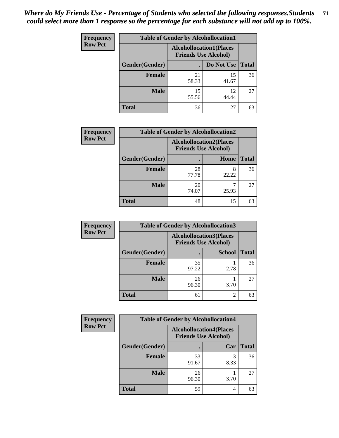| <b>Frequency</b> | <b>Table of Gender by Alcohollocation1</b> |                                                               |             |              |
|------------------|--------------------------------------------|---------------------------------------------------------------|-------------|--------------|
| <b>Row Pct</b>   |                                            | <b>Alcohollocation1(Places</b><br><b>Friends Use Alcohol)</b> |             |              |
|                  | Gender(Gender)                             |                                                               | Do Not Use  | <b>Total</b> |
|                  | <b>Female</b>                              | 21<br>58.33                                                   | 15<br>41.67 | 36           |
|                  | <b>Male</b>                                | 15<br>55.56                                                   | 12<br>44.44 | 27           |
|                  | Total                                      | 36                                                            | 27          | 63           |

| <b>Frequency</b> | <b>Table of Gender by Alcohollocation2</b> |                                                               |       |              |
|------------------|--------------------------------------------|---------------------------------------------------------------|-------|--------------|
| <b>Row Pct</b>   |                                            | <b>Alcohollocation2(Places</b><br><b>Friends Use Alcohol)</b> |       |              |
|                  | Gender(Gender)                             |                                                               | Home  | <b>Total</b> |
|                  | <b>Female</b>                              | 28<br>77.78                                                   | 22.22 | 36           |
|                  | <b>Male</b>                                | 20<br>74.07                                                   | 25.93 | 27           |
|                  | <b>Total</b>                               | 48                                                            | 15    | 63           |

| Frequency      | <b>Table of Gender by Alcohollocation3</b> |             |                                                               |              |
|----------------|--------------------------------------------|-------------|---------------------------------------------------------------|--------------|
| <b>Row Pct</b> |                                            |             | <b>Alcohollocation3(Places</b><br><b>Friends Use Alcohol)</b> |              |
|                | Gender(Gender)                             |             | <b>School</b>                                                 | <b>Total</b> |
|                | <b>Female</b>                              | 35<br>97.22 | 2.78                                                          | 36           |
|                | <b>Male</b>                                | 26<br>96.30 | 3.70                                                          | 27           |
|                | <b>Total</b>                               | 61          | 2                                                             | 63           |

| Frequency      | <b>Table of Gender by Alcohollocation4</b> |                                                               |      |              |
|----------------|--------------------------------------------|---------------------------------------------------------------|------|--------------|
| <b>Row Pct</b> |                                            | <b>Alcohollocation4(Places</b><br><b>Friends Use Alcohol)</b> |      |              |
|                | Gender(Gender)                             |                                                               | Car  | <b>Total</b> |
|                | Female                                     | 33<br>91.67                                                   | 8.33 | 36           |
|                | <b>Male</b>                                | 26<br>96.30                                                   | 3.70 | 27           |
|                | <b>Total</b>                               | 59                                                            |      | 63           |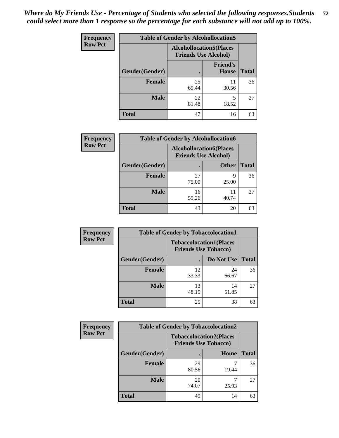| <b>Frequency</b> | <b>Table of Gender by Alcohollocation5</b> |                                                                |                          |              |
|------------------|--------------------------------------------|----------------------------------------------------------------|--------------------------|--------------|
| <b>Row Pct</b>   |                                            | <b>Alcohollocation5</b> (Places<br><b>Friends Use Alcohol)</b> |                          |              |
|                  | Gender(Gender)                             | $\bullet$                                                      | <b>Friend's</b><br>House | <b>Total</b> |
|                  | <b>Female</b>                              | 25<br>69.44                                                    | 11<br>30.56              | 36           |
|                  | <b>Male</b>                                | 22<br>81.48                                                    | 18.52                    | 27           |
|                  | <b>Total</b>                               | 47                                                             | 16                       | 63           |

| Frequency      | <b>Table of Gender by Alcohollocation6</b> |                                                               |              |              |  |
|----------------|--------------------------------------------|---------------------------------------------------------------|--------------|--------------|--|
| <b>Row Pct</b> |                                            | <b>Alcohollocation6(Places</b><br><b>Friends Use Alcohol)</b> |              |              |  |
|                | Gender(Gender)                             |                                                               | <b>Other</b> | <b>Total</b> |  |
|                | <b>Female</b>                              | 27<br>75.00                                                   | q<br>25.00   | 36           |  |
|                | <b>Male</b>                                | 16<br>59.26                                                   | 11<br>40.74  | 27           |  |
|                | <b>Total</b>                               | 43                                                            | 20           | 63           |  |

| Frequency      | <b>Table of Gender by Tobaccolocation1</b> |             |                                                               |              |
|----------------|--------------------------------------------|-------------|---------------------------------------------------------------|--------------|
| <b>Row Pct</b> |                                            |             | <b>Tobaccolocation1(Places</b><br><b>Friends Use Tobacco)</b> |              |
|                | Gender(Gender)                             |             | Do Not Use                                                    | <b>Total</b> |
|                | Female                                     | 12<br>33.33 | 24<br>66.67                                                   | 36           |
|                | <b>Male</b>                                | 13<br>48.15 | 14<br>51.85                                                   | 27           |
|                | <b>Total</b>                               | 25          | 38                                                            | 63           |

| <b>Frequency</b> | <b>Table of Gender by Tobaccolocation2</b> |                                                               |       |              |
|------------------|--------------------------------------------|---------------------------------------------------------------|-------|--------------|
| <b>Row Pct</b>   |                                            | <b>Tobaccolocation2(Places</b><br><b>Friends Use Tobacco)</b> |       |              |
|                  | Gender(Gender)                             |                                                               | Home  | <b>Total</b> |
|                  | Female                                     | 29<br>80.56                                                   | 19.44 | 36           |
|                  | <b>Male</b>                                | 20<br>74.07                                                   | 25.93 | 27           |
|                  | <b>Total</b>                               | 49                                                            | 14    | 63           |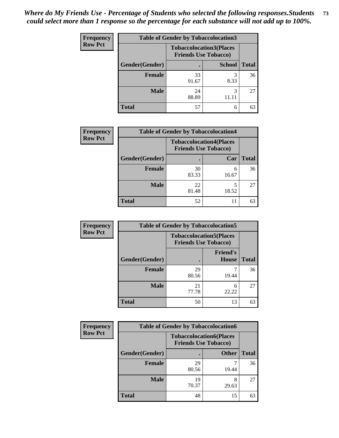| <b>Frequency</b> | <b>Table of Gender by Tobaccolocation3</b> |             |                                                               |              |
|------------------|--------------------------------------------|-------------|---------------------------------------------------------------|--------------|
| <b>Row Pct</b>   |                                            |             | <b>Tobaccolocation3(Places</b><br><b>Friends Use Tobacco)</b> |              |
|                  | Gender(Gender)                             |             | <b>School</b>                                                 | <b>Total</b> |
|                  | <b>Female</b>                              | 33<br>91.67 | 8.33                                                          | 36           |
|                  | <b>Male</b>                                | 24<br>88.89 | 3<br>11.11                                                    | 27           |
|                  | <b>Total</b>                               | 57          | 6                                                             | 63           |

| <b>Frequency</b> | <b>Table of Gender by Tobaccolocation4</b> |                                                               |            |              |
|------------------|--------------------------------------------|---------------------------------------------------------------|------------|--------------|
| <b>Row Pct</b>   |                                            | <b>Tobaccolocation4(Places</b><br><b>Friends Use Tobacco)</b> |            |              |
|                  | Gender(Gender)                             |                                                               | Car        | <b>Total</b> |
|                  | <b>Female</b>                              | 30<br>83.33                                                   | 6<br>16.67 | 36           |
|                  | <b>Male</b>                                | 22<br>81.48                                                   | 18.52      | 27           |
|                  | <b>Total</b>                               | 52                                                            |            | 63           |

| <b>Frequency</b> | <b>Table of Gender by Tobaccolocation5</b> |                                                               |                                 |              |
|------------------|--------------------------------------------|---------------------------------------------------------------|---------------------------------|--------------|
| <b>Row Pct</b>   |                                            | <b>Tobaccolocation5(Places</b><br><b>Friends Use Tobacco)</b> |                                 |              |
|                  | Gender(Gender)                             |                                                               | <b>Friend's</b><br><b>House</b> | <b>Total</b> |
|                  | Female                                     | 29<br>80.56                                                   | 19.44                           | 36           |
|                  | <b>Male</b>                                | 21<br>77.78                                                   | 6<br>22.22                      | 27           |
|                  | <b>Total</b>                               | 50                                                            | 13                              | 63           |

| <b>Frequency</b> |                | <b>Table of Gender by Tobaccolocation6</b> |                                |              |
|------------------|----------------|--------------------------------------------|--------------------------------|--------------|
| <b>Row Pct</b>   |                | <b>Friends Use Tobacco)</b>                | <b>Tobaccolocation6(Places</b> |              |
|                  | Gender(Gender) |                                            | <b>Other</b>                   | <b>Total</b> |
|                  | Female         | 29<br>80.56                                | 19.44                          | 36           |
|                  | <b>Male</b>    | 19<br>70.37                                | 8<br>29.63                     | 27           |
|                  | <b>Total</b>   | 48                                         | 15                             | 63           |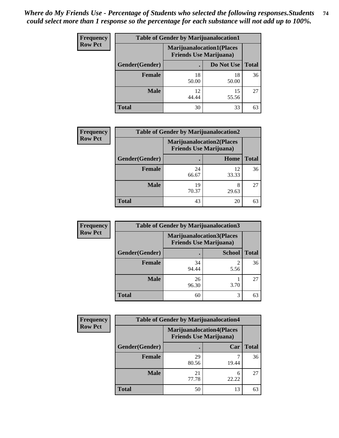| <b>Frequency</b> | <b>Table of Gender by Marijuanalocation1</b> |                                                                    |             |              |  |
|------------------|----------------------------------------------|--------------------------------------------------------------------|-------------|--------------|--|
| <b>Row Pct</b>   |                                              | <b>Marijuanalocation1(Places</b><br><b>Friends Use Marijuana</b> ) |             |              |  |
|                  | Gender(Gender)                               |                                                                    | Do Not Use  | <b>Total</b> |  |
|                  | <b>Female</b>                                | 18<br>50.00                                                        | 18<br>50.00 | 36           |  |
|                  | <b>Male</b>                                  | 12<br>44.44                                                        | 15<br>55.56 | 27           |  |
|                  | <b>Total</b>                                 | 30                                                                 | 33          | 63           |  |

| <b>Frequency</b> | <b>Table of Gender by Marijuanalocation2</b> |                                                                    |             |              |
|------------------|----------------------------------------------|--------------------------------------------------------------------|-------------|--------------|
| <b>Row Pct</b>   |                                              | <b>Marijuanalocation2(Places</b><br><b>Friends Use Marijuana</b> ) |             |              |
|                  | Gender(Gender)                               |                                                                    | Home        | <b>Total</b> |
|                  | <b>Female</b>                                | 24<br>66.67                                                        | 12<br>33.33 | 36           |
|                  | <b>Male</b>                                  | 19<br>70.37                                                        | 29.63       | 27           |
|                  | <b>Total</b>                                 | 43                                                                 | 20          | 63           |

| Frequency      | <b>Table of Gender by Marijuanalocation3</b> |                                                                    |               |              |
|----------------|----------------------------------------------|--------------------------------------------------------------------|---------------|--------------|
| <b>Row Pct</b> |                                              | <b>Marijuanalocation3(Places</b><br><b>Friends Use Marijuana</b> ) |               |              |
|                | Gender(Gender)                               |                                                                    | <b>School</b> | <b>Total</b> |
|                | Female                                       | 34<br>94.44                                                        | ി<br>5.56     | 36           |
|                | <b>Male</b>                                  | 26<br>96.30                                                        | 3.70          | 27           |
|                | <b>Total</b>                                 | 60                                                                 | 3             | 63           |

| <b>Frequency</b> | <b>Table of Gender by Marijuanalocation4</b> |                                |                                  |              |
|------------------|----------------------------------------------|--------------------------------|----------------------------------|--------------|
| <b>Row Pct</b>   |                                              | <b>Friends Use Marijuana</b> ) | <b>Marijuanalocation4(Places</b> |              |
|                  | Gender(Gender)                               |                                | Car                              | <b>Total</b> |
|                  | <b>Female</b>                                | 29<br>80.56                    | 19.44                            | 36           |
|                  | <b>Male</b>                                  | 21<br>77.78                    | 6<br>22.22                       | 27           |
|                  | <b>Total</b>                                 | 50                             | 13                               | 63           |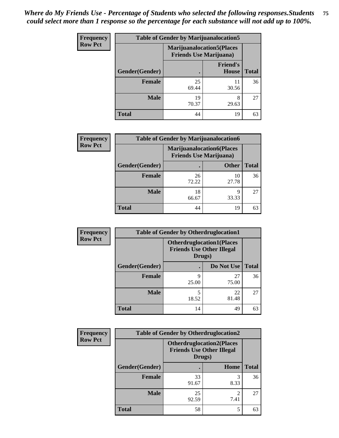| Frequency      | <b>Table of Gender by Marijuanalocation5</b> |                                                                    |                                 |              |
|----------------|----------------------------------------------|--------------------------------------------------------------------|---------------------------------|--------------|
| <b>Row Pct</b> |                                              | <b>Marijuanalocation5(Places</b><br><b>Friends Use Marijuana</b> ) |                                 |              |
|                | Gender(Gender)                               |                                                                    | <b>Friend's</b><br><b>House</b> | <b>Total</b> |
|                | Female                                       | 25<br>69.44                                                        | 11<br>30.56                     | 36           |
|                | <b>Male</b>                                  | 19<br>70.37                                                        | 8<br>29.63                      | 27           |
|                | <b>Total</b>                                 | 44                                                                 | 19                              | 63           |

| <b>Frequency</b> | <b>Table of Gender by Marijuanalocation6</b> |                                                                    |              |              |
|------------------|----------------------------------------------|--------------------------------------------------------------------|--------------|--------------|
| <b>Row Pct</b>   |                                              | <b>Marijuanalocation6(Places</b><br><b>Friends Use Marijuana</b> ) |              |              |
|                  | Gender(Gender)                               |                                                                    | <b>Other</b> | <b>Total</b> |
|                  | <b>Female</b>                                | 26<br>72.22                                                        | 10<br>27.78  | 36           |
|                  | <b>Male</b>                                  | 18<br>66.67                                                        | 9<br>33.33   | 27           |
|                  | <b>Total</b>                                 | 44                                                                 | 19           | 63           |

| Frequency      | <b>Table of Gender by Otherdruglocation1</b> |                                                                                |             |              |
|----------------|----------------------------------------------|--------------------------------------------------------------------------------|-------------|--------------|
| <b>Row Pct</b> |                                              | <b>Otherdruglocation1(Places</b><br><b>Friends Use Other Illegal</b><br>Drugs) |             |              |
|                | Gender(Gender)                               |                                                                                | Do Not Use  | <b>Total</b> |
|                | <b>Female</b>                                | q<br>25.00                                                                     | 27<br>75.00 | 36           |
|                | <b>Male</b>                                  | 18.52                                                                          | 22<br>81.48 | 27           |
|                | <b>Total</b>                                 | 14                                                                             | 49          | 63           |

| Frequency      | <b>Table of Gender by Otherdruglocation2</b> |                                                                                |           |              |
|----------------|----------------------------------------------|--------------------------------------------------------------------------------|-----------|--------------|
| <b>Row Pct</b> |                                              | <b>Otherdruglocation2(Places</b><br><b>Friends Use Other Illegal</b><br>Drugs) |           |              |
|                | Gender(Gender)                               |                                                                                | Home      | <b>Total</b> |
|                | Female                                       | 33<br>91.67                                                                    | 8.33      | 36           |
|                | <b>Male</b>                                  | 25<br>92.59                                                                    | ∍<br>7.41 | 27           |
|                | <b>Total</b>                                 | 58                                                                             | 5         | 63           |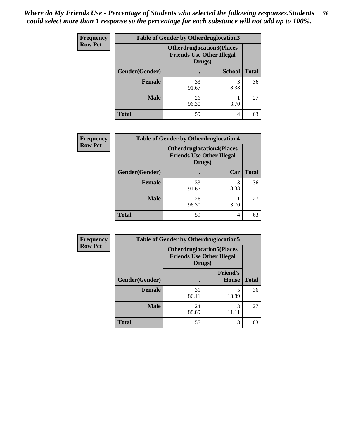| Frequency      | <b>Table of Gender by Otherdruglocation3</b> |                                                                                |               |              |
|----------------|----------------------------------------------|--------------------------------------------------------------------------------|---------------|--------------|
| <b>Row Pct</b> |                                              | <b>Otherdruglocation3(Places</b><br><b>Friends Use Other Illegal</b><br>Drugs) |               |              |
|                | Gender(Gender)                               |                                                                                | <b>School</b> | <b>Total</b> |
|                | Female                                       | 33<br>91.67                                                                    | 3<br>8.33     | 36           |
|                | <b>Male</b>                                  | 26<br>96.30                                                                    | 3.70          | 27           |
|                | <b>Total</b>                                 | 59                                                                             | 4             | 63           |

| <b>Frequency</b> | <b>Table of Gender by Otherdruglocation4</b> |             |                                                                      |              |
|------------------|----------------------------------------------|-------------|----------------------------------------------------------------------|--------------|
| <b>Row Pct</b>   |                                              | Drugs)      | <b>Otherdruglocation4(Places</b><br><b>Friends Use Other Illegal</b> |              |
|                  | Gender(Gender)                               |             | Car                                                                  | <b>Total</b> |
|                  | Female                                       | 33<br>91.67 | 3<br>8.33                                                            | 36           |
|                  | <b>Male</b>                                  | 26<br>96.30 | 3.70                                                                 | 27           |
|                  | <b>Total</b>                                 | 59          | 4                                                                    | 63           |

| Frequency      | <b>Table of Gender by Otherdruglocation5</b> |                                                                                |                                 |              |
|----------------|----------------------------------------------|--------------------------------------------------------------------------------|---------------------------------|--------------|
| <b>Row Pct</b> |                                              | <b>Otherdruglocation5(Places</b><br><b>Friends Use Other Illegal</b><br>Drugs) |                                 |              |
|                | Gender(Gender)                               |                                                                                | <b>Friend's</b><br><b>House</b> | <b>Total</b> |
|                | <b>Female</b>                                | 31<br>86.11                                                                    | 13.89                           | 36           |
|                | <b>Male</b>                                  | 24<br>88.89                                                                    | 3<br>11.11                      | 27           |
|                | <b>Total</b>                                 | 55                                                                             | 8                               | 63           |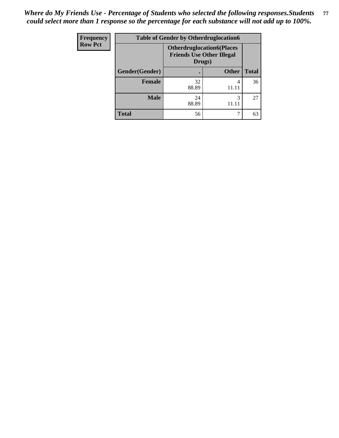| <b>Frequency</b> | <b>Table of Gender by Otherdruglocation6</b> |                                                                                |              |              |
|------------------|----------------------------------------------|--------------------------------------------------------------------------------|--------------|--------------|
| <b>Row Pct</b>   |                                              | <b>Otherdruglocation6(Places</b><br><b>Friends Use Other Illegal</b><br>Drugs) |              |              |
|                  | Gender(Gender)                               |                                                                                | <b>Other</b> | <b>Total</b> |
|                  | Female                                       | 32<br>88.89                                                                    | 4<br>11.11   | 36           |
|                  | <b>Male</b>                                  | 24<br>88.89                                                                    | 11.11        | 27           |
|                  | <b>Total</b>                                 | 56                                                                             |              | 63           |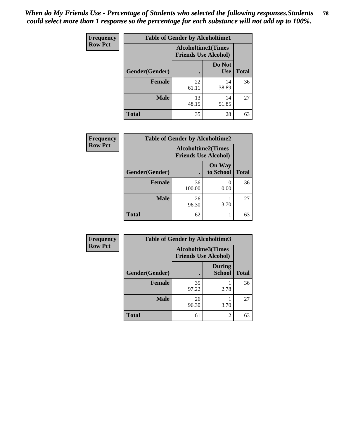| Frequency      | <b>Table of Gender by Alcoholtime1</b> |                                                          |                      |              |
|----------------|----------------------------------------|----------------------------------------------------------|----------------------|--------------|
| <b>Row Pct</b> |                                        | <b>Alcoholtime1(Times</b><br><b>Friends Use Alcohol)</b> |                      |              |
|                | Gender(Gender)                         |                                                          | Do Not<br><b>Use</b> | <b>Total</b> |
|                | <b>Female</b>                          | 22<br>61.11                                              | 14<br>38.89          | 36           |
|                | <b>Male</b>                            | 13<br>48.15                                              | 14<br>51.85          | 27           |
|                | <b>Total</b>                           | 35                                                       | 28                   | 63           |

| <b>Frequency</b> | <b>Table of Gender by Alcoholtime2</b> |                                                          |                            |              |
|------------------|----------------------------------------|----------------------------------------------------------|----------------------------|--------------|
| <b>Row Pct</b>   |                                        | <b>Alcoholtime2(Times</b><br><b>Friends Use Alcohol)</b> |                            |              |
|                  | Gender(Gender)                         |                                                          | <b>On Way</b><br>to School | <b>Total</b> |
|                  | <b>Female</b>                          | 36<br>100.00                                             | 0<br>0.00                  | 36           |
|                  | <b>Male</b>                            | 26<br>96.30                                              | 3.70                       | 27           |
|                  | <b>Total</b>                           | 62                                                       |                            | 63           |

| <b>Frequency</b> | <b>Table of Gender by Alcoholtime3</b> |                                                          |                                |              |
|------------------|----------------------------------------|----------------------------------------------------------|--------------------------------|--------------|
| <b>Row Pct</b>   |                                        | <b>Alcoholtime3(Times</b><br><b>Friends Use Alcohol)</b> |                                |              |
|                  | <b>Gender</b> (Gender)                 |                                                          | <b>During</b><br><b>School</b> | <b>Total</b> |
|                  | Female                                 | 35<br>97.22                                              | 2.78                           | 36           |
|                  | <b>Male</b>                            | 26<br>96.30                                              | 3.70                           | 27           |
|                  | <b>Total</b>                           | 61                                                       | 2                              | 63           |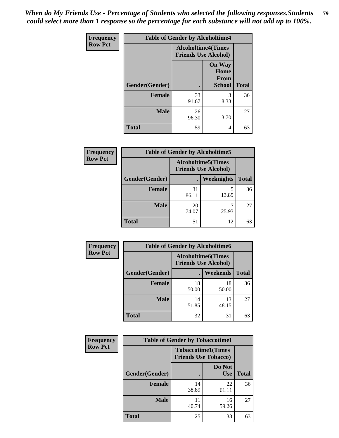*When do My Friends Use - Percentage of Students who selected the following responses.Students could select more than 1 response so the percentage for each substance will not add up to 100%.* **79**

| <b>Frequency</b> | <b>Table of Gender by Alcoholtime4</b> |                                                          |                                                |              |  |
|------------------|----------------------------------------|----------------------------------------------------------|------------------------------------------------|--------------|--|
| <b>Row Pct</b>   |                                        | <b>Alcoholtime4(Times</b><br><b>Friends Use Alcohol)</b> |                                                |              |  |
|                  | Gender(Gender)                         |                                                          | <b>On Way</b><br>Home<br>From<br><b>School</b> | <b>Total</b> |  |
|                  | <b>Female</b>                          | 33<br>91.67                                              | 3<br>8.33                                      | 36           |  |
|                  | <b>Male</b>                            | 26<br>96.30                                              | 3.70                                           | 27           |  |
|                  | <b>Total</b>                           | 59                                                       | 4                                              | 63           |  |

| <b>Frequency</b> | <b>Table of Gender by Alcoholtime5</b> |                                                           |            |              |
|------------------|----------------------------------------|-----------------------------------------------------------|------------|--------------|
| <b>Row Pct</b>   |                                        | <b>Alcoholtime5</b> (Times<br><b>Friends Use Alcohol)</b> |            |              |
|                  | Gender(Gender)                         |                                                           | Weeknights | <b>Total</b> |
|                  | <b>Female</b>                          | 31<br>86.11                                               | 5<br>13.89 | 36           |
|                  | <b>Male</b>                            | 20<br>74.07                                               | ┑<br>25.93 | 27           |
|                  | <b>Total</b>                           | 51                                                        | 12         | 63           |

| <b>Frequency</b> | <b>Table of Gender by Alcoholtime6</b>                    |             |                 |              |
|------------------|-----------------------------------------------------------|-------------|-----------------|--------------|
| <b>Row Pct</b>   | <b>Alcoholtime6</b> (Times<br><b>Friends Use Alcohol)</b> |             |                 |              |
|                  | Gender(Gender)                                            |             | <b>Weekends</b> | <b>Total</b> |
|                  | <b>Female</b>                                             | 18<br>50.00 | 18<br>50.00     | 36           |
|                  | <b>Male</b>                                               | 14<br>51.85 | 13<br>48.15     | 27           |
|                  | <b>Total</b>                                              | 32          | 31              | 63           |

| Frequency      | <b>Table of Gender by Tobaccotime1</b> |                                                          |                      |              |
|----------------|----------------------------------------|----------------------------------------------------------|----------------------|--------------|
| <b>Row Pct</b> |                                        | <b>Tobaccotime1(Times</b><br><b>Friends Use Tobacco)</b> |                      |              |
|                | Gender(Gender)                         |                                                          | Do Not<br><b>Use</b> | <b>Total</b> |
|                | <b>Female</b>                          | 14<br>38.89                                              | 22<br>61.11          | 36           |
|                | <b>Male</b>                            | 40.74                                                    | 16<br>59.26          | 27           |
|                | <b>Total</b>                           | 25                                                       | 38                   | 63           |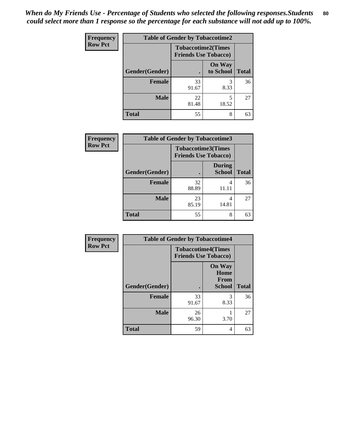| <b>Frequency</b> | <b>Table of Gender by Tobaccotime2</b> |                                                          |                            |              |
|------------------|----------------------------------------|----------------------------------------------------------|----------------------------|--------------|
| <b>Row Pct</b>   |                                        | <b>Tobaccotime2(Times</b><br><b>Friends Use Tobacco)</b> |                            |              |
|                  | Gender(Gender)                         | $\bullet$                                                | <b>On Way</b><br>to School | <b>Total</b> |
|                  | Female                                 | 33<br>91.67                                              | 3<br>8.33                  | 36           |
|                  | <b>Male</b>                            | 22<br>81.48                                              | 5<br>18.52                 | 27           |
|                  | <b>Total</b>                           | 55                                                       | 8                          | 63           |

| <b>Frequency</b> | <b>Table of Gender by Tobaccotime3</b> |                                                          |                                |              |
|------------------|----------------------------------------|----------------------------------------------------------|--------------------------------|--------------|
| <b>Row Pct</b>   |                                        | <b>Tobaccotime3(Times</b><br><b>Friends Use Tobacco)</b> |                                |              |
|                  | Gender(Gender)                         |                                                          | <b>During</b><br><b>School</b> | <b>Total</b> |
|                  | Female                                 | 32<br>88.89                                              | 4<br>11.11                     | 36           |
|                  | <b>Male</b>                            | 23<br>85.19                                              | 4<br>14.81                     | 27           |
|                  | <b>Total</b>                           | 55                                                       | 8                              | 63           |

| Frequency      | <b>Table of Gender by Tobaccotime4</b> |                                                          |                                                |              |
|----------------|----------------------------------------|----------------------------------------------------------|------------------------------------------------|--------------|
| <b>Row Pct</b> |                                        | <b>Tobaccotime4(Times</b><br><b>Friends Use Tobacco)</b> |                                                |              |
|                | Gender(Gender)                         |                                                          | <b>On Way</b><br>Home<br>From<br><b>School</b> | <b>Total</b> |
|                | <b>Female</b>                          | 33<br>91.67                                              | 3<br>8.33                                      | 36           |
|                | <b>Male</b>                            | 26<br>96.30                                              | 3.70                                           | 27           |
|                | <b>Total</b>                           | 59                                                       | 4                                              | 63           |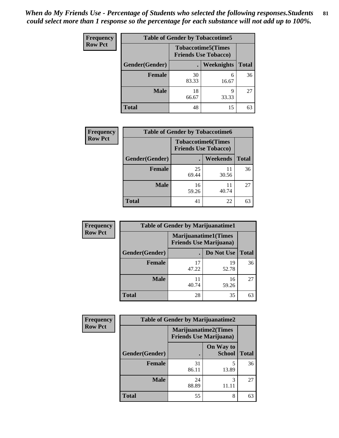| <b>Frequency</b> | <b>Table of Gender by Tobaccotime5</b> |                                                           |                   |              |  |
|------------------|----------------------------------------|-----------------------------------------------------------|-------------------|--------------|--|
| <b>Row Pct</b>   |                                        | <b>Tobaccotime5</b> (Times<br><b>Friends Use Tobacco)</b> |                   |              |  |
|                  | <b>Gender</b> (Gender)                 |                                                           | <b>Weeknights</b> | <b>Total</b> |  |
|                  | <b>Female</b>                          | 30<br>83.33                                               | 6<br>16.67        | 36           |  |
|                  | <b>Male</b>                            | 18<br>66.67                                               | q<br>33.33        | 27           |  |
|                  | Total                                  | 48                                                        | 15                | 63           |  |

| <b>Frequency</b> |                | <b>Table of Gender by Tobaccotime6</b>                   |                 |              |  |
|------------------|----------------|----------------------------------------------------------|-----------------|--------------|--|
| <b>Row Pct</b>   |                | <b>Tobaccotime6(Times</b><br><b>Friends Use Tobacco)</b> |                 |              |  |
|                  | Gender(Gender) |                                                          | <b>Weekends</b> | <b>Total</b> |  |
|                  | Female         | 25<br>69.44                                              | 11<br>30.56     | 36           |  |
|                  | <b>Male</b>    | 16<br>59.26                                              | 11<br>40.74     | 27           |  |
|                  | <b>Total</b>   | 41                                                       | 22              | 63           |  |

| <b>Frequency</b> | <b>Table of Gender by Marijuanatime1</b> |                                |                             |              |
|------------------|------------------------------------------|--------------------------------|-----------------------------|--------------|
| <b>Row Pct</b>   |                                          | <b>Friends Use Marijuana</b> ) | <b>Marijuanatime1(Times</b> |              |
|                  | Gender(Gender)                           |                                | Do Not Use                  | <b>Total</b> |
|                  | <b>Female</b>                            | 17<br>47.22                    | 19<br>52.78                 | 36           |
|                  | <b>Male</b>                              | 11<br>40.74                    | 16<br>59.26                 | 27           |
|                  | <b>Total</b>                             | 28                             | 35                          | 63           |

| <b>Frequency</b> | <b>Table of Gender by Marijuanatime2</b>               |             |                            |              |
|------------------|--------------------------------------------------------|-------------|----------------------------|--------------|
| <b>Row Pct</b>   | Marijuanatime2(Times<br><b>Friends Use Marijuana</b> ) |             |                            |              |
|                  | Gender(Gender)                                         |             | On Way to<br><b>School</b> | <b>Total</b> |
|                  | <b>Female</b>                                          | 31<br>86.11 | 5<br>13.89                 | 36           |
|                  | <b>Male</b>                                            | 24<br>88.89 | 3<br>11.11                 | 27           |
|                  | <b>Total</b>                                           | 55          | 8                          | 63           |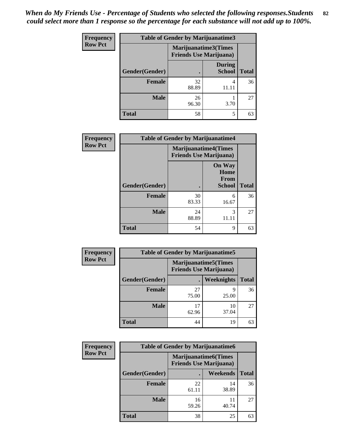| Frequency      | <b>Table of Gender by Marijuanatime3</b> |                                                        |                                |              |
|----------------|------------------------------------------|--------------------------------------------------------|--------------------------------|--------------|
| <b>Row Pct</b> |                                          | Marijuanatime3(Times<br><b>Friends Use Marijuana</b> ) |                                |              |
|                | Gender(Gender)                           |                                                        | <b>During</b><br><b>School</b> | <b>Total</b> |
|                | Female                                   | 32<br>88.89                                            | 4<br>11.11                     | 36           |
|                | <b>Male</b>                              | 26<br>96.30                                            | 3.70                           | 27           |
|                | <b>Total</b>                             | 58                                                     | 5                              | 63           |

| Frequency      | <b>Table of Gender by Marijuanatime4</b> |                                                                |                                                       |              |
|----------------|------------------------------------------|----------------------------------------------------------------|-------------------------------------------------------|--------------|
| <b>Row Pct</b> |                                          | <b>Marijuanatime4</b> (Times<br><b>Friends Use Marijuana</b> ) |                                                       |              |
|                | Gender(Gender)                           |                                                                | <b>On Way</b><br>Home<br><b>From</b><br><b>School</b> | <b>Total</b> |
|                | <b>Female</b>                            | 30<br>83.33                                                    | 6<br>16.67                                            | 36           |
|                | <b>Male</b>                              | 24<br>88.89                                                    | 3<br>11.11                                            | 27           |
|                | <b>Total</b>                             | 54                                                             | 9                                                     | 63           |

| <b>Frequency</b> | <b>Table of Gender by Marijuanatime5</b> |                                                                |             |              |
|------------------|------------------------------------------|----------------------------------------------------------------|-------------|--------------|
| <b>Row Pct</b>   |                                          | <b>Marijuanatime5</b> (Times<br><b>Friends Use Marijuana</b> ) |             |              |
|                  | Gender(Gender)                           |                                                                | Weeknights  | <b>Total</b> |
|                  | <b>Female</b>                            | 27<br>75.00                                                    | q<br>25.00  | 36           |
|                  | <b>Male</b>                              | 17<br>62.96                                                    | 10<br>37.04 | 27           |
|                  | <b>Total</b>                             | 44                                                             | 19          | 63           |

| Frequency      | <b>Table of Gender by Marijuanatime6</b> |                                                               |                 |              |  |
|----------------|------------------------------------------|---------------------------------------------------------------|-----------------|--------------|--|
| <b>Row Pct</b> |                                          | <b>Marijuanatime6(Times</b><br><b>Friends Use Marijuana</b> ) |                 |              |  |
|                | Gender(Gender)                           |                                                               | <b>Weekends</b> | <b>Total</b> |  |
|                | <b>Female</b>                            | 22<br>61.11                                                   | 14<br>38.89     | 36           |  |
|                | <b>Male</b>                              | 16<br>59.26                                                   | 11<br>40.74     | 27           |  |
|                | <b>Total</b>                             | 38                                                            | 25              | 63           |  |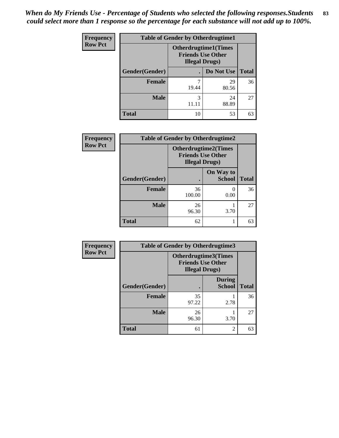| <b>Frequency</b> | <b>Table of Gender by Otherdrugtime1</b> |                                                                                    |                    |    |
|------------------|------------------------------------------|------------------------------------------------------------------------------------|--------------------|----|
| <b>Row Pct</b>   |                                          | <b>Otherdrugtime1</b> (Times<br><b>Friends Use Other</b><br><b>Illegal Drugs</b> ) |                    |    |
|                  | Gender(Gender)                           |                                                                                    | Do Not Use   Total |    |
|                  | <b>Female</b>                            | 7<br>19.44                                                                         | 29<br>80.56        | 36 |
|                  | <b>Male</b>                              | 3<br>11.11                                                                         | 24<br>88.89        | 27 |
|                  | <b>Total</b>                             | 10                                                                                 | 53                 | 63 |

| Frequency      | <b>Table of Gender by Otherdrugtime2</b> |                                                                                   |                            |              |
|----------------|------------------------------------------|-----------------------------------------------------------------------------------|----------------------------|--------------|
| <b>Row Pct</b> |                                          | <b>Otherdrugtime2(Times</b><br><b>Friends Use Other</b><br><b>Illegal Drugs</b> ) |                            |              |
|                | Gender(Gender)                           |                                                                                   | On Way to<br><b>School</b> | <b>Total</b> |
|                | <b>Female</b>                            | 36<br>100.00                                                                      | 0.00                       | 36           |
|                | <b>Male</b>                              | 26<br>96.30                                                                       | 3.70                       | 27           |
|                | <b>Total</b>                             | 62                                                                                |                            | 63           |

| <b>Frequency</b> |                | <b>Table of Gender by Otherdrugtime3</b>                                   |                                |              |
|------------------|----------------|----------------------------------------------------------------------------|--------------------------------|--------------|
| <b>Row Pct</b>   |                | Otherdrugtime3(Times<br><b>Friends Use Other</b><br><b>Illegal Drugs</b> ) |                                |              |
|                  | Gender(Gender) |                                                                            | <b>During</b><br><b>School</b> | <b>Total</b> |
|                  | <b>Female</b>  | 35<br>97.22                                                                | 2.78                           | 36           |
|                  | <b>Male</b>    | 26<br>96.30                                                                | 3.70                           | 27           |
|                  | <b>Total</b>   | 61                                                                         | $\overline{c}$                 | 63           |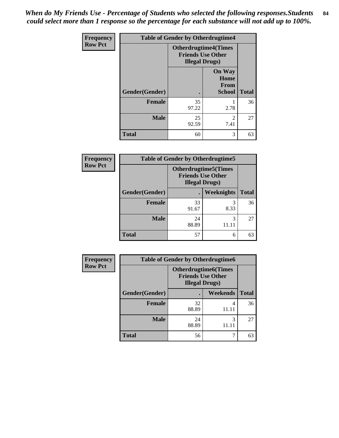*When do My Friends Use - Percentage of Students who selected the following responses.Students could select more than 1 response so the percentage for each substance will not add up to 100%.* **84**

| Frequency      | <b>Table of Gender by Otherdrugtime4</b> |                        |                                                         |              |
|----------------|------------------------------------------|------------------------|---------------------------------------------------------|--------------|
| <b>Row Pct</b> |                                          | <b>Illegal Drugs</b> ) | <b>Otherdrugtime4(Times</b><br><b>Friends Use Other</b> |              |
|                | Gender(Gender)                           |                        | <b>On Way</b><br>Home<br>From<br><b>School</b>          | <b>Total</b> |
|                | <b>Female</b>                            | 35<br>97.22            | 2.78                                                    | 36           |
|                | <b>Male</b>                              | 25<br>92.59            | $\mathfrak{D}$<br>7.41                                  | 27           |
|                | <b>Total</b>                             | 60                     | 3                                                       | 63           |

| <b>Frequency</b> |                | <b>Table of Gender by Otherdrugtime5</b>                                           |                   |              |
|------------------|----------------|------------------------------------------------------------------------------------|-------------------|--------------|
| <b>Row Pct</b>   |                | <b>Otherdrugtime5</b> (Times<br><b>Friends Use Other</b><br><b>Illegal Drugs</b> ) |                   |              |
|                  | Gender(Gender) |                                                                                    | <b>Weeknights</b> | <b>Total</b> |
|                  | <b>Female</b>  | 33<br>91.67                                                                        | 8.33              | 36           |
|                  | <b>Male</b>    | 24<br>88.89                                                                        | 3                 | 27           |
|                  | Total          | 57                                                                                 | 6                 | 63           |

| <b>Frequency</b> |                | <b>Table of Gender by Otherdrugtime6</b>                                          |            |              |
|------------------|----------------|-----------------------------------------------------------------------------------|------------|--------------|
| <b>Row Pct</b>   |                | <b>Otherdrugtime6(Times</b><br><b>Friends Use Other</b><br><b>Illegal Drugs</b> ) |            |              |
|                  | Gender(Gender) |                                                                                   | Weekends   | <b>Total</b> |
|                  | <b>Female</b>  | 32<br>88.89                                                                       | 4<br>11.11 | 36           |
|                  | <b>Male</b>    | 24<br>88.89                                                                       | 3<br>11.11 | 27           |
|                  | <b>Total</b>   | 56                                                                                |            | 63           |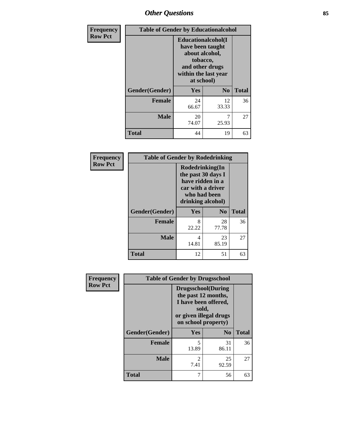# *Other Questions* **85**

| Frequency      |                | <b>Table of Gender by Educationalcohol</b>                                                                                    |                |              |  |
|----------------|----------------|-------------------------------------------------------------------------------------------------------------------------------|----------------|--------------|--|
| <b>Row Pct</b> |                | Educationalcohol(I<br>have been taught<br>about alcohol,<br>tobacco,<br>and other drugs<br>within the last year<br>at school) |                |              |  |
|                | Gender(Gender) | <b>Yes</b>                                                                                                                    | N <sub>0</sub> | <b>Total</b> |  |
|                | <b>Female</b>  | 24<br>66.67                                                                                                                   | 12<br>33.33    | 36           |  |
|                | <b>Male</b>    | 20<br>74.07                                                                                                                   | 25.93          | 27           |  |
|                | <b>Total</b>   | 44                                                                                                                            | 19             | 63           |  |

| Frequency      | <b>Table of Gender by Rodedrinking</b> |                                                                                                                     |             |              |
|----------------|----------------------------------------|---------------------------------------------------------------------------------------------------------------------|-------------|--------------|
| <b>Row Pct</b> |                                        | Rodedrinking(In<br>the past 30 days I<br>have ridden in a<br>car with a driver<br>who had been<br>drinking alcohol) |             |              |
|                | Gender(Gender)                         | Yes                                                                                                                 | $\bf N_0$   | <b>Total</b> |
|                | <b>Female</b>                          | 8<br>22.22                                                                                                          | 28<br>77.78 | 36           |
|                | <b>Male</b>                            | 4<br>14.81                                                                                                          | 23<br>85.19 | 27           |
|                | <b>Total</b>                           | 12                                                                                                                  | 51          | 63           |

| Frequency      | <b>Table of Gender by Drugsschool</b> |                                                                                                                                     |                |              |
|----------------|---------------------------------------|-------------------------------------------------------------------------------------------------------------------------------------|----------------|--------------|
| <b>Row Pct</b> |                                       | <b>Drugsschool</b> (During<br>the past 12 months,<br>I have been offered,<br>sold,<br>or given illegal drugs<br>on school property) |                |              |
|                | Gender(Gender)                        | Yes                                                                                                                                 | N <sub>0</sub> | <b>Total</b> |
|                | <b>Female</b>                         | 5<br>13.89                                                                                                                          | 31<br>86.11    | 36           |
|                | <b>Male</b>                           | 2<br>7.41                                                                                                                           | 25<br>92.59    | 27           |
|                | <b>Total</b>                          | 7                                                                                                                                   | 56             | 63           |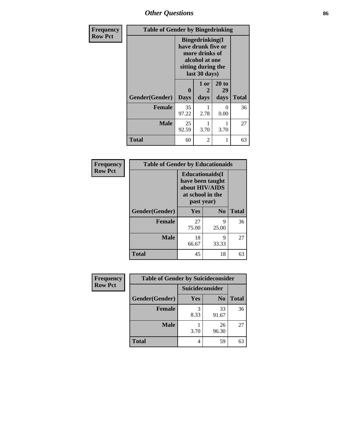# *Other Questions* **86**

| Frequency      | <b>Table of Gender by Bingedrinking</b> |                                                                                                                          |                   |                     |              |
|----------------|-----------------------------------------|--------------------------------------------------------------------------------------------------------------------------|-------------------|---------------------|--------------|
| <b>Row Pct</b> |                                         | <b>Bingedrinking</b> (I<br>have drunk five or<br>more drinks of<br>alcohol at one<br>sitting during the<br>last 30 days) |                   |                     |              |
|                | Gender(Gender)                          | 0<br><b>Days</b>                                                                                                         | 1 or<br>2<br>days | 20 to<br>29<br>days | <b>Total</b> |
|                | <b>Female</b>                           | 35<br>97.22                                                                                                              | 2.78              | 0<br>0.00           | 36           |
|                | <b>Male</b>                             | 25<br>92.59                                                                                                              | 3.70              | 3.70                | 27           |
|                | <b>Total</b>                            | 60                                                                                                                       | 2                 |                     | 63           |

| Frequency      | <b>Table of Gender by Educationaids</b> |                                                                             |                  |              |
|----------------|-----------------------------------------|-----------------------------------------------------------------------------|------------------|--------------|
| <b>Row Pct</b> |                                         | <b>Educationaids</b> (I<br>about HIV/AIDS<br>at school in the<br>past year) | have been taught |              |
|                | Gender(Gender)                          | Yes                                                                         | $\bf N_0$        | <b>Total</b> |
|                | <b>Female</b>                           | 27<br>75.00                                                                 | 9<br>25.00       | 36           |
|                | <b>Male</b>                             | 18<br>66.67                                                                 | 9<br>33.33       | 27           |
|                | <b>Total</b>                            | 45                                                                          | 18               | 63           |

| Frequency      | <b>Table of Gender by Suicideconsider</b> |                 |                |              |
|----------------|-------------------------------------------|-----------------|----------------|--------------|
| <b>Row Pct</b> |                                           | Suicideconsider |                |              |
|                | Gender(Gender)                            | Yes             | N <sub>0</sub> | <b>Total</b> |
|                | <b>Female</b>                             | 8.33            | 33<br>91.67    | 36           |
|                | <b>Male</b>                               | 3.70            | 26<br>96.30    | 27           |
|                | <b>Total</b>                              | 4               | 59             | 63           |